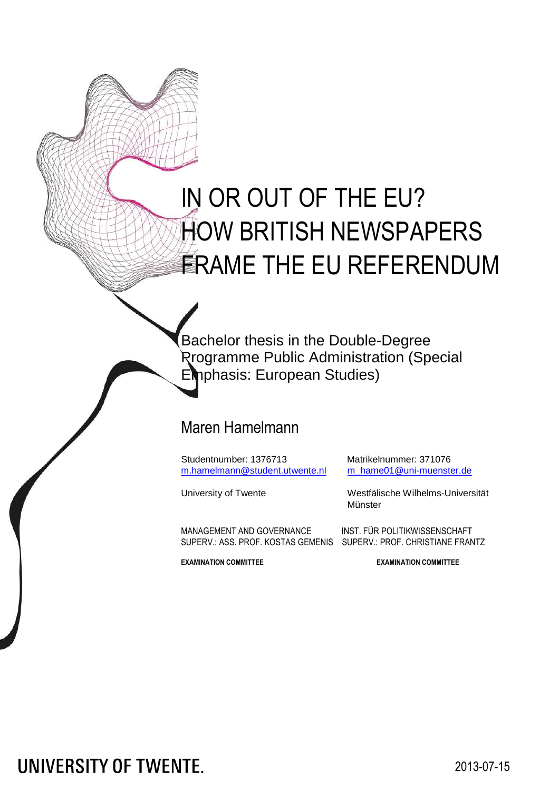# IN OR OUT OF THE EU? HOW BRITISH NEWSPAPERS **ERAME THE EU REFERENDUM**

Bachelor thesis in the Double-Degree Programme Public Administration (Special Emphasis: European Studies)

# Maren Hamelmann

Studentnumber: 1376713 Matrikelnummer: 371076 [m.hamelmann@student.utwente.nl](mailto:m.hamelmann@student.utwente.nl) [m\\_hame01@uni-muenster.de](mailto:m_hame01@uni-muenster.de)

University of Twente Westfälische Wilhelms-Universität **Münster** 

MANAGEMENT AND GOVERNANCE INST. FÜR POLITIKWISSENSCHAFT SUPERV.: ASS. PROF. KOSTAS GEMENIS SUPERV.: PROF. CHRISTIANE FRANTZ

**EXAMINATION COMMITTEE EXAMINATION COMMITTEE**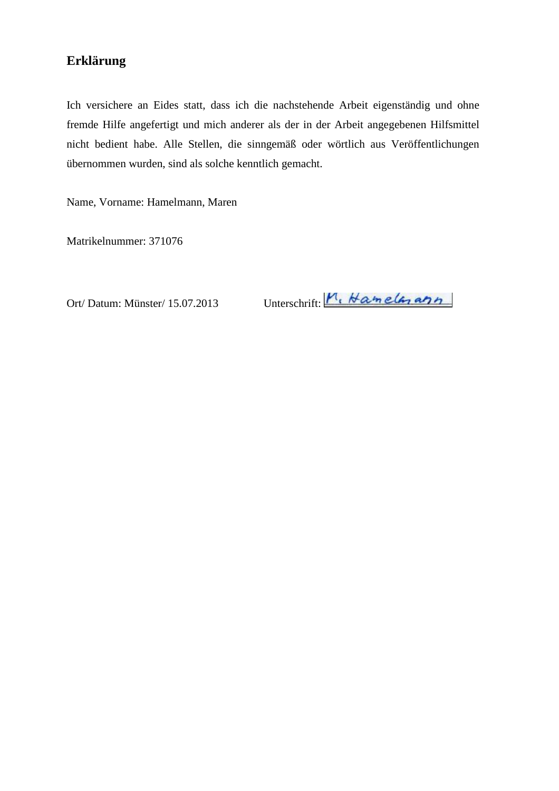# **Erklärung**

Ich versichere an Eides statt, dass ich die nachstehende Arbeit eigenständig und ohne fremde Hilfe angefertigt und mich anderer als der in der Arbeit angegebenen Hilfsmittel nicht bedient habe. Alle Stellen, die sinngemäß oder wörtlich aus Veröffentlichungen übernommen wurden, sind als solche kenntlich gemacht.

Name, Vorname: Hamelmann, Maren

Matrikelnummer: 371076

Ort/Datum: Münster/ 15.07.2013 Unterschrift:  $M_1$ , Hamela, ann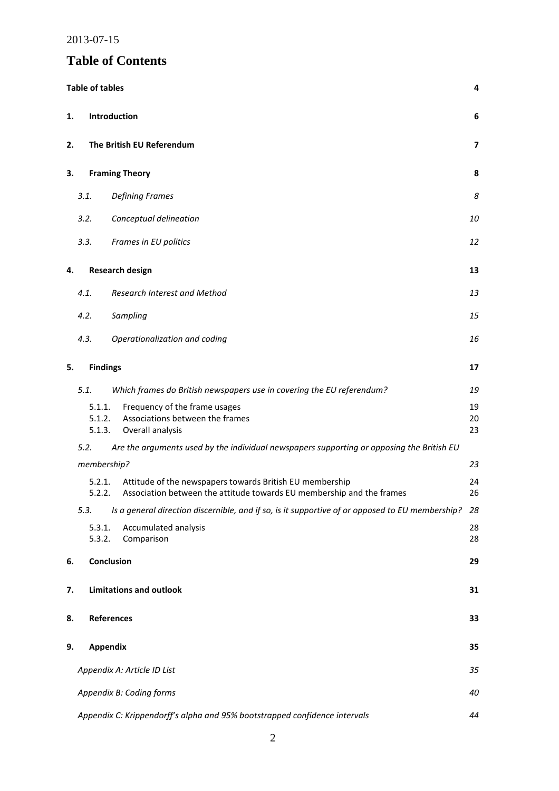# **Table of Contents**

|    | <b>Table of tables</b>     |                                                                                                                                   | 4              |
|----|----------------------------|-----------------------------------------------------------------------------------------------------------------------------------|----------------|
| 1. |                            | Introduction                                                                                                                      | 6              |
| 2. |                            | The British EU Referendum                                                                                                         | 7              |
| 3. |                            | <b>Framing Theory</b>                                                                                                             | 8              |
|    | 3.1.                       | <b>Defining Frames</b>                                                                                                            | 8              |
|    | 3.2.                       | Conceptual delineation                                                                                                            | 10             |
|    | 3.3.                       | Frames in EU politics                                                                                                             | 12             |
| 4. |                            | <b>Research design</b>                                                                                                            | 13             |
|    | 4.1.                       | Research Interest and Method                                                                                                      | 13             |
|    | 4.2.                       | Sampling                                                                                                                          | 15             |
|    | 4.3.                       | Operationalization and coding                                                                                                     | 16             |
| 5. | <b>Findings</b>            |                                                                                                                                   | 17             |
|    | 5.1.                       | Which frames do British newspapers use in covering the EU referendum?                                                             | 19             |
|    | 5.1.1.<br>5.1.2.<br>5.1.3. | Frequency of the frame usages<br>Associations between the frames<br>Overall analysis                                              | 19<br>20<br>23 |
|    | 5.2.                       | Are the arguments used by the individual newspapers supporting or opposing the British EU                                         |                |
|    | membership?                |                                                                                                                                   | 23             |
|    | 5.2.1.<br>5.2.2.           | Attitude of the newspapers towards British EU membership<br>Association between the attitude towards EU membership and the frames | 24<br>26       |
|    | 5.3.                       | Is a general direction discernible, and if so, is it supportive of or opposed to EU membership? 28                                |                |
|    | 5.3.1.<br>5.3.2.           | Accumulated analysis<br>Comparison                                                                                                | 28<br>28       |
| 6. |                            | Conclusion                                                                                                                        | 29             |
| 7. |                            | <b>Limitations and outlook</b>                                                                                                    | 31             |
| 8. |                            | <b>References</b>                                                                                                                 | 33             |
| 9. | <b>Appendix</b>            |                                                                                                                                   | 35             |
|    |                            | Appendix A: Article ID List                                                                                                       | 35             |
|    |                            | Appendix B: Coding forms                                                                                                          | 40             |
|    |                            | Appendix C: Krippendorff's alpha and 95% bootstrapped confidence intervals                                                        | 44             |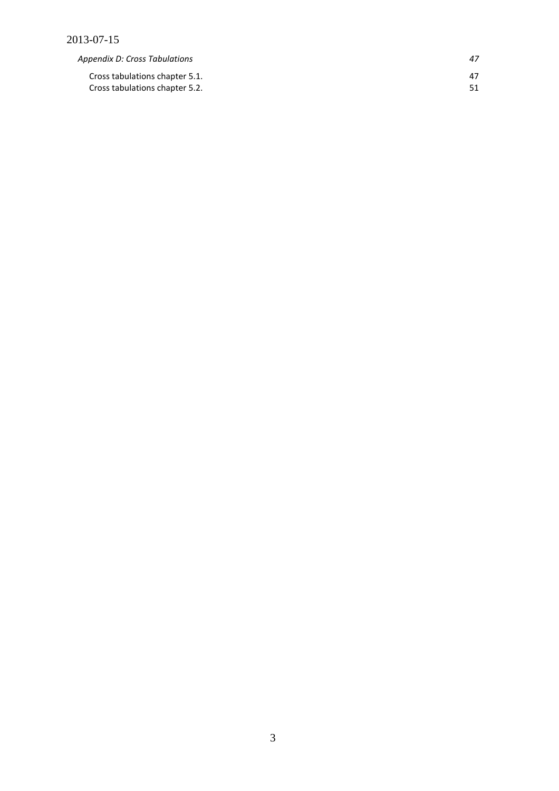*[Appendix D: Cross Tabulations 47](#page-47-0)*

[Cross tabulations chapter 5.1. 47](#page-47-1) [Cross tabulations chapter 5.2. 51](#page-51-0)

3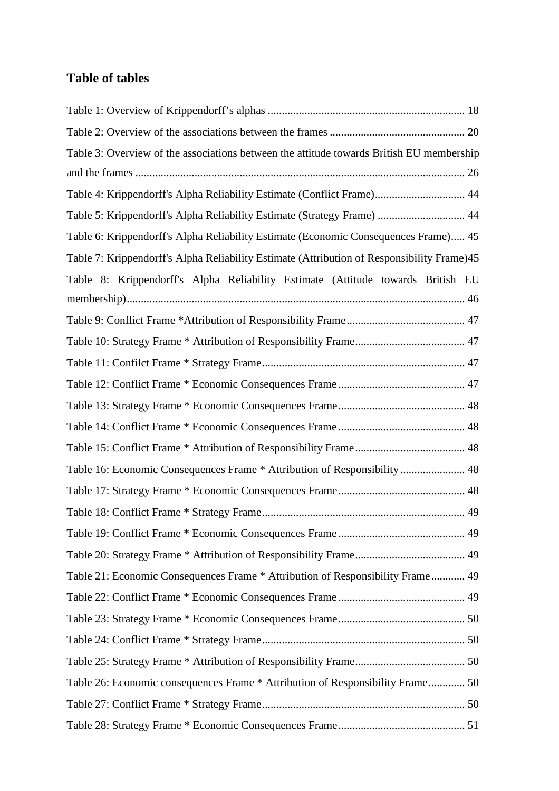# <span id="page-4-0"></span>**Table of tables**

| Table 3: Overview of the associations between the attitude towards British EU membership   |
|--------------------------------------------------------------------------------------------|
|                                                                                            |
| Table 4: Krippendorff's Alpha Reliability Estimate (Conflict Frame) 44                     |
| Table 5: Krippendorff's Alpha Reliability Estimate (Strategy Frame)  44                    |
| Table 6: Krippendorff's Alpha Reliability Estimate (Economic Consequences Frame) 45        |
| Table 7: Krippendorff's Alpha Reliability Estimate (Attribution of Responsibility Frame)45 |
| Table 8: Krippendorff's Alpha Reliability Estimate (Attitude towards British EU            |
|                                                                                            |
|                                                                                            |
|                                                                                            |
|                                                                                            |
|                                                                                            |
|                                                                                            |
|                                                                                            |
|                                                                                            |
| Table 16: Economic Consequences Frame * Attribution of Responsibility 48                   |
|                                                                                            |
|                                                                                            |
|                                                                                            |
|                                                                                            |
| Table 21: Economic Consequences Frame * Attribution of Responsibility Frame 49             |
|                                                                                            |
|                                                                                            |
|                                                                                            |
|                                                                                            |
|                                                                                            |
|                                                                                            |
|                                                                                            |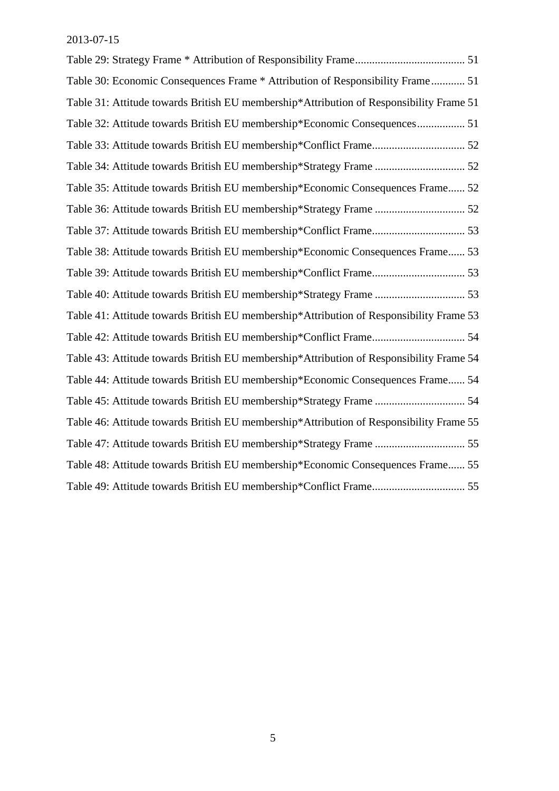| Table 30: Economic Consequences Frame * Attribution of Responsibility Frame 51          |
|-----------------------------------------------------------------------------------------|
| Table 31: Attitude towards British EU membership*Attribution of Responsibility Frame 51 |
| Table 32: Attitude towards British EU membership*Economic Consequences 51               |
|                                                                                         |
|                                                                                         |
| Table 35: Attitude towards British EU membership*Economic Consequences Frame 52         |
|                                                                                         |
|                                                                                         |
| Table 38: Attitude towards British EU membership*Economic Consequences Frame 53         |
|                                                                                         |
|                                                                                         |
| Table 41: Attitude towards British EU membership*Attribution of Responsibility Frame 53 |
|                                                                                         |
| Table 43: Attitude towards British EU membership*Attribution of Responsibility Frame 54 |
| Table 44: Attitude towards British EU membership*Economic Consequences Frame 54         |
|                                                                                         |
| Table 46: Attitude towards British EU membership*Attribution of Responsibility Frame 55 |
|                                                                                         |
| Table 48: Attitude towards British EU membership*Economic Consequences Frame 55         |
|                                                                                         |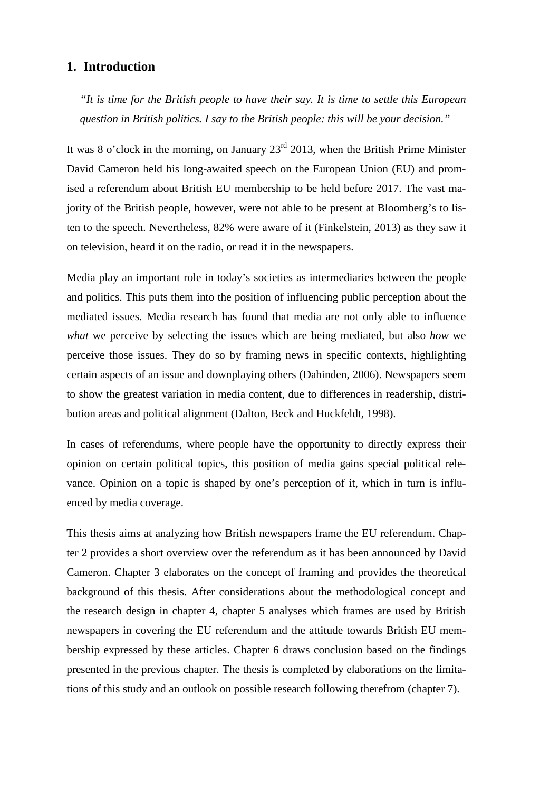# <span id="page-6-0"></span>**1. Introduction**

*"It is time for the British people to have their say. It is time to settle this European question in British politics. I say to the British people: this will be your decision."*

It was 8 o'clock in the morning, on January  $23<sup>rd</sup>$  2013, when the British Prime Minister David Cameron held his long-awaited speech on the European Union (EU) and promised a referendum about British EU membership to be held before 2017. The vast majority of the British people, however, were not able to be present at Bloomberg's to listen to the speech. Nevertheless, 82% were aware of it (Finkelstein, 2013) as they saw it on television, heard it on the radio, or read it in the newspapers.

Media play an important role in today's societies as intermediaries between the people and politics. This puts them into the position of influencing public perception about the mediated issues. Media research has found that media are not only able to influence *what* we perceive by selecting the issues which are being mediated, but also *how* we perceive those issues. They do so by framing news in specific contexts, highlighting certain aspects of an issue and downplaying others (Dahinden, 2006). Newspapers seem to show the greatest variation in media content, due to differences in readership, distribution areas and political alignment (Dalton, Beck and Huckfeldt, 1998).

In cases of referendums, where people have the opportunity to directly express their opinion on certain political topics, this position of media gains special political relevance. Opinion on a topic is shaped by one's perception of it, which in turn is influenced by media coverage.

This thesis aims at analyzing how British newspapers frame the EU referendum. Chapter [2](#page-7-0) provides a short overview over the referendum as it has been announced by David Cameron. Chapter [3](#page-8-0) elaborates on the concept of framing and provides the theoretical background of this thesis. After considerations about the methodological concept and the research design in chapter [4,](#page-13-0) chapter [5](#page-17-0) analyses which frames are used by British newspapers in covering the EU referendum and the attitude towards British EU mem[bership expressed by these articles. Chapter 6 draws conclusion based on the findings](#page-29-0) presented in the previous chapter. The thesis is completed by elaborations on the limitations of this study and an outlook on possible research following therefrom (chapter [7\).](#page-31-0)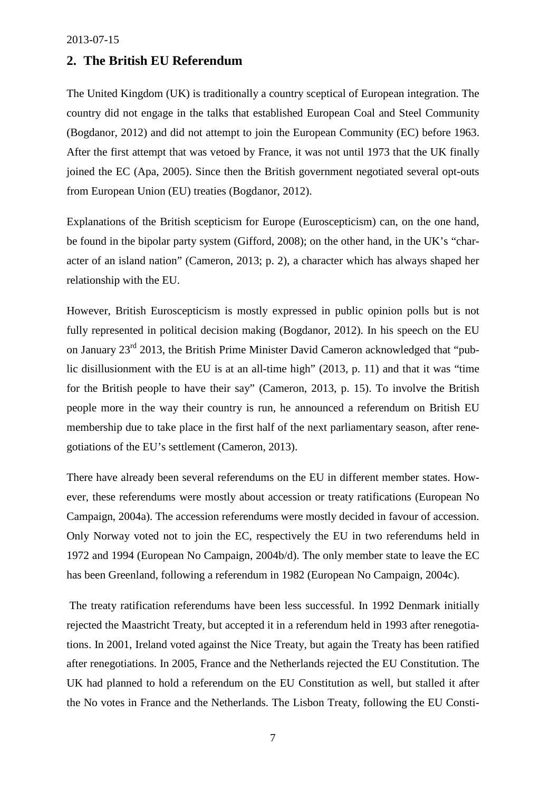# <span id="page-7-0"></span>**2. The British EU Referendum**

The United Kingdom (UK) is traditionally a country sceptical of European integration. The country did not engage in the talks that established European Coal and Steel Community (Bogdanor, 2012) and did not attempt to join the European Community (EC) before 1963. After the first attempt that was vetoed by France, it was not until 1973 that the UK finally joined the EC (Apa, 2005). Since then the British government negotiated several opt-outs from European Union (EU) treaties (Bogdanor, 2012).

Explanations of the British scepticism for Europe (Euroscepticism) can, on the one hand, be found in the bipolar party system (Gifford, 2008); on the other hand, in the UK's "character of an island nation" (Cameron, 2013; p. 2), a character which has always shaped her relationship with the EU.

However, British Euroscepticism is mostly expressed in public opinion polls but is not fully represented in political decision making (Bogdanor, 2012). In his speech on the EU on January 23rd 2013, the British Prime Minister David Cameron acknowledged that "public disillusionment with the EU is at an all-time high" (2013, p. 11) and that it was "time for the British people to have their say" (Cameron, 2013, p. 15). To involve the British people more in the way their country is run, he announced a referendum on British EU membership due to take place in the first half of the next parliamentary season, after renegotiations of the EU's settlement (Cameron, 2013).

There have already been several referendums on the EU in different member states. However, these referendums were mostly about accession or treaty ratifications (European No Campaign, 2004a). The accession referendums were mostly decided in favour of accession. Only Norway voted not to join the EC, respectively the EU in two referendums held in 1972 and 1994 (European No Campaign, 2004b/d). The only member state to leave the EC has been Greenland, following a referendum in 1982 (European No Campaign, 2004c).

The treaty ratification referendums have been less successful. In 1992 Denmark initially rejected the Maastricht Treaty, but accepted it in a referendum held in 1993 after renegotiations. In 2001, Ireland voted against the Nice Treaty, but again the Treaty has been ratified after renegotiations. In 2005, France and the Netherlands rejected the EU Constitution. The UK had planned to hold a referendum on the EU Constitution as well, but stalled it after the No votes in France and the Netherlands. The Lisbon Treaty, following the EU Consti-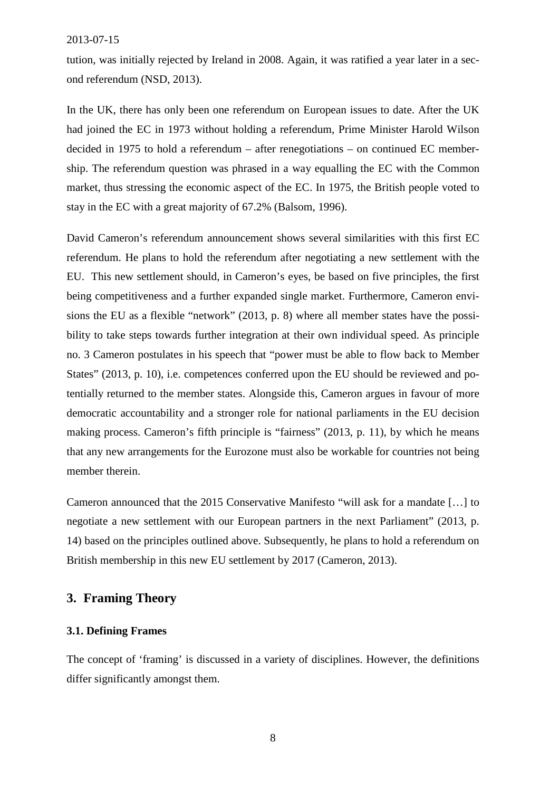tution, was initially rejected by Ireland in 2008. Again, it was ratified a year later in a second referendum (NSD, 2013).

In the UK, there has only been one referendum on European issues to date. After the UK had joined the EC in 1973 without holding a referendum, Prime Minister Harold Wilson decided in 1975 to hold a referendum – after renegotiations – on continued EC membership. The referendum question was phrased in a way equalling the EC with the Common market, thus stressing the economic aspect of the EC. In 1975, the British people voted to stay in the EC with a great majority of 67.2% (Balsom, 1996).

David Cameron's referendum announcement shows several similarities with this first EC referendum. He plans to hold the referendum after negotiating a new settlement with the EU. This new settlement should, in Cameron's eyes, be based on five principles, the first being competitiveness and a further expanded single market. Furthermore, Cameron envisions the EU as a flexible "network" (2013, p. 8) where all member states have the possibility to take steps towards further integration at their own individual speed. As principle no. 3 Cameron postulates in his speech that "power must be able to flow back to Member States" (2013, p. 10), i.e. competences conferred upon the EU should be reviewed and potentially returned to the member states. Alongside this, Cameron argues in favour of more democratic accountability and a stronger role for national parliaments in the EU decision making process. Cameron's fifth principle is "fairness" (2013, p. 11), by which he means that any new arrangements for the Eurozone must also be workable for countries not being member therein.

Cameron announced that the 2015 Conservative Manifesto "will ask for a mandate […] to negotiate a new settlement with our European partners in the next Parliament" (2013, p. 14) based on the principles outlined above. Subsequently, he plans to hold a referendum on British membership in this new EU settlement by 2017 (Cameron, 2013).

# <span id="page-8-0"></span>**3. Framing Theory**

# <span id="page-8-1"></span>**3.1. Defining Frames**

The concept of 'framing' is discussed in a variety of disciplines. However, the definitions differ significantly amongst them.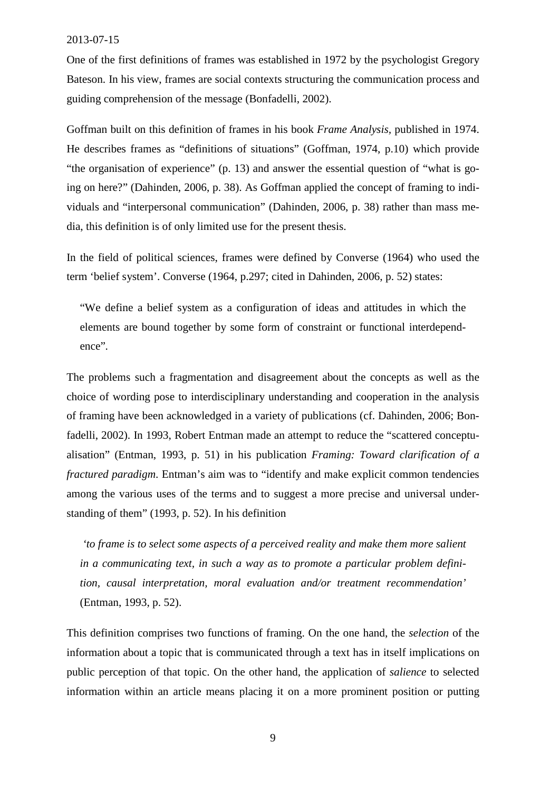One of the first definitions of frames was established in 1972 by the psychologist Gregory Bateson. In his view, frames are social contexts structuring the communication process and guiding comprehension of the message (Bonfadelli, 2002).

Goffman built on this definition of frames in his book *Frame Analysis,* published in 1974. He describes frames as "definitions of situations" (Goffman, 1974, p.10) which provide "the organisation of experience" (p. 13) and answer the essential question of "what is going on here?" (Dahinden, 2006, p. 38). As Goffman applied the concept of framing to individuals and "interpersonal communication" (Dahinden, 2006, p. 38) rather than mass media, this definition is of only limited use for the present thesis.

In the field of political sciences, frames were defined by Converse (1964) who used the term 'belief system'. Converse (1964, p.297; cited in Dahinden, 2006, p. 52) states:

"We define a belief system as a configuration of ideas and attitudes in which the elements are bound together by some form of constraint or functional interdependence"*.*

The problems such a fragmentation and disagreement about the concepts as well as the choice of wording pose to interdisciplinary understanding and cooperation in the analysis of framing have been acknowledged in a variety of publications (cf. Dahinden, 2006; Bonfadelli, 2002). In 1993, Robert Entman made an attempt to reduce the "scattered conceptualisation" (Entman, 1993, p. 51) in his publication *Framing: Toward clarification of a fractured paradigm*. Entman's aim was to "identify and make explicit common tendencies among the various uses of the terms and to suggest a more precise and universal understanding of them" (1993, p. 52). In his definition

*'to frame is to select some aspects of a perceived reality and make them more salient in a communicating text, in such a way as to promote a particular problem definition, causal interpretation, moral evaluation and/or treatment recommendation'* (Entman, 1993, p. 52).

This definition comprises two functions of framing. On the one hand, the *selection* of the information about a topic that is communicated through a text has in itself implications on public perception of that topic. On the other hand, the application of *salience* to selected information within an article means placing it on a more prominent position or putting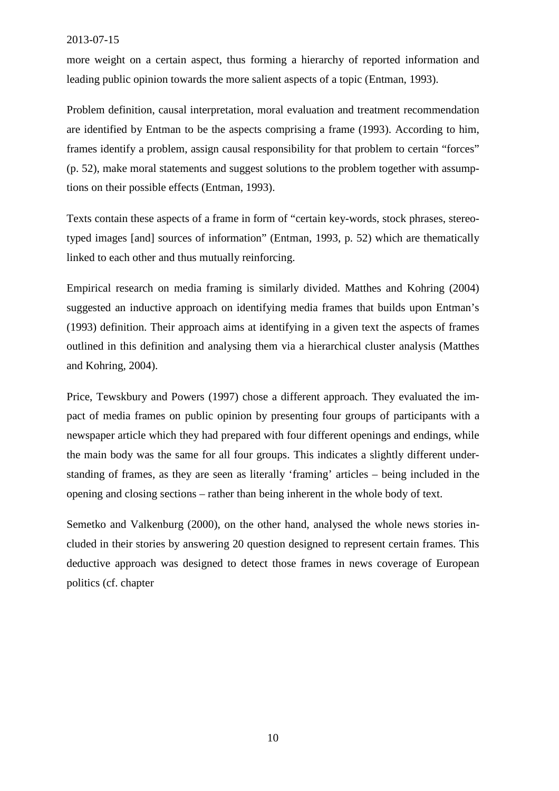more weight on a certain aspect, thus forming a hierarchy of reported information and leading public opinion towards the more salient aspects of a topic (Entman, 1993).

Problem definition, causal interpretation, moral evaluation and treatment recommendation are identified by Entman to be the aspects comprising a frame (1993). According to him, frames identify a problem, assign causal responsibility for that problem to certain "forces" (p. 52), make moral statements and suggest solutions to the problem together with assumptions on their possible effects (Entman, 1993).

Texts contain these aspects of a frame in form of "certain key-words, stock phrases, stereotyped images [and] sources of information" (Entman, 1993, p. 52) which are thematically linked to each other and thus mutually reinforcing.

Empirical research on media framing is similarly divided. Matthes and Kohring (2004) suggested an inductive approach on identifying media frames that builds upon Entman's (1993) definition. Their approach aims at identifying in a given text the aspects of frames outlined in this definition and analysing them via a hierarchical cluster analysis (Matthes and Kohring, 2004).

Price, Tewskbury and Powers (1997) chose a different approach. They evaluated the impact of media frames on public opinion by presenting four groups of participants with a newspaper article which they had prepared with four different openings and endings, while the main body was the same for all four groups. This indicates a slightly different understanding of frames, as they are seen as literally 'framing' articles – being included in the opening and closing sections – rather than being inherent in the whole body of text.

<span id="page-10-0"></span>Semetko and Valkenburg (2000), on the other hand, analysed the whole news stories included in their stories by answering 20 question designed to represent certain frames. This deductive approach was designed to detect those frames in news coverage of European politics (cf. chapter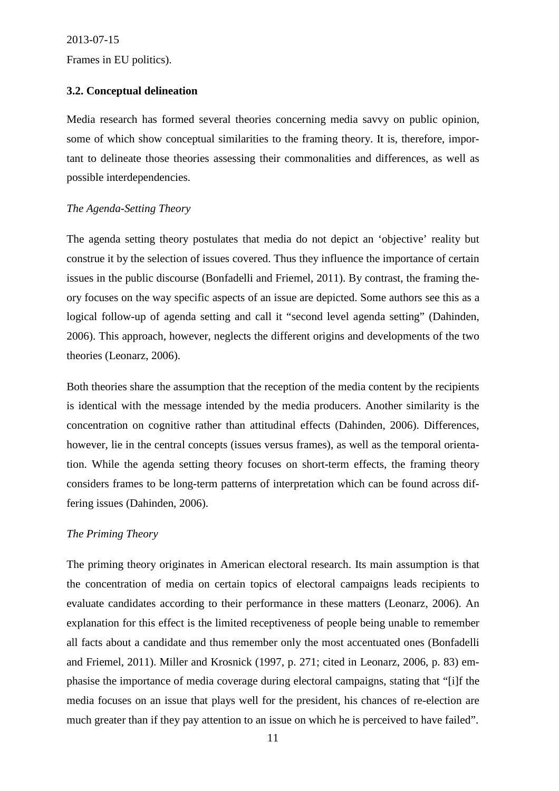Frames in EU politics).

# **3.2. Conceptual delineation**

Media research has formed several theories concerning media savvy on public opinion, some of which show conceptual similarities to the framing theory. It is, therefore, important to delineate those theories assessing their commonalities and differences, as well as possible interdependencies.

# *The Agenda-Setting Theory*

The agenda setting theory postulates that media do not depict an 'objective' reality but construe it by the selection of issues covered. Thus they influence the importance of certain issues in the public discourse (Bonfadelli and Friemel, 2011). By contrast, the framing theory focuses on the way specific aspects of an issue are depicted. Some authors see this as a logical follow-up of agenda setting and call it "second level agenda setting" (Dahinden, 2006). This approach, however, neglects the different origins and developments of the two theories (Leonarz, 2006).

Both theories share the assumption that the reception of the media content by the recipients is identical with the message intended by the media producers. Another similarity is the concentration on cognitive rather than attitudinal effects (Dahinden, 2006). Differences, however, lie in the central concepts (issues versus frames), as well as the temporal orientation. While the agenda setting theory focuses on short-term effects, the framing theory considers frames to be long-term patterns of interpretation which can be found across differing issues (Dahinden, 2006).

# *The Priming Theory*

<span id="page-11-0"></span>The priming theory originates in American electoral research. Its main assumption is that the concentration of media on certain topics of electoral campaigns leads recipients to evaluate candidates according to their performance in these matters (Leonarz, 2006). An explanation for this effect is the limited receptiveness of people being unable to remember all facts about a candidate and thus remember only the most accentuated ones (Bonfadelli and Friemel, 2011). Miller and Krosnick (1997, p. 271; cited in Leonarz, 2006, p. 83) emphasise the importance of media coverage during electoral campaigns, stating that "[i]f the media focuses on an issue that plays well for the president, his chances of re-election are much greater than if they pay attention to an issue on which he is perceived to have failed".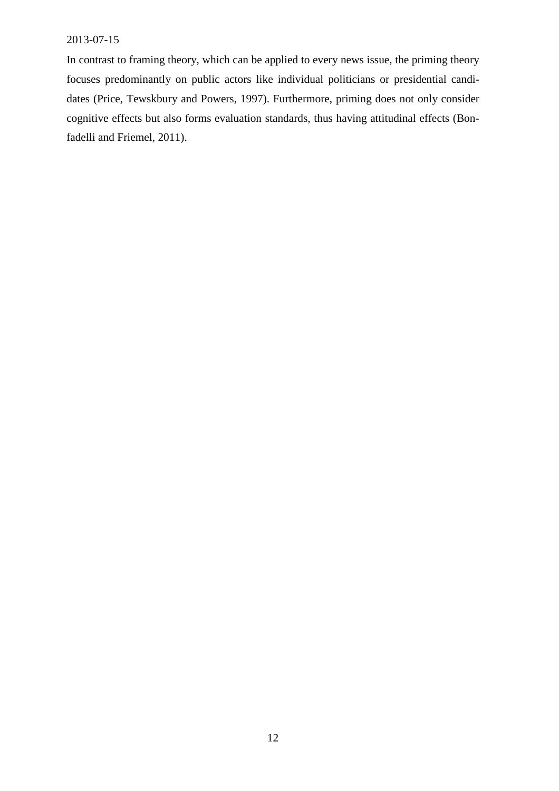<span id="page-12-0"></span>In contrast to framing theory, which can be applied to every news issue, the priming theory focuses predominantly on public actors like individual politicians or presidential candidates (Price, Tewskbury and Powers, 1997). Furthermore, priming does not only consider cognitive effects but also forms evaluation standards, thus having attitudinal effects (Bonfadelli and Friemel, 2011).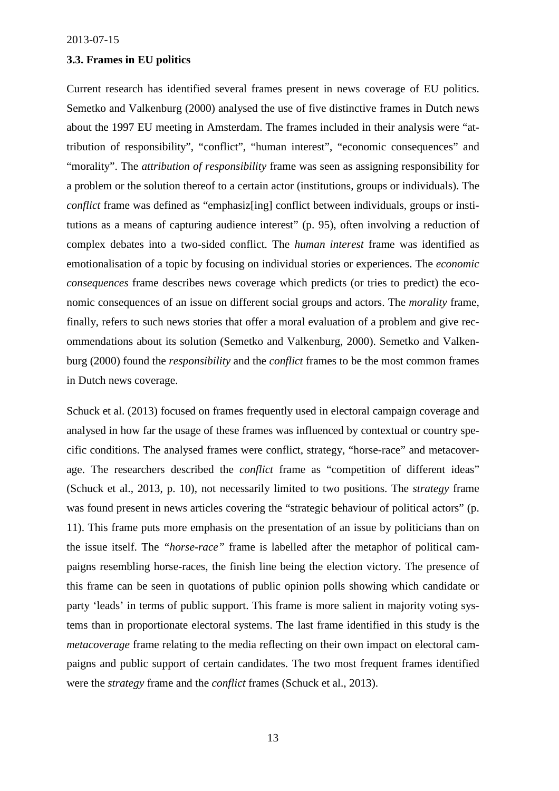# **3.3. Frames in EU politics**

Current research has identified several frames present in news coverage of EU politics. Semetko and Valkenburg (2000) analysed the use of five distinctive frames in Dutch news about the 1997 EU meeting in Amsterdam. The frames included in their analysis were "attribution of responsibility", "conflict", "human interest", "economic consequences" and "morality". The *attribution of responsibility* frame was seen as assigning responsibility for a problem or the solution thereof to a certain actor (institutions, groups or individuals). The *conflict* frame was defined as "emphasiz<sup>[ing]</sup> conflict between individuals, groups or institutions as a means of capturing audience interest" (p. 95), often involving a reduction of complex debates into a two-sided conflict. The *human interest* frame was identified as emotionalisation of a topic by focusing on individual stories or experiences. The *economic consequences* frame describes news coverage which predicts (or tries to predict) the economic consequences of an issue on different social groups and actors. The *morality* frame, finally, refers to such news stories that offer a moral evaluation of a problem and give recommendations about its solution (Semetko and Valkenburg, 2000). Semetko and Valkenburg (2000) found the *responsibility* and the *conflict* frames to be the most common frames in Dutch news coverage.

<span id="page-13-1"></span><span id="page-13-0"></span>Schuck et al. (2013) focused on frames frequently used in electoral campaign coverage and analysed in how far the usage of these frames was influenced by contextual or country specific conditions. The analysed frames were conflict, strategy, "horse-race" and metacoverage. The researchers described the *conflict* frame as "competition of different ideas" (Schuck et al., 2013, p. 10), not necessarily limited to two positions. The *strategy* frame was found present in news articles covering the "strategic behaviour of political actors" (p. 11). This frame puts more emphasis on the presentation of an issue by politicians than on the issue itself. The *"horse-race"* frame is labelled after the metaphor of political campaigns resembling horse-races, the finish line being the election victory. The presence of this frame can be seen in quotations of public opinion polls showing which candidate or party 'leads' in terms of public support. This frame is more salient in majority voting systems than in proportionate electoral systems. The last frame identified in this study is the *metacoverage* frame relating to the media reflecting on their own impact on electoral campaigns and public support of certain candidates. The two most frequent frames identified were the *strategy* frame and the *conflict* frames (Schuck et al., 2013).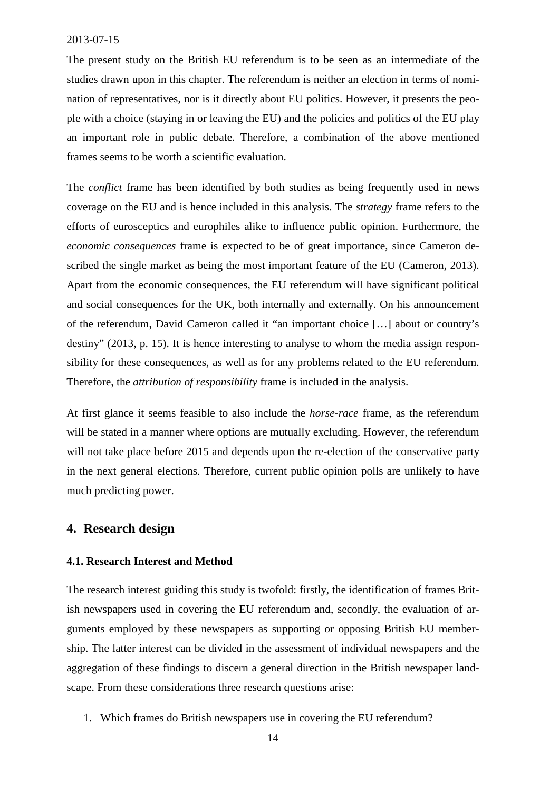The present study on the British EU referendum is to be seen as an intermediate of the studies drawn upon in this chapter. The referendum is neither an election in terms of nomination of representatives, nor is it directly about EU politics. However, it presents the people with a choice (staying in or leaving the EU) and the policies and politics of the EU play an important role in public debate. Therefore, a combination of the above mentioned frames seems to be worth a scientific evaluation.

The *conflict* frame has been identified by both studies as being frequently used in news coverage on the EU and is hence included in this analysis. The *strategy* frame refers to the [efforts of eurosceptics and europhiles alike to influence public opinion. Furthermore, the](#page-11-0) *economic consequences* frame is expected to be of great importance, since Cameron described the single market as being the most important feature of the EU (Cameron, 2013). [Apart from the economic consequences, the EU referendum will have significant political](#page-14-0) and social consequences for the UK, bothinter[nally](#page-16-0) and externally. On his announcement of the referendum, David Cameron called it "an important choice […] about or country's destiny" (2013, p. 15). It is hence interesting to analyse to whom the media assign responsibility for these consequences, as well as for any problems related to the EU referendum. Therefore, the *attribution of responsibility* frame is included in the analysis.

At first glance it seems feasible to also include the *horse-race* frame, as the referendum will be stated in a manner where options are mutually [excluding. However, the ref](#page-11-0)erendum will not take place before 2015 and depends upon the re-election of the conservative party in the next general elections. Therefore, current public opinion polls are unlikely to have much predicting power.

# **4. Research design**

# **4.1. Research Interest and Method**

The research interest guiding this study is twofold: firstly, the identification of frames British newspapers used in covering the EU referendum and, secondly, the evaluation of arguments employed by these newspapers as supporting or opposing British EU membership. The latter interest can be divided in the assessment of individual newspapers and the aggregation of these findings to discern a general direction in the British newspaper landscape. From these considerations three research questions arise:

<span id="page-14-0"></span>1. Which frames do British newspapers use in covering the EU referendum?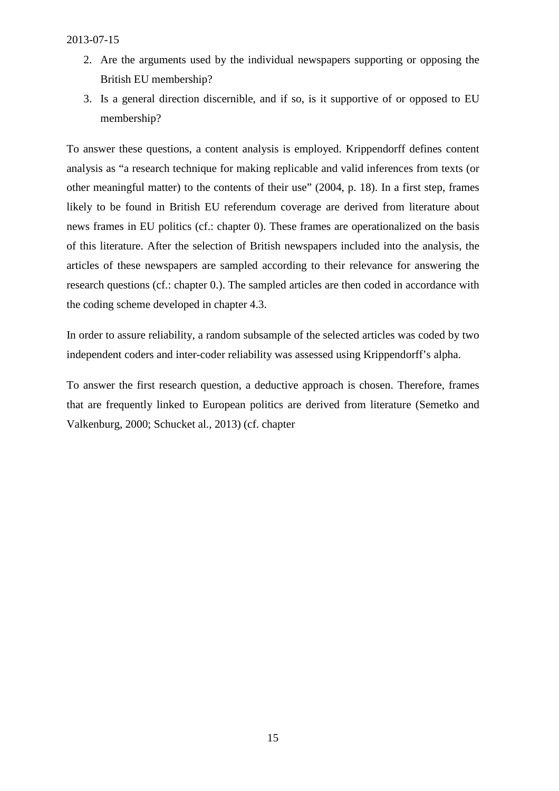- <span id="page-15-0"></span>2. Are the arguments used by the individual newspapers supporting or opposing the British EU membership?
- 3. Is a general directiond[is](#page-15-1)cernible, and if so, is it supportive of or opposed to EU membership?

To answer these questions, a content analysis is employed. Krippendorff defines content analysis as "a research technique for making replicable and valid inferences from texts (or other meaningful matter) to the contents of their use" (2004, p. 18). In a first step, frames likely to be found in British EU referendum coverage are derived from literature about news frames in EU politics (cf.: chapter 0). These frames are operationalized on the basis of this literature. After the selection of British newspapers included into the analysis, the articles of these newspapers are sampled according to their relevance for answering the research questions (cf.: chapter 0.). The sampled articles are then coded in accordance with the coding scheme developed in chapter 4.3.

In order to assure reliability, a random subsample of the selected articles was coded by two independent coders and inter-coder reliability was assessed using Krippendorff's alpha.

<span id="page-15-1"></span>To answer the first research question, a deductive approach is chosen. Therefore, frames that are frequently linked to European politics are derived from literature (Semetko and Valkenburg, 2000; Schucket al., 2013) (cf. chapter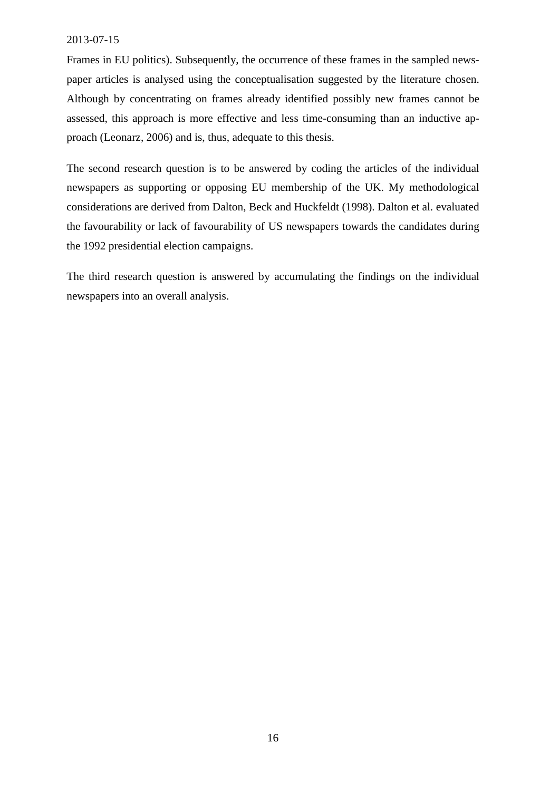<span id="page-16-0"></span>Frames in EU politics). Subsequently, the occurrence of these frames in the sampled newspaper articles is analysed using the conceptualisation suggested by the literature chosen. Although by concentrating on frames already identified possibly new frames cannot be assessed, this approach is more effective and less time-consuming than an inductive approach (Leonarz, 2006) and is, thus, adequate to this thesis.

The second research question is to be answered by coding the articles of the individual newspapers as supporting or opposing EU membership of the UK. My methodological considerations are derived from Dalton, Beck and Huckfeldt (1998). Dalton et al. evaluated the favourability or lack of favourability of US newspapers towards the candidates during the 1992 presidential election campaigns.

The third research question is answered by accumulating the findings on the individual newspapers into an overall analysis.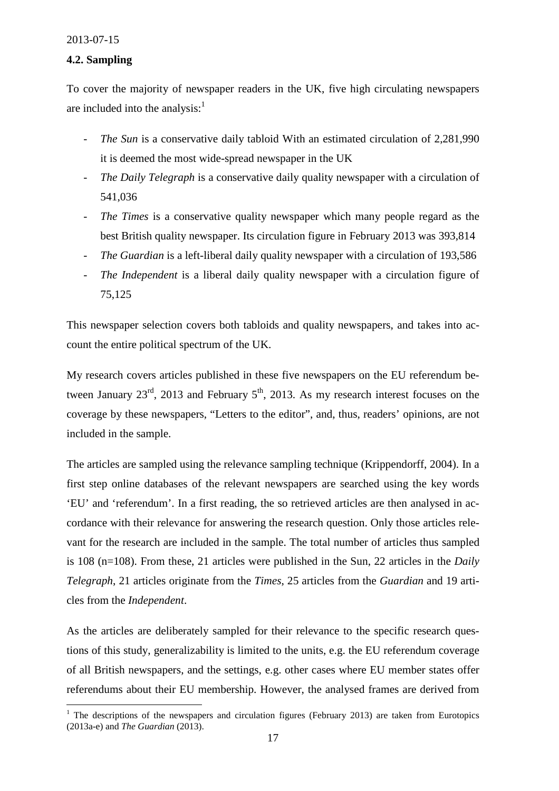# **4.2. Sampling**

To cover the majority of newspaper readers in the UK, five high circulating newspapers are included into the analysis: $<sup>1</sup>$ </sup>

- *- The Sun* is a conservative daily tabloid With an estimated circulation of 2,281,990 it is deemed the most wide-spread newspaper in the UK
- *The Daily Telegraph* is a conservative daily quality newspaper with a circulation of 541,036
- *- The Times* is a conservative quality newspaper which many people regard as the best British quality newspaper. Its circulation figure in February 2013 was 393,814
- *- The Guardian* is a left-liberal daily quality newspaper with a circulation of 193,586
- *- The Independent* is a liberal daily quality newspaper with a circulation figure of 75,125

This newspaper selection covers both tabloids and quality newspapers, and takes into account the entire political spectrum of the UK.

My research covers articles published in these five newspapers on the EU referendum between January  $23^{\text{rd}}$ , 2013 and February  $5^{\text{th}}$ , 2013. As my research interest focuses on the coverage by these newspapers, "Letters to the editor", and, thus, readers' opinions, are not included in the sample.

<span id="page-17-0"></span>The articles are sampled using the relevance sampling technique (Krippendorff, 2004). In a first step online databases of the relevant newspapers are searched using the key words 'EU' and 'referendum'. In a first reading, the so retrieved articles are then analysed in accordance with their relevance for answering the research question. Only those articles relevant for the research are included in the sample. The total number of articles thus sampled is 108 (n=108). From these, 21 articles were published in the Sun, 22 articles in the *Daily Telegraph*, 21 articles originate from the *Times*, 25 articles from the *Guardian* and 19 articles from the *Independent*.

As the articles are deliberately sampled for their relevance to the specific research questions of this study, generalizability is limited to the units, e.g. the EU referendum coverage of all British newspapers, and the settings, e.g. other cases where EU member states offer referendums about their EU membership. However, the analysed frames are derived from

<sup>&</sup>lt;sup>1</sup> The descriptions of the newspapers and circulation figures (February 2013) are taken from Eurotopics (2013a-e) and *The Guardian* (2013).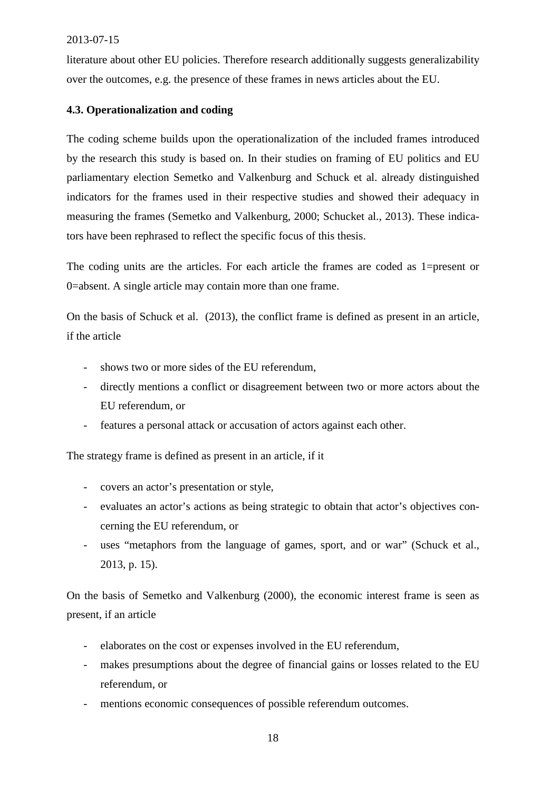literature about other EU policies. Therefore research additionally suggests generalizability over the outcomes, e.g. the presence of these frames in news articles about the EU.

# **4.3. Operationalization and coding**

The coding scheme builds upon the operationalization of the included frames introduced by the research this study is based on. In their studies on framing of EU politics and EU parliamentary election Semetko and Valkenburg and Schuck et al. already distinguished indicators for the frames used in their respective studies and showed their adequacy in measuring the frames (Semetko and Valkenburg, 2000; Schucket al., 2013). These indicators have been rephrased to reflect the specific focus of this thesis.

The coding units are the articles. For each article the frames are coded as 1=present or 0=absent. A single article may contain more than one frame.

[On the basis of Schuck et al. \(2013\), the conflict frame is defined as p](http://www.afhayes.com/spss-sas-and-mplus-macros-and-code.html)resent in an article, if the article

- *-* shows two or more sides of the EU referendum,
- *-* directly mentions a conflict or disagreement between two or more actors about the EU referendum, or
- *-* features [a persona](#page-47-0)l attack or accusation of actors against each other.

<span id="page-18-0"></span>The strategy frame is defined as present in an article, if it

- *-* covers an actor's presentation or style,
- *-* evaluates an actor's actions as being strategic to obtain that actor's objectives concerning the EU referendum, or
- *-* uses "metaphors from the language of games, sport, and or war" (Schuck et al., 2013, p. 15).

On the basis of Semetko and Valkenburg (2000), the economic interest frame is seen as present, if an article

- *-* elaborates on the cost or expenses involved in the EU referendum,
- *-* makes presumptions about the degree of financial gains or losses related to the EU referendum, or
- *-* mentions economic consequences of possible referendum outcomes.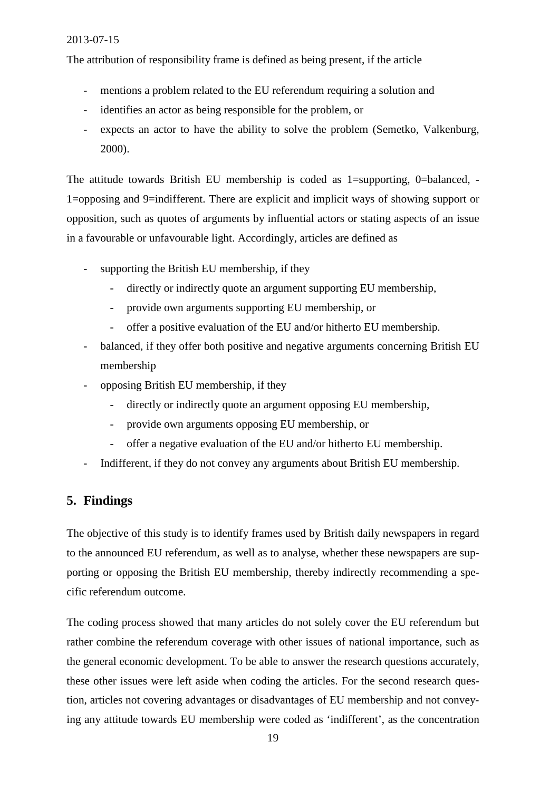The attribution of responsibility frame is defined as being present, if the article

- *-* mentions a problem related to the EU referendum requiring a solution and
- *-* identifies an actor as being responsible for the problem, or
- *-* expects an actor to have the ability to solve the problem (Semetko, Valkenburg, 2000).

<span id="page-19-0"></span>The attitude towards British EU membership is coded as 1=supporting, 0=balanced, - 1=opposing and 9=indifferent. There are explicit and implicit ways of showing support or opposition, such as quotes of arguments by influential actors or stating aspects of an issue in a favourable or unfavourable light. Accordingly, articles are defined as

- *-* supporting the British EU membership, if they
	- directly or indirectly quote an argument supporting EU membership,
	- *-* provide own arguments supporting EU membership, or
	- *-* offer a positive evaluation of the EU and/or hitherto EU membership.
- *-* balanced, if they offer both positive and negative arguments concerning British EU membership
- <span id="page-19-1"></span>*-* opposing British EU membership, if they
	- *-* directly or indirectly quote an argument opposing EU membership,
	- *-* provide own arguments opposing EU membership, or
	- *-* offer a negative evaluation of the EU and/or hitherto EU membership.
- *-* Indifferent, if they do not convey any arguments about British EU membership.

# **5. Findings**

The objective of this study is to identify frames used by British daily newspapers in regard to the announced EU referendum, as well as to analyse, whether these newspapers are supporting or opposing the British EU membership, thereby indirectly recommending a specific referendum outcome.

The coding process showed that many articles do not solely cover the EU referendum but rather combine the referendum coverage with other issues of national importance, such as the general economic development. To be able to answer the research questions accurately, these other issues were left aside when coding the articles. For the second research question, articles not covering advantages or disadvantages of EU membership and not conveying any attitude towards EU membership were coded as 'indifferent', as the concentration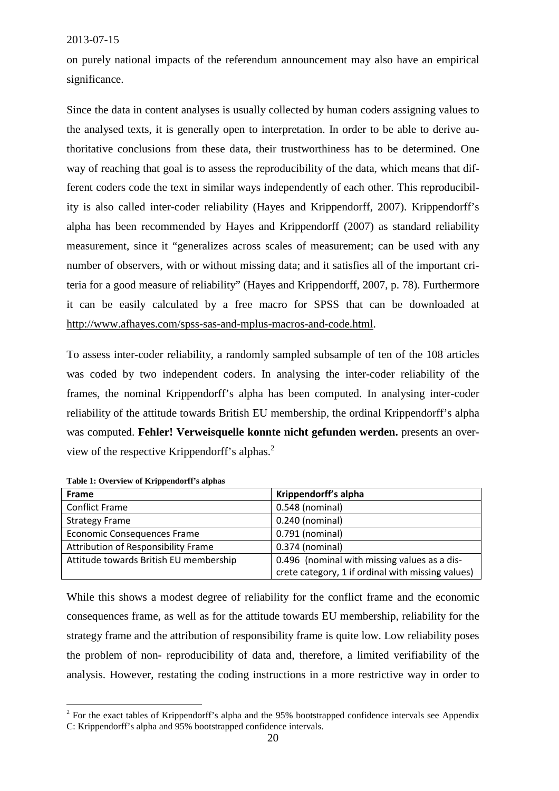on purely national impacts of the referendum announcement may also have an empirical significance.

Since the data in content analyses is usually collected by human coders assigning values to the analysed texts, it is generally open to interpretation. In order to be able to derive authoritative conclusions from these data, their trustworthiness has to be determined. One way of reaching that goal is to assess the reproducibility of the data, which means that different coders code the text in similar ways independently of each other. This reproducibility is also called inter-coder reliability (Hayes and Krippendorff, 2007). Krippendorff's alpha has been recommended by Hayes and Krippendorff (2007) as standard reliability measurement, since it "generalizes across scales of measurement; can be used with any number of observers, with or without missing data; and it satisfies all of the important criteria for a good measure of reliability" (Hayes and Krippendorff, 2007, p. 78). Furthermore it can be easily calculated by a free macro for SPSS that can be downloaded at http://www.afhayes.com/spss-sas-and-mplus-macros-and-code.html.

To assess inter-coder reliability, a randomly sampled subsample of ten of the 108 articles was coded by two independent coders. In analysing the inter-coder reliability of the frames, the nominal Krippendorff's alpha has been computed. In analysing inter-coder reliability of the attitude towards British EU membership, the ordinal Krippendorff's alpha was computed. **Fehler! Verweisquelle konnte nicht gefunden werden.** presents an overview of the respective Krippendorff's alphas.<sup>2</sup>

<span id="page-20-0"></span>

| <b>Frame</b>                           | Krippendorff's alpha                              |
|----------------------------------------|---------------------------------------------------|
| <b>Conflict Frame</b>                  | 0.548 (nominal)                                   |
| <b>Strategy Frame</b>                  | 0.240 (nominal)                                   |
| Economic Consequences Frame            | 0.791 (nominal)                                   |
| Attribution of Responsibility Frame    | 0.374 (nominal)                                   |
| Attitude towards British EU membership | 0.496 (nominal with missing values as a dis-      |
|                                        | crete category, 1 if ordinal with missing values) |

**Table 1: Overview of Krippendorff's alphas**

<span id="page-20-1"></span>While this shows a modest degree of reliability for the conflict frame and the economic consequences frame, as well as for the attitude towards EU membership, reliability for the strategy frame and the attribution of responsibility frame is quite low. Low reliability poses the problem of non- reproducibility of data and, therefore, a limited verifiability of the analysis. However, restating the coding instructions in a more restrictive way in order to

 $2^2$  For the exact tables of Krippendorff's alpha and the 95% bootstrapped confidence intervals see Appendix C: Krippendorff's alpha and 95% bootstrapped confidence intervals.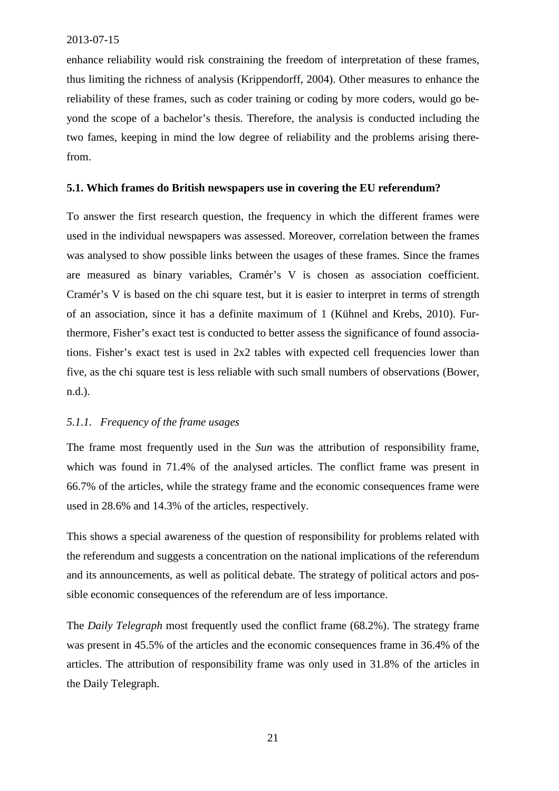enhance reliability would risk constraining the freedom of interpretation of these frames, thus limiting the richness of analysis (Krippendorff, 2004). Other measures to enhance the reliability of these frames, such as coder training or coding by more coders, would go beyond the scope of a bachelor's thesis. Therefore, the analysis is conducted including the two fames, keeping in mind the low degree of reliability and the problems arising therefrom.

# **5.1. Which frames do British newspapers use in covering the EU referendum?**

To answer the first research question, the frequency in which the different frames were used in the individual newspapers was assessed. Moreover, correlation between the frames was analysed to show possible links between the usages of these frames. Since the frames are measured as binary variables, Cramér's V is chosen as association coefficient. Cramér's V is based on the chi square test, but it is easier to interpret in terms of strength of an association, since it has a definite maximum of 1 (Kühnel and Krebs, 2010). Furthermore, Fisher's exact test is conducted to better assess the significance of found associations. Fisher's exact test is used in 2x2 tables with expected cell frequencies lower than five, as the chi square test is less reliable with such small numbers of observations (Bower, n.d.).

# *5.1.1. Frequency of the frame usages*

The frame most frequently used in the *Sun* was the attribution of responsibility frame, which was found in 71.4% of the analysed articles. The conflict frame was present in 66.7% of the articles, while the strategy frame and the economic consequences frame were used in 28.6% and 14.3% of the articles, respectively.

This shows a special awareness of the question of responsibility for problems related with the referendum and suggests a concentration on the national implications of the referendum and its announcements, as well as political debate. The strategy of political actors and possible economic consequences of the referendum are of less importance.

The *Daily Telegraph* most frequently used the conflict frame (68.2%). The strategy frame was present in 45.5% of the articles and the economic consequences frame in 36.4% of the articles. The attribution of responsibility frame was only used in 31.8% of the articles in the Daily Telegraph.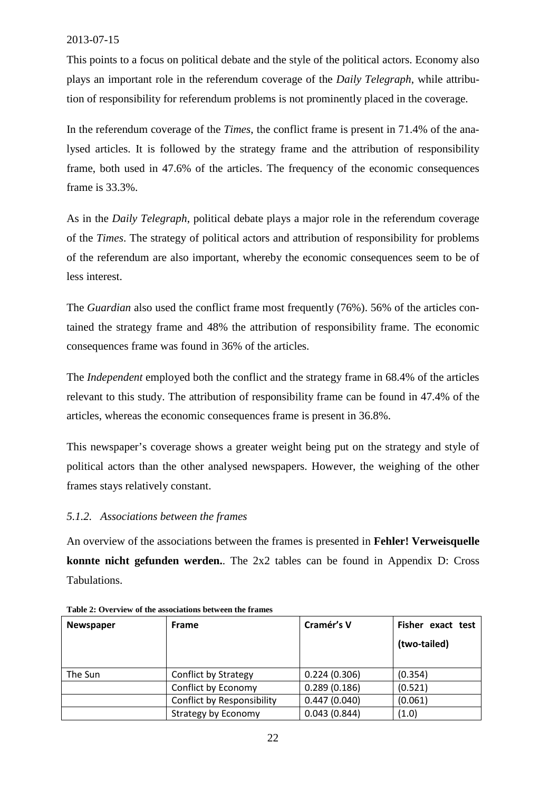This points to a focus on political debate and the style of the political actors. Economy also plays an important role in the referendum coverage of the *Daily Telegraph*, while attribution of responsibility for referendum problems is not prominently placed in the coverage.

In the referendum coverage of the *Times*, the conflict frame is present in 71.4% of the analysed articles. It is followed by the strategy frame and the attribution of responsibility frame, both used in 47.6% of the articles. The frequency of the economic consequences frame is 33.3%.

As in the *Daily Telegraph*, political debate plays a major role in the referendum coverage of the *Times*. The strategy of political actors and attribution of responsibility for problems of the referendum are also important, whereby the economic consequences seem to be of less interest.

The *Guardian* also used the conflict frame most frequently (76%). 56% of the articles contained the strategy frame and 48% the attribution of responsibility frame. The economic consequences frame was found in 36% of the articles.

The *Independent* employed both the conflict and the strategy frame in 68.4% of the articles relevant to this study. The attribution of responsibility frame can be found in 47.4% of the articles, whereas the economic consequences frame is present in 36.8%.

This newspaper's coverage shows a greater weight being put on the strategy and style of political actors than the other analysed newspapers. However, the weighing of the other frames stays relatively constant.

# *5.1.2. Associations between the frames*

An overview of the associations between the frames is presented in **Fehler! Verweisquelle konnte nicht gefunden werden.**. The 2x2 tables can be found in Appendix D: Cross Tabulations.

| <b>Newspaper</b> | <b>Frame</b>                | Cramér's V   | Fisher exact test |
|------------------|-----------------------------|--------------|-------------------|
|                  |                             |              | (two-tailed)      |
|                  |                             |              |                   |
| The Sun          | <b>Conflict by Strategy</b> | 0.224(0.306) | (0.354)           |
|                  | Conflict by Economy         | 0.289(0.186) | (0.521)           |
|                  | Conflict by Responsibility  | 0.447(0.040) | (0.061)           |
|                  | <b>Strategy by Economy</b>  | 0.043(0.844) | (1.0)             |

|  |  |  | Table 2: Overview of the associations between the frames |
|--|--|--|----------------------------------------------------------|
|--|--|--|----------------------------------------------------------|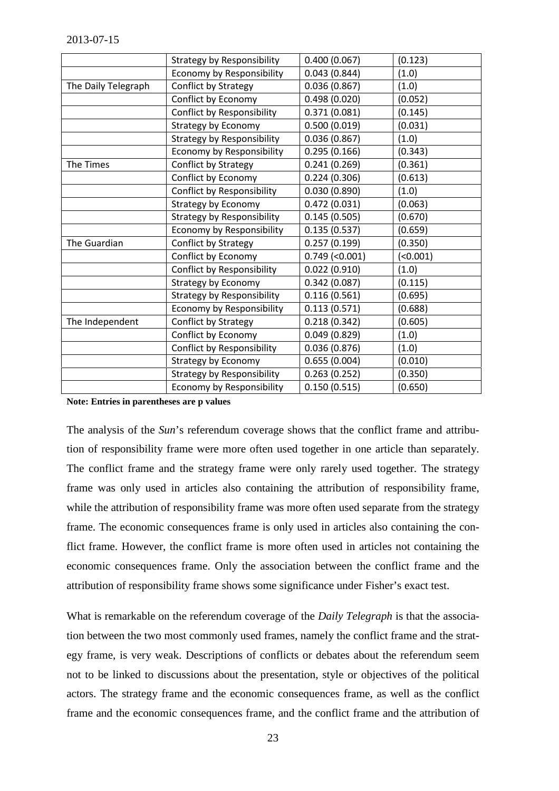<span id="page-23-0"></span>

|                     | <b>Strategy by Responsibility</b> | 0.400(0.067)         | (0.123) |
|---------------------|-----------------------------------|----------------------|---------|
|                     | Economy by Responsibility         | 0.043(0.844)         | (1.0)   |
| The Daily Telegraph | Conflict by Strategy              | 0.036(0.867)         | (1.0)   |
|                     | Conflict by Economy               | 0.498(0.020)         | (0.052) |
|                     | Conflict by Responsibility        | 0.371(0.081)         | (0.145) |
|                     | <b>Strategy by Economy</b>        | 0.500(0.019)         | (0.031) |
|                     | <b>Strategy by Responsibility</b> | 0.036(0.867)         | (1.0)   |
|                     | Economy by Responsibility         | 0.295(0.166)         | (0.343) |
| The Times           | Conflict by Strategy              | 0.241(0.269)         | (0.361) |
|                     | Conflict by Economy               | 0.224(0.306)         | (0.613) |
|                     | Conflict by Responsibility        | 0.030(0.890)         | (1.0)   |
|                     | <b>Strategy by Economy</b>        | 0.472(0.031)         | (0.063) |
|                     | <b>Strategy by Responsibility</b> | 0.145(0.505)         | (0.670) |
|                     | Economy by Responsibility         | 0.135(0.537)         | (0.659) |
| The Guardian        | Conflict by Strategy              | 0.257(0.199)         | (0.350) |
|                     | Conflict by Economy               | $0.749$ (< $0.001$ ) | (0.001) |
|                     | <b>Conflict by Responsibility</b> | 0.022(0.910)         | (1.0)   |
|                     | Strategy by Economy               | 0.342(0.087)         | (0.115) |
|                     | <b>Strategy by Responsibility</b> | 0.116(0.561)         | (0.695) |
|                     | Economy by Responsibility         | 0.113(0.571)         | (0.688) |
| The Independent     | Conflict by Strategy              | 0.218(0.342)         | (0.605) |
|                     | Conflict by Economy               | 0.049(0.829)         | (1.0)   |
|                     | Conflict by Responsibility        | 0.036(0.876)         | (1.0)   |
|                     | Strategy by Economy               | 0.655(0.004)         | (0.010) |
|                     | <b>Strategy by Responsibility</b> | 0.263(0.252)         | (0.350) |
|                     | Economy by Responsibility         | 0.150(0.515)         | (0.650) |

**Note: Entries in parentheses are p values**

The analysis of the *Sun*'s referendum coverage shows that the conflict frame and attribution of responsibility frame were more often used together in one article than separately. The conflict frame and the strategy frame were only rarely used together. The strategy frame was only used in articles also containing the attribution of responsibility frame, while the attribution of responsibility frame was more often used separate from the strategy frame. The economic consequences frame is only used in articles also containing the conflict frame. However, the conflict frame is more often used in articles not containing the economic consequences frame. Only the association between the conflict frame and the attribution of responsibility frame shows some significance under Fisher's exact test.

<span id="page-23-1"></span>What is remarkable on the referendum coverage of the *Daily Telegraph* is that the association between the two most commonly used frames, namely the conflict frame and the strategy frame, is very weak. Descriptions of conflicts or debates about the referendum seem not to be linked to discussions about the presentation, style or objectives of the political actors. The strategy frame and the economic consequences frame, as well as the conflict frame and the economic consequences frame, and the conflict frame and the attribution of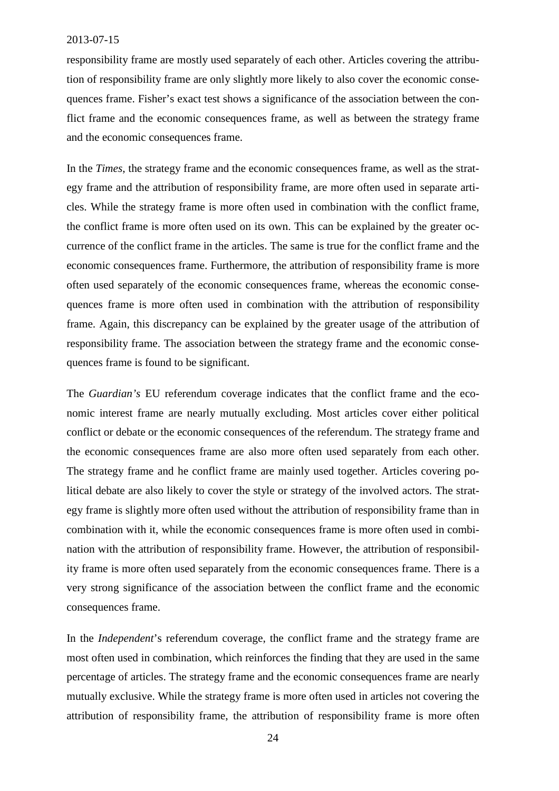responsibility frame are mostly used separately of each other. Articles covering the attribution of responsibility frame are only slightly more likely to also cover the economic consequences frame. Fisher's exact test shows a significance of the association between the conflict frame and the economic consequences frame, as well as between the strategy frame and the economic consequences frame.

<span id="page-24-0"></span>In the *Times*, the strategy frame and the economic consequences frame, as well as the strategy frame and the attribution of responsibility frame, are more often used in separate articles. While the strategy frame is more often used in combination with the conflict frame, the conflict frame is more often used on its own. This can be explained by the greater occurrence of the conflict frame in the articles. The same is true for the conflict frame and the economic consequences frame. Furthermore, the attribution of responsibility frame is more often used separately of the economic consequences frame, whereas the economic consequences frame is more often used in combination with the attribution of responsibility frame. Again, this discrepancy can be explained by the greater usage of the attribution of responsibility frame. The association between the strategy frame and the economic consequences frame is found to be significant.

The *Guardian's* EU referendum coverage indicates that the conflict frame and the economic interest frame are nearly mutually excluding. Most articles cover either political conflict or debate or the economic consequences of the referendum. The strategy frame and the economic consequences frame are also more often used separately from each other. The strategy frame and he conflict frame are mainly used together. Articles covering political debate are also likely to cover the style or strategy of the involved actors. The strategy frame is slightly more often used without the attribution of responsibility frame than in combination with it, while the economic consequences frame is more often used in combination with the attribution of responsibility frame. However, the attribution of responsibility frame is more often used separately from the economic consequences frame. There is a very strong significance of the association between the conflict frame and the economic consequences frame.

In the *Independent*'s referendum coverage, the conflict frame and the strategy frame are most often used in combination, which reinforces the finding that they are used in the same percentage of articles. The strategy frame and the economic consequences frame are nearly mutually exclusive. While the strategy frame is more often used in articles not covering the attribution of responsibility frame, the attribution of responsibility frame is more often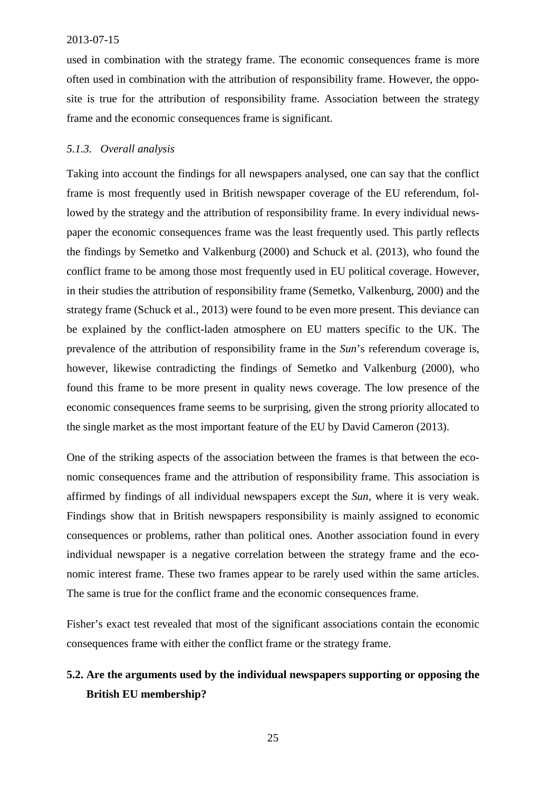used in combination with the strategy frame. The economic consequences frame is more often used in combination with the attribution of responsibility frame. However, the opposite is true for the attribution of responsibility frame. Association between the strategy frame and the economic consequences frame is significant.

# *5.1.3. Overall analysis*

Taking into account the findings for all newspapers analysed, one can say that the conflict frame is most frequently used in British newspaper coverage of the EU referendum, followed by the strategy and the attribution of responsibility frame. In every individual newspaper the economic consequences frame was the least frequently used. This partly reflects the findings by Semetko and Valkenburg (2000) and Schuck et al. (2013), who found the conflict frame to be among those most frequently used in EU political coverage. However, in their studies the attribution of responsibility frame (Semetko, Valkenburg, 2000) and the strategy frame (Schuck et al., 2013) were found to be even more present. This deviance can be explained by the conflict-laden atmosphere on EU matters specific to the UK. The prevalence of the attribution of responsibility frame in the *Sun*'s referendum coverage is, however, likewise contradicting the findings of Semetko and Valkenburg (2000), who found this frame to be more present in quality news coverage. The low presence of the economic consequences frame seems to be surprising, given the strong priority allocated to the single market as the most important feature of the EU by David Cameron (2013).

One of the striking aspects of the association between the frames is that between the economic consequences frame and the attribution of responsibility frame. This association is affirmed by findings of all individual newspapers except the *Sun*, where it is very weak. Findings show that in British newspapers responsibility is mainly assigned to economic consequences or problems, rather than political ones. Another association found in every individual newspaper is a negative correlation between the strategy frame and the economic interest frame. These two frames appear to be rarely used within the same articles. The same is true for the conflict frame and the economic consequences frame.

Fisher's exact test revealed that most of the significant associations contain the economic consequences frame with either the conflict frame or the strategy frame.

# **5.2. Are the arguments used by the individual newspapers supporting or opposing the British EU membership?**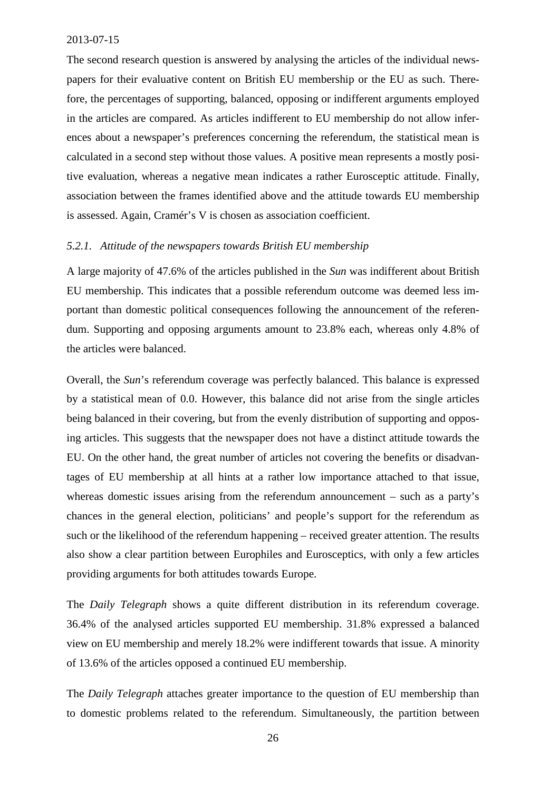The second research question is answered by analysing the articles of the individual newspapers for their evaluative content on British EU membership or the EU as such. Therefore, the percentages of supporting, balanced, opposing or indifferent arguments employed in the articles are compared. As articles indifferent to EU membership do not allow inferences about a newspaper's preferences concerning the referendum, the statistical mean is calculated in a second step without those values. A positive mean represents a mostly positive evaluation, whereas a negative mean indicates a rather Eurosceptic attitude. Finally, association between the frames identified above and the attitude towards EU membership is assessed. Again, Cramér's V is chosen as association coefficient.

# *5.2.1. Attitude of the newspapers towards British EU membership*

<span id="page-26-0"></span>A large majority of 47.6% of the articles published in the *Sun* was indifferent about British EU membership. This indicates that a possible referendum outcome was deemed less important than domestic political consequences following the announcement of the referen[dum. Su](#page-47-0)pporting and opposing arguments amount to 23.8% each, whereas only 4.8% of the articles were balanced.

<span id="page-26-1"></span>Overall, the *Sun*['s referendum coverage wa](#page-47-0)s perfectly balanced. This balance is expressed by a statistical mean of 0.0. However, this balance did not arise from the single articles being balanced in their covering, but from the evenly distribution of supporting and opposing articles. This suggests that the newspaper does not have a distinct attitude towards the EU. On the other hand, the great number of articles not covering the benefits or disadvantages of EU membership at all hints at a rather low importance attached to that issue, whereas domestic issues arising from the referendum announcement – such as a party's chances in the general election, politicians' and people's support for the referendum as such or the likelihood of the referendum happening – received greater attention. The results also show a clear partition between Europhiles and Eurosceptics, with only a few articles providing arguments for both attitudes towards Europe.

The *Daily Telegraph* shows a quite different distribution in its referendum coverage. 36.4% of the analysed articles supported EU membership. 31.8% expressed a balanced view on EU membership and merely 18.2% were indifferent towards that issue. A minority of 13.6% of the articles opposed a continued EU membership.

The *Daily Telegraph* attaches greater importance to the question of EU membership than to domestic problems related to the referendum. Simultaneously, the partition between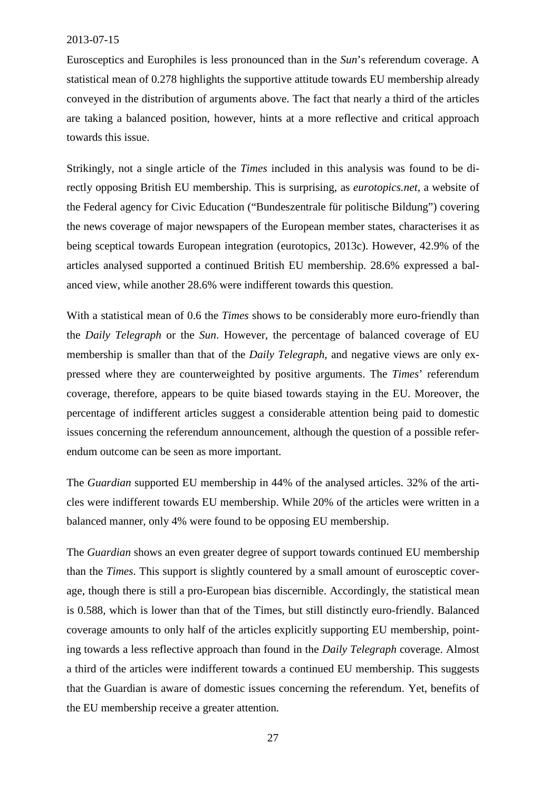Eurosceptics and Europhiles is less pronounced than in the *Sun*'s referendum coverage. A statistical mean of 0.278 highlights the supportive attitude towards EU membership already conveyed in the distribution of arguments above. The fact that nearly a third of the articles are taking a balanced position, however, hints at a more reflective and critical approach towards this issue.

Strikingly, not a single article of the *Times* included in this analysis was found to be directly opposing British EU membership. This is surprising, as *eurotopics.net*, a website of the Federal agency for Civic Education ("Bundeszentrale für politische Bildung") covering the news coverage of major newspapers of the European member states, characterises it as being sceptical towards European integration (eurotopics, 2013c). However, 42.9% of the articles analysed supported a continued British EU membership. 28.6% expressed a balanced view, while another 28.6% were indifferent towards this question.

With a statistical mean of 0.6 the *Times* shows to be considerably more euro-friendly than the *Daily Telegraph* or the *Sun*. However, the percentage of balanced coverage of EU membership is smaller than that of the *Daily Telegraph*, and negative views are only expressed where they are counterweighted by positive arguments. The *Times*' referendum coverage, therefore, appears to be quite biased towards staying in the EU. Moreover, the percentage of indifferent articles suggest a considerable attention being paid to domestic issues concerning the referendum announcement, although the question of a possible referendum outcome can be seen as more important.

The *Guardian* supported EU membership in 44% of the analysed articles. 32% of the articles were indifferent towards EU membership. While 20% of the articles were written in a balanced manner, only 4% were found to be opposing EU membership.

The *Guardian* shows an even greater degree of support towards continued EU membership than the *Times*. This support is slightly countered by a small amount of eurosceptic coverage, though there is still a pro-European bias discernible. Accordingly, the statistical mean is 0.588, which is lower than that of the Times, but still distinctly euro-friendly. Balanced coverage amounts to only half of the articles explicitly supporting EU membership, pointing towards a less reflective approach than found in the *Daily Telegraph* coverage. Almost a third of the articles were indifferent towards a continued EU membership. This suggests that the Guardian is aware of domestic issues concerning the referendum. Yet, benefits of the EU membership receive a greater attention.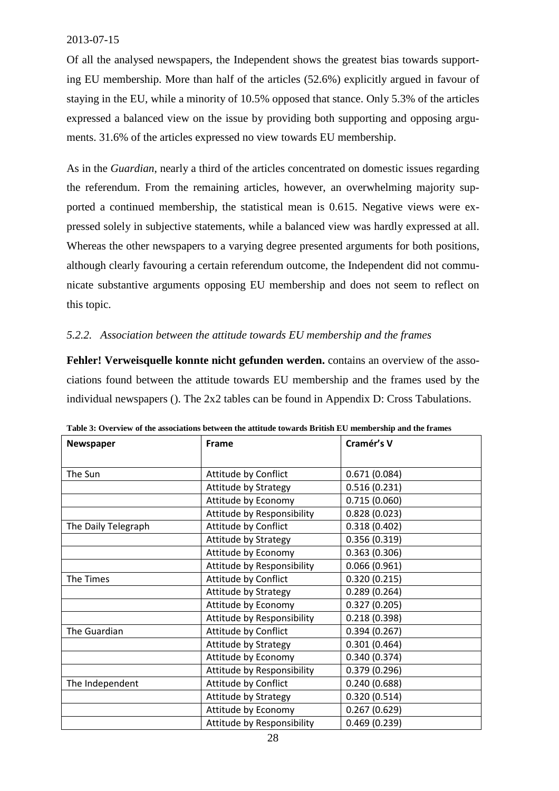Of all the analysed newspapers, the Independent shows the greatest bias towards supporting EU membership. More than half of the articles (52.6%) explicitly argued in favour of staying in the EU, while a minority of 10.5% opposed that stance. Only 5.3% of the articles expressed a balanced view on the issue by providing both supporting and opposing arguments. 31.6% of the articles expressed no view towards EU membership.

<span id="page-28-0"></span>As in the *Guardian*, nearly a third of the articles concentrated on domestic issues regarding the referendum. From the remaining articles, however, an overwhelming majority supported a continued membership, the statistical mean is 0.615. Negative views were expressed solely in subjective statements, while a balanced view was hardly expressed at all. Whereas the other newspapers to a varying degree presented arguments for both positions, although clearly favouring a certain referendum outcome, the Independent did not communicate substantive arguments opposing EU membership and does not seem to reflect on this topic.

# <span id="page-28-1"></span>*5.2.2. Association between the attitude towards EU membership and the frames*

**Fehler! Verweisquelle konnte nicht gefunden werden.** contains an overview of the associations found between the attitude towards EU membership and the frames used by the individual newspapers (). The 2x2 tables can be found in Appendix D: Cross Tabulations.

<span id="page-28-2"></span>

| Newspaper           | Frame                       | Cramér's V   |
|---------------------|-----------------------------|--------------|
|                     |                             |              |
| The Sun             | Attitude by Conflict        | 0.671(0.084) |
|                     | Attitude by Strategy        | 0.516(0.231) |
|                     | Attitude by Economy         | 0.715(0.060) |
|                     | Attitude by Responsibility  | 0.828(0.023) |
| The Daily Telegraph | Attitude by Conflict        | 0.318(0.402) |
|                     | Attitude by Strategy        | 0.356(0.319) |
|                     | Attitude by Economy         | 0.363(0.306) |
|                     | Attitude by Responsibility  | 0.066(0.961) |
| The Times           | Attitude by Conflict        | 0.320(0.215) |
|                     | <b>Attitude by Strategy</b> | 0.289(0.264) |
|                     | Attitude by Economy         | 0.327(0.205) |
|                     | Attitude by Responsibility  | 0.218(0.398) |
| The Guardian        | Attitude by Conflict        | 0.394(0.267) |
|                     | <b>Attitude by Strategy</b> | 0.301(0.464) |
|                     | Attitude by Economy         | 0.340(0.374) |
|                     | Attitude by Responsibility  | 0.379(0.296) |
| The Independent     | Attitude by Conflict        | 0.240(0.688) |
|                     | Attitude by Strategy        | 0.320(0.514) |
|                     | Attitude by Economy         | 0.267(0.629) |
|                     | Attitude by Responsibility  | 0.469(0.239) |

| Table 3: Overview of the associations between the attitude towards British EU membership and the frames |  |  |
|---------------------------------------------------------------------------------------------------------|--|--|
|---------------------------------------------------------------------------------------------------------|--|--|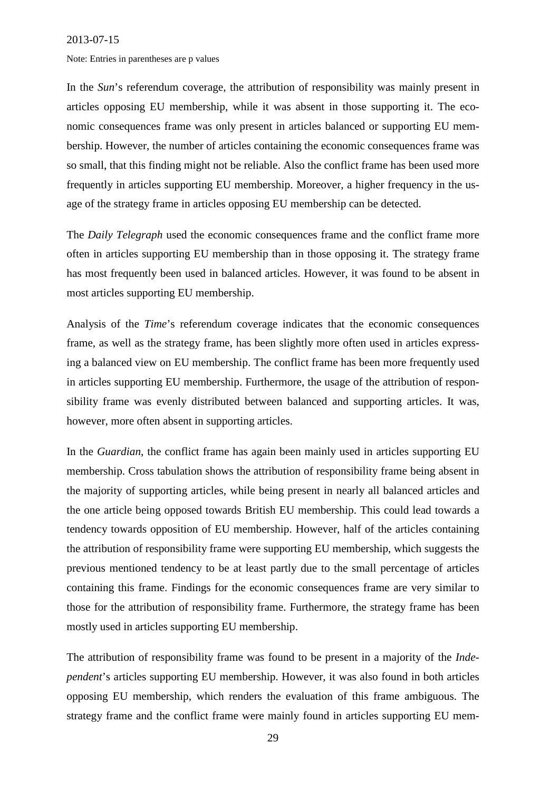Note: Entries in parentheses are p values

In the *Sun*'s referendum coverage, the attribution of responsibility was mainly present in articles opposing EU membership, while it was absent in those supporting it. The economic consequences frame was only present in articles balanced or supporting EU membership. However, the number of articles containing the economic consequences frame was so small, that this finding might not be reliable. Also the conflict frame has been used more frequently in articles supporting EU membership. Moreover, a higher frequency in the usage of the strategy frame in articles opposing EU membershipcan [be detected.](#page-23-0)

The *Daily Telegraph* used the economic consequences frame and the conflict frame more often in articles supporting EU membership than in those opposing it. The strategy frame has most frequently been used in balanced articles. However, it was found to be absent in most articles supporting EU membership.

<span id="page-29-0"></span>Analysis of the *Time*'s referendum coverage indicates that the economic consequences frame, as well as the strategy frame, has been slightly more often used in articles expressing a balanced view on EU membership. The conflict frame has been more frequently used in articles supporting EU membership. Furthermore, the usage of the attribution of responsibility frame was evenly distributed between balanced and supporting articles. It was, however, more often absent in supporting articles.

In the *Guardian*, the conflict frame has again been mainly used in articles supporting EU membership. Cross tabulation shows the attribution of responsibility frame being absent in the majority of supporting articles, while being present in nearly all balanced articles and the one article being opposed towards British EU membership. This could lead towards a tendency towards opposition of EU membership. However, half of the articles containing the attribution of responsibility frame were supporting EU membership, which suggests the previous mentioned tendency to be at least partly due to the small percentage of articles containing this frame. Findings for the economic consequences frame are very similar to those for the attribution of responsibility frame. Furthermore, the strategy frame has been mostly used in articles supporting EU membership.

The attribution of responsibility frame was found to be present in a majority of the *Independent*'s articles supporting EU membership. However, it was also found in both articles opposing EU membership, which renders the evaluation of this frame ambiguous. The strategy frame and the conflict frame were mainly found in articles supporting EU mem-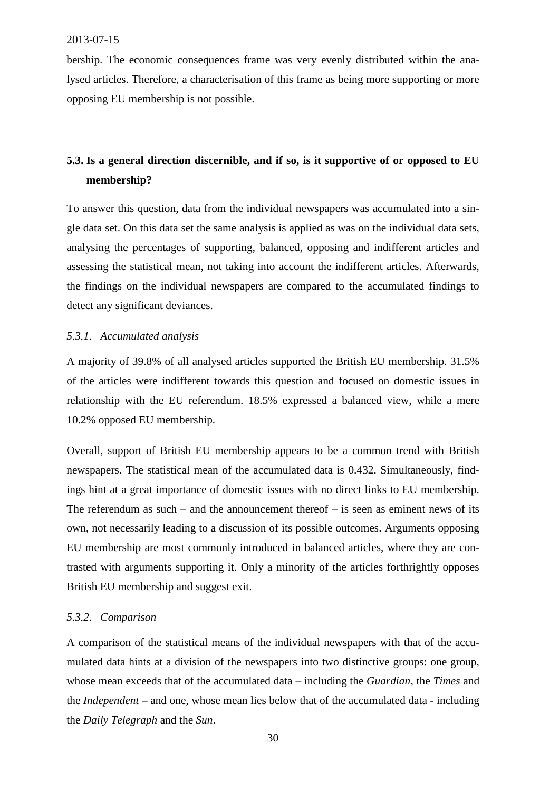bership. The economic consequences frame was very evenly distributed within the analysed articles. Therefore, a characterisation of this frame as being more supporting or more opposing EU membership is not possible.

# **5.3. Is a general direction discernible, and if so, is it supportive of or opposed to EU membership?**

To answer this question, data from the individual newspapers was accumulated into a single data set. On this data set the same analysis is applied as was on the individual data sets, analysing the percentages of supporting, balanced, opposing and indifferent articles and assessing the statistical mean, not taking into account the indifferent articles. Afterwards, the findings on the individual newspapers are compared to the accumulated findings to detect any significant deviances.

# *5.3.1. Accumulated analysis*

A majority of 39.8% of all analysed articles supported the British EU membership. 31.5% of the articles were indifferent towards this question and focused on domestic issues in relationship with the EU referendum. 18.5% expressed a balanced view, while a mere 10.2% opposed EU membership.

Overall, support of British EU membership appears to be a common trend with British newspapers. The statistical mean of the accumulated data is 0.432. Simultaneously, findings hint at a great importance of domestic issues with no direct links to EU membership. The referendum as such – and the announcement thereof – is seen as eminent news of its own, not necessarily leading to a discussion of its possible outcomes. Arguments opposing EU membership are most commonly introduced in balanced articles, where they are contrasted with arguments supporting it. Only a minority of the articles forthrightly opposes British EU membership and suggest exit.

# *5.3.2. Comparison*

A comparison of the statistical means of the individual newspapers with that of the accumulated data hints at a division of the newspapers into two distinctive groups: one group, whose mean exceeds that of the accumulated data – including the *Guardian*, the *Times* and the *Independent* – and one, whose mean lies below that of the accumulated data - including the *Daily Telegraph* and the *Sun*.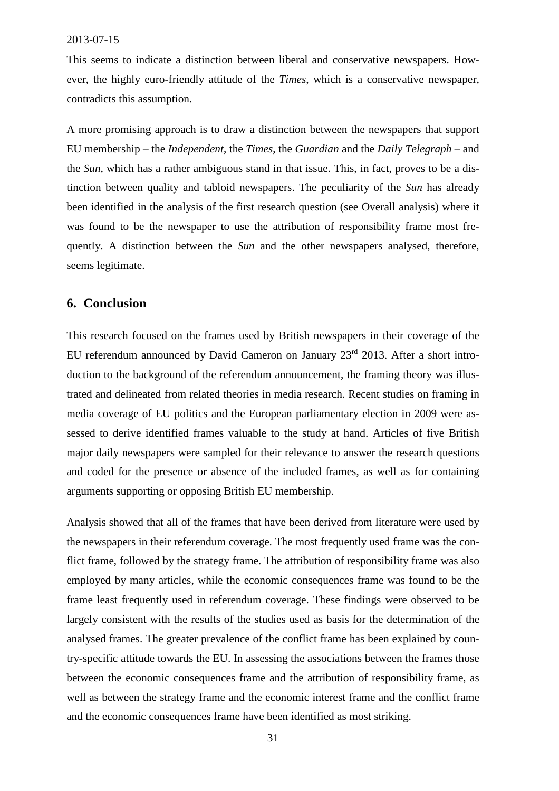This seems to indicate a distinction between liberal and conservative newspapers. However, the highly euro-friendly attitude of the *Times*, which is a conservative newspaper, contradicts this assumption.

<span id="page-31-0"></span>A more promising approach is to draw a distinction between the newspapers that support EU membership – the *Independent*, the *Times*, the *Guardian* and the *Daily Telegraph* – and the *Sun*, which has a rather ambiguous stand in that issue. This, in fact, proves to be a distinction between quality and tabloid newspapers. The peculiarity of the *Sun* has already been identified in the analysis of the first research question (see Overall analysis) where it was found to be the newspaper to use the attribution of responsibility frame most frequently. A distinction between the *Sun* and the other newspapers analysed, therefore, seems legitimate.

# **6. Conclusion**

This research focused on the frames used by British newspapers in their coverage of the EU referendum announced by David Cameron on January  $23<sup>rd</sup>$  2013. After a short introduction to the background of the referendum announcement, the framing theory was illustrated and delineated from related theories in media research. Recent studies on framing in media coverage of EU politics and the European parliamentary election in 2009 were assessed to derive identified frames valuable to the study at hand. Articles of five British major daily newspapers were sampled for their relevance to answer the research questions and coded for the presence or absence of the included frames, as well as for containing arguments supporting or opposing British EU membership.

Analysis showed that all of the frames that have been derived from literature were used by the newspapers in their referendum coverage. The most frequently used frame was the conflict frame, followed by the strategy frame. The attribution of responsibility frame was also employed by many articles, while the economic consequences frame was found to be the frame least frequently used in referendum coverage. These findings were observed to be largely consistent with the results of the studies used as basis for the determination of the analysed frames. The greater prevalence of the conflict frame has been explained by country-specific attitude towards the EU. In assessing the associations between the frames those between the economic consequences frame and the attribution of responsibility frame, as well as between the strategy frame and the economic interest frame and the conflict frame and the economic consequences frame have been identified as most striking.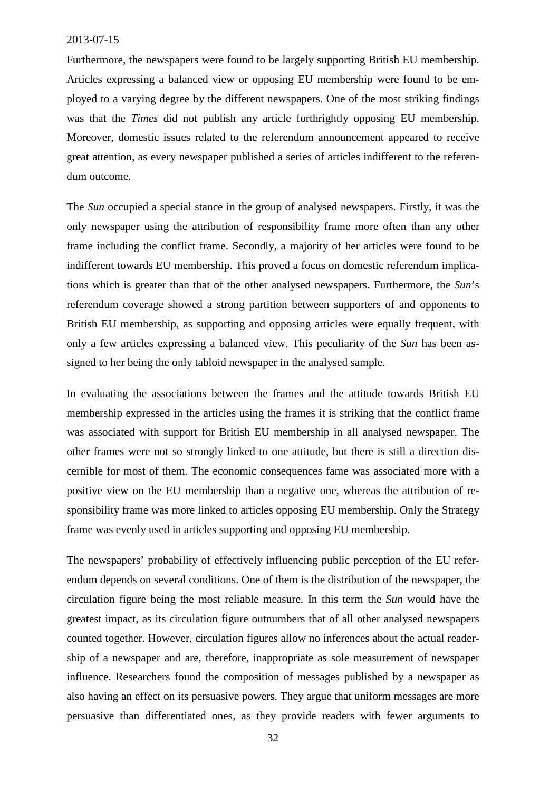Furthermore, the newspapers were found to be largely supporting British EU membership. Articles expressing a balanced view or opposing EU membership were found to be employed to a varying degree by the different newspapers. One of the most striking findings was that the *Times* did not publish any article forthrightly opposing EU membership. Moreover, domestic issues related to the referendum announcement appeared to receive great attention, as every newspaper published a series of articles indifferent to the referendum outcome.

The *Sun* occupied a special stance in the group of analysed newspapers. Firstly, it was the only newspaper using the attribution of responsibility frame more often than any other frame including the conflict frame. Secondly, a majority of her articles were found to be indifferent towards EU membership. This proved a focus on domestic referendum implications which is greater than that of the other analysed newspapers. Furthermore, the *Sun*'s referendum coverage showed a strong partition between supporters of and opponents to British EU membership, as supporting and opposing articles were equally frequent, with only a few articles expressing a balanced view. This peculiarity of the *Sun* has been assigned to her being the only tabloid newspaper in the analysed sample.

In evaluating the associations between the frames and the attitude towards British EU membership expressed in the articles using the frames it is striking that the conflict frame was associated with support for British EU membership in all analysed newspaper. The other frames were not so strongly linked to one attitude, but there is still a direction discernible for most of them. The economic consequences fame was associated more with a positive view on the EU membership than a negative one, whereas the attribution of responsibility frame was more linked to articles opposing EU membership. Only the Strategy frame was evenly used in articles supporting and opposing EU membership.

The newspapers' probability of effectively influencing public perception of the EU referendum depends on several conditions. One of them is the distribution of the newspaper, the circulation figure being the most reliable measure. In this term the *Sun* would have the greatest impact, as its circulation figure outnumbers that of all other analysed newspapers counted together. However, circulation figures allow no inferences about the actual readership of a newspaper and are, therefore, inappropriate as sole measurement of newspaper influence. Researchers found the composition of messages published by a newspaper as also having an effect on its persuasive powers. They argue that uniform messages are more persuasive than differentiated ones, as they provide readers with fewer arguments to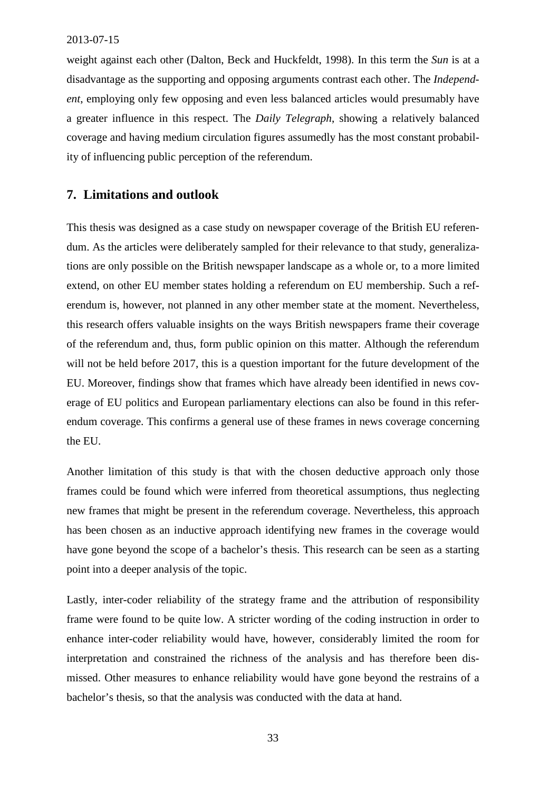<span id="page-33-0"></span>weight against each other (Dalton, Beck and Huckfeldt, 1998). In this term the *Sun* is at a disadvantage as the supporting and opposing arguments contrast each other. The *Independent*, employing only few opposing and even less balanced articles would presumably have [a greater influence in this respect. The](http://www.news.at/articles/0550/11/128466/von-egks-eu-die-gruendung-europaeischen-gemeinschaft-ueberblick) *[Daily Telegraph](http://www.news.at/articles/0550/11/128466/von-egks-eu-die-gruendung-europaeischen-gemeinschaft-ueberblick)*[, showing a relatively balanced](http://www.news.at/articles/0550/11/128466/von-egks-eu-die-gruendung-europaeischen-gemeinschaft-ueberblick) [coverage and having medium circulation figures assumedly has the most constant probabil](http://www.news.at/articles/0550/11/128466/von-egks-eu-die-gruendung-europaeischen-gemeinschaft-ueberblick)ity of influencing public perception of the referendum.

# **7. Limitations and outlook**

This thesis was designed as a case study on newspaper coverage of the British EU referendum. As the articles were deliberately sampled for their relevance to that study, generalizations are only possible on the British newspaper landscape as a whole or, to a more limited extend, on other EU member states holding a referendum on EU membership. Such a referendum is, however, not planned in any other member state at the moment. Nevertheless, [this research offers valuable insights on the ways British newspapers frame their coverage](http://www.minitab.com/uploadedFiles/Shared_Resources/Documents/Articles/fisher_exact_test.pdf) [of the refe](http://www.minitab.com/uploadedFiles/Shared_Resources/Documents/Articles/fisher_exact_test.pdf)rendum and, thus, form public opinion on this matter. Although the referendum will not be held before 2017, this is a question important for the future development of the [EU. Moreover, findings show that frames which have already been ide](https://www.gov.uk/government/speeches/eu-speech-at-bloomberg)ntified in news coverage of EU politics and European parliamentary elections can also be found in this referendum coverage. This confirms a general use of these frames in news coverage concerning the EU.

Another limitation of this study is that with the chosen deductive approach only those frames could be found which were inferred from theoretical assumptions, thus neglecting new frames that might be present in the referendum coverage. Nevertheless, this approach has beench[osen as an inductive approach identifying n](http://www.europeannocampaign.com/175.html)ew frames in the coverage would have gone beyond the scope of a bachelor's thesis. This research can be seen as a starting [point into a deeper analysis of the topic.](http://www.europeannocampaign.com/176.html)

Lastly,inte[r-coder reliability of the strategy frame and](http://www.europeannocampaign.com/175.html) the attribution of responsibility frame were found to be quite low. A stricter wording of the coding instruction in order to [enhance inter-coder reliability would have,](http://www.europeannocampaign.com/177.html) however, considerably limited the room for interpretation and constrained the richness of the analysis and has therefore been dis[missed. Other measures to enhance reliabili](http://www.europeannocampaign.com/178.html)ty would have gone beyond the restrains of a bachelor's thesis, so that the analysis was conducted with the data at hand.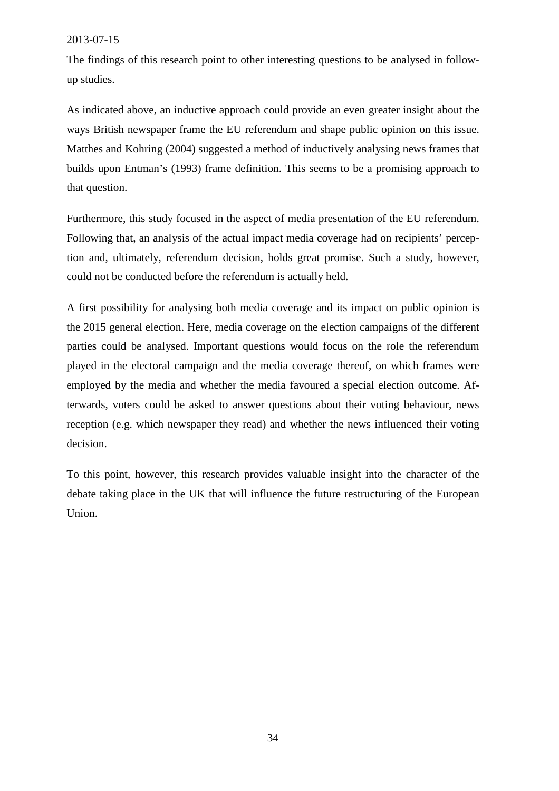The findings of this research point to other interesting questions to be analysed in follow[up studies.](http://www.eurotopics.net/de/home/medienindex/media_articles/?frommedia=515)

[As indicated above, an inductive approach could provide an even greater insight abou](http://www.eurotopics.net/de/home/medienindex/media_articles/?frommedia=245)t the ways British newspaper frame the EU referendum and shape public opinion on this issue. [Matthes and Kohring \(2004\) suggested a method of inductively analysing news frames](http://www.eurotopics.net/de/home/medienindex/media_articles/?frommedia=250) that builds upon Entman's (1993) frame definition. This seems to be a promising approach to [that question.](http://www.eurotopics.net/de/home/medienindex/media_articles/?frommedia=266)

Furthermore, this study focused in the aspect of media presentation of the EU referendum. [Following that, an analysis of the actual impact media coverage had on recipients' percep](http://www.cui-zy.cn/Recommended/Nature&glabolization/UKEUEmpire.pdf)[tion and, ultimately, referendum decision, holds great promise.](http://www.cui-zy.cn/Recommended/Nature&glabolization/UKEUEmpire.pdf) Such a study, however, could not be conducted before the referendum is actually held.

A first possibility for analysing both media coverage and its impact on public opinion is the 2015 general election. Here, media coverage on the election campaigns of the different parties could be analysed. Important questions would focus on the role the referendum played in the electoral campaign and the media coverage thereof, on which frames were employed by the media and whether the media favoured a special election outcome. Afterwards, voters could be asked to answer questions about their voting behaviour, news reception (e.g. which newspaper they read) and whether the news influenced their voting decision.

To this point, however, this research provides valuable insight into the character of the debate taking place in the UK that will influence the future restructuring of the European [Union.](http://www.nsd.uib.no/european_election_database/election_types/eu_related_referendums.html)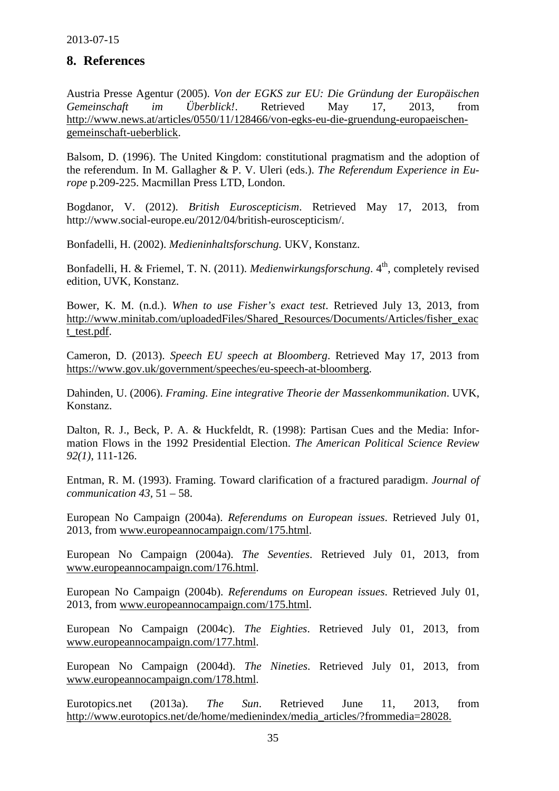# <span id="page-35-0"></span>**8. References**

<span id="page-35-1"></span>Austria Presse Agentur (2005). *Von der EGKS zur EU: Die Gründung der Europäischen Gemeinschaft im Überblick!*. Retrieved May 17, 2013, from http://www.news.at/articles/0550/11/128466/von-egks-eu-die-gruendung-europaeischengemeinschaft-ueberblick.

Balsom, D. (1996). The United Kingdom: constitutional pragmatism and the adoption of the referendum. In M. Gallagher & P. V. Uleri (eds.). *The Referendum Experience in Europe* p.209-225. Macmillan Press LTD, London.

Bogdanor, V. (2012). *British Euroscepticism*. Retrieved May 17, 2013, from http://www.social-europe.eu/2012/04/british-euroscepticism/.

Bonfadelli, H. (2002). *Medieninhaltsforschung.* UKV, Konstanz.

Bonfadelli, H. & Friemel, T. N. (2011). *Medienwirkungsforschung*. 4<sup>th</sup>, completely revised edition, UVK, Konstanz.

Bower, K. M. (n.d.). *When to use Fisher's exact test*. Retrieved July 13, 2013, from http://www.minitab.com/uploadedFiles/Shared\_Resources/Documents/Articles/fisher\_exac t\_test.pdf.

Cameron, D. (2013). *Speech EU speech at Bloomberg*. Retrieved May 17, 2013 from https://www.gov.uk/government/speeches/eu-speech-at-bloomberg.

Dahinden, U. (2006). *Framing. Eine integrative Theorie der Massenkommunikation*. UVK, Konstanz.

Dalton, R. J., Beck, P. A. & Huckfeldt, R. (1998): Partisan Cues and the Media: Information Flows in the 1992 Presidential Election. *The American Political Science Review 92(1)*, 111-126.

Entman, R. M. (1993). Framing. Toward clarification of a fractured paradigm. *Journal of communication 43,* 51 – 58.

European No Campaign (2004a). *Referendums on European issues*. Retrieved July 01, 2013, from www.europeannocampaign.com/175.html.

European No Campaign (2004a). *The Seventies*. Retrieved July 01, 2013, from www.europeannocampaign.com/176.html.

European No Campaign (2004b). *Referendums on European issues*. Retrieved July 01, 2013, from www.europeannocampaign.com/175.html.

European No Campaign (2004c). *The Eighties*. Retrieved July 01, 2013, from www.europeannocampaign.com/177.html.

European No Campaign (2004d). *The Nineties*. Retrieved July 01, 2013, from www.europeannocampaign.com/178.html.

Eurotopics.net (2013a). *The Sun*. Retrieved June 11, 2013, from http://www.eurotopics.net/de/home/medienindex/media\_articles/?frommedia=28028.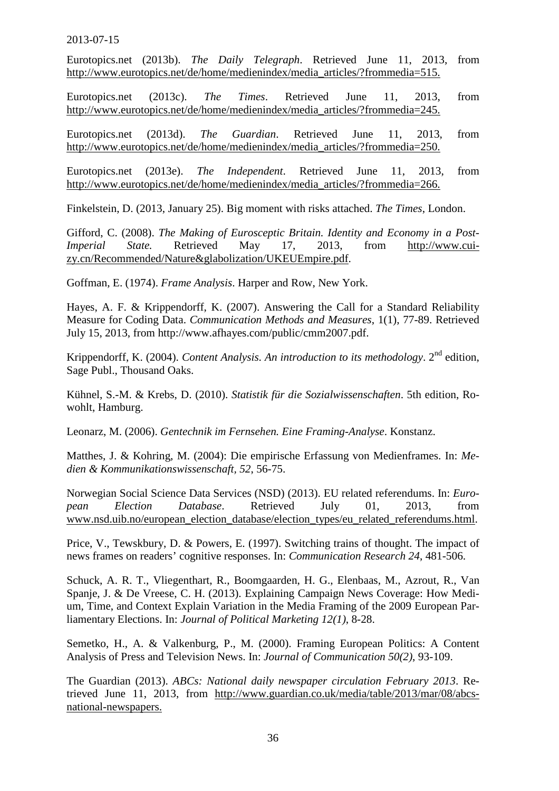Eurotopics.net (2013b). *The Daily Telegraph*. Retrieved June 11, 2013, from http://www.eurotopics.net/de/home/medienindex/media\_articles/?frommedia=515.

Eurotopics.net (2013c). *The Times*. Retrieved June 11, 2013, from http://www.eurotopics.net/de/home/medienindex/media\_articles/?frommedia=245.

Eurotopics.net (2013d). *The Guardian*. Retrieved June 11, 2013, from http://www.eurotopics.net/de/home/medienindex/media\_articles/?frommedia=250.

Eurotopics.net (2013e). *The Independent*. Retrieved June 11, 2013, from http://www.eurotopics.net/de/home/medienindex/media\_articles/?frommedia=266.

Finkelstein, D. (2013, January 25). Big moment with risks attached. *The Times*, London.

Gifford, C. (2008). *The Making of Eurosceptic Britain. Identity and Economy in a Post-Imperial State.* Retrieved May 17, 2013, from http://www.cuizy.cn/Recommended/Nature&glabolization/UKEUEmpire.pdf.

Goffman, E. (1974). *Frame Analysis*. Harper and Row, New York.

Hayes, A. F. & Krippendorff, K. (2007). Answering the Call for a Standard Reliability Measure for Coding Data. *Communication Methods and Measures*, 1(1), 77-89. Retrieved July 15, 2013, from http://www.afhayes.com/public/cmm2007.pdf.

Krippendorff, K. (2004). *Content Analysis. An introduction to its methodology*. 2<sup>nd</sup> edition, Sage Publ., Thousand Oaks.

Kühnel, S.-M. & Krebs, D. (2010). *Statistik für die Sozialwissenschaften*. 5th edition, Rowohlt, Hamburg.

Leonarz, M. (2006). *Gentechnik im Fernsehen. Eine Framing-Analyse*. Konstanz.

Matthes, J. & Kohring, M. (2004): Die empirische Erfassung von Medienframes. In: *Medien & Kommunikationswissenschaft, 52*, 56-75.

Norwegian Social Science Data Services (NSD) (2013). EU related referendums. In: *European Election Database*. Retrieved July 01, 2013, from www.nsd.uib.no/european\_election\_database/election\_types/eu\_related\_referendums.html.

Price, V., Tewskbury, D. & Powers, E. (1997). Switching trains of thought. The impact of news frames on readers' cognitive responses. In: *Communication Research 24*, 481-506.

Schuck, A. R. T., Vliegenthart, R., Boomgaarden, H. G., Elenbaas, M., Azrout, R., Van Spanje, J. & De Vreese, C. H. (2013). Explaining Campaign News Coverage: How Medium, Time, and Context Explain Variation in the Media Framing of the 2009 European Parliamentary Elections. In: *Journal of Political Marketing 12(1)*, 8-28.

Semetko, H., A. & Valkenburg, P., M. (2000). Framing European Politics: A Content Analysis of Press and Television News. In: *Journal of Communication 50(2)*, 93-109.

The Guardian (2013). *ABCs: National daily newspaper circulation February 2013*. Retrieved June 11, 2013, from http://www.guardian.co.uk/media/table/2013/mar/08/abcsnational-newspapers.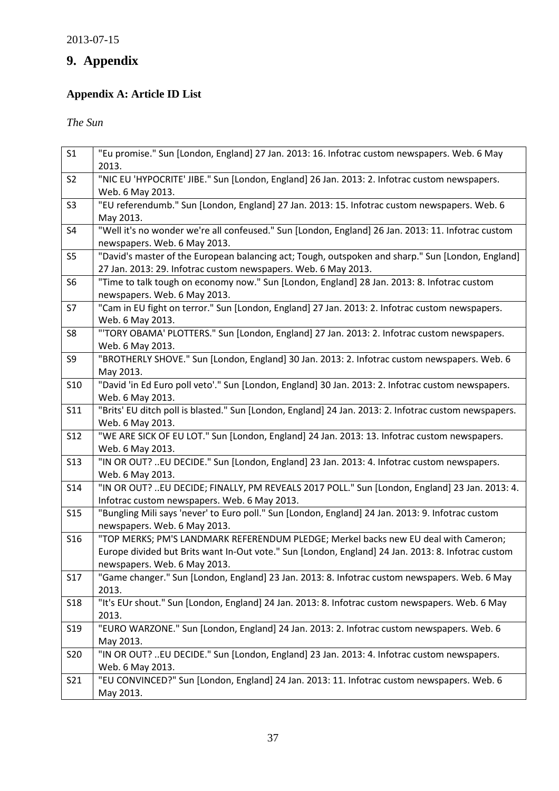# **9. Appendix**

# **Appendix A: Article ID List**

*The Sun*

| S <sub>1</sub>  | "Eu promise." Sun [London, England] 27 Jan. 2013: 16. Infotrac custom newspapers. Web. 6 May<br>2013.                                                                                                                     |
|-----------------|---------------------------------------------------------------------------------------------------------------------------------------------------------------------------------------------------------------------------|
| S <sub>2</sub>  | "NIC EU 'HYPOCRITE' JIBE." Sun [London, England] 26 Jan. 2013: 2. Infotrac custom newspapers.<br>Web. 6 May 2013.                                                                                                         |
| S <sub>3</sub>  | "EU referendumb." Sun [London, England] 27 Jan. 2013: 15. Infotrac custom newspapers. Web. 6<br>May 2013.                                                                                                                 |
| S4              | "Well it's no wonder we're all confeused." Sun [London, England] 26 Jan. 2013: 11. Infotrac custom<br>newspapers. Web. 6 May 2013.                                                                                        |
| S <sub>5</sub>  | "David's master of the European balancing act; Tough, outspoken and sharp." Sun [London, England]<br>27 Jan. 2013: 29. Infotrac custom newspapers. Web. 6 May 2013.                                                       |
| S <sub>6</sub>  | "Time to talk tough on economy now." Sun [London, England] 28 Jan. 2013: 8. Infotrac custom<br>newspapers. Web. 6 May 2013.                                                                                               |
| S7              | "Cam in EU fight on terror." Sun [London, England] 27 Jan. 2013: 2. Infotrac custom newspapers.<br>Web. 6 May 2013.                                                                                                       |
| S8              | "'TORY OBAMA' PLOTTERS." Sun [London, England] 27 Jan. 2013: 2. Infotrac custom newspapers.<br>Web. 6 May 2013.                                                                                                           |
| S9              | "BROTHERLY SHOVE." Sun [London, England] 30 Jan. 2013: 2. Infotrac custom newspapers. Web. 6<br>May 2013.                                                                                                                 |
| S10             | "David 'in Ed Euro poll veto'." Sun [London, England] 30 Jan. 2013: 2. Infotrac custom newspapers.<br>Web. 6 May 2013.                                                                                                    |
| S11             | "Brits' EU ditch poll is blasted." Sun [London, England] 24 Jan. 2013: 2. Infotrac custom newspapers.<br>Web. 6 May 2013.                                                                                                 |
| <b>S12</b>      | "WE ARE SICK OF EU LOT." Sun [London, England] 24 Jan. 2013: 13. Infotrac custom newspapers.<br>Web. 6 May 2013.                                                                                                          |
| <b>S13</b>      | "IN OR OUT? EU DECIDE." Sun [London, England] 23 Jan. 2013: 4. Infotrac custom newspapers.<br>Web. 6 May 2013.                                                                                                            |
| S14             | "IN OR OUT? EU DECIDE; FINALLY, PM REVEALS 2017 POLL." Sun [London, England] 23 Jan. 2013: 4.<br>Infotrac custom newspapers. Web. 6 May 2013.                                                                             |
| <b>S15</b>      | "Bungling Mili says 'never' to Euro poll." Sun [London, England] 24 Jan. 2013: 9. Infotrac custom<br>newspapers. Web. 6 May 2013.                                                                                         |
| <b>S16</b>      | "TOP MERKS; PM'S LANDMARK REFERENDUM PLEDGE; Merkel backs new EU deal with Cameron;<br>Europe divided but Brits want In-Out vote." Sun [London, England] 24 Jan. 2013: 8. Infotrac custom<br>newspapers. Web. 6 May 2013. |
| S17             | "Game changer." Sun [London, England] 23 Jan. 2013: 8. Infotrac custom newspapers. Web. 6 May<br>2013.                                                                                                                    |
| S <sub>18</sub> | "It's EUr shout." Sun [London, England] 24 Jan. 2013: 8. Infotrac custom newspapers. Web. 6 May<br>2013.                                                                                                                  |
| S <sub>19</sub> | "EURO WARZONE." Sun [London, England] 24 Jan. 2013: 2. Infotrac custom newspapers. Web. 6<br>May 2013.                                                                                                                    |
| S20             | "IN OR OUT? EU DECIDE." Sun [London, England] 23 Jan. 2013: 4. Infotrac custom newspapers.<br>Web. 6 May 2013.                                                                                                            |
| S21             | "EU CONVINCED?" Sun [London, England] 24 Jan. 2013: 11. Infotrac custom newspapers. Web. 6<br>May 2013.                                                                                                                   |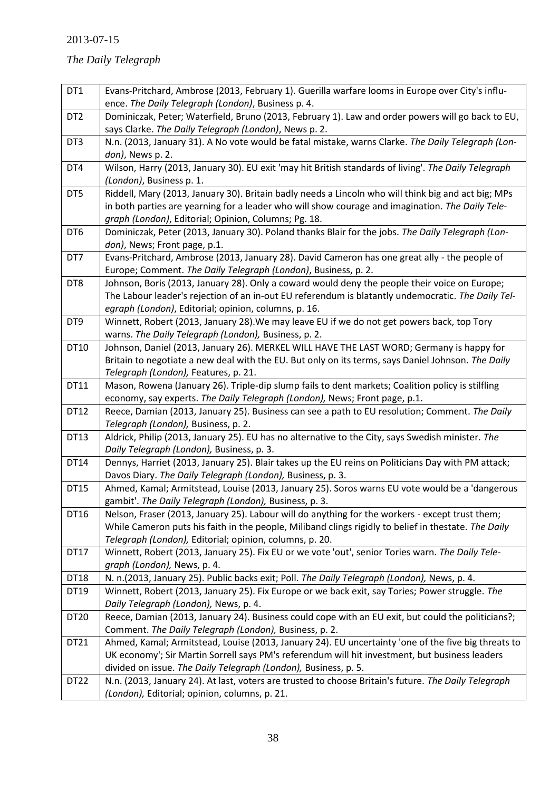# *The Daily Telegraph*

| DT1              | Evans-Pritchard, Ambrose (2013, February 1). Guerilla warfare looms in Europe over City's influ-     |
|------------------|------------------------------------------------------------------------------------------------------|
|                  | ence. The Daily Telegraph (London), Business p. 4.                                                   |
| DT <sub>2</sub>  | Dominiczak, Peter; Waterfield, Bruno (2013, February 1). Law and order powers will go back to EU,    |
|                  | says Clarke. The Daily Telegraph (London), News p. 2.                                                |
| DT3              | N.n. (2013, January 31). A No vote would be fatal mistake, warns Clarke. The Daily Telegraph (Lon-   |
|                  | don), News p. 2.                                                                                     |
| DT4              | Wilson, Harry (2013, January 30). EU exit 'may hit British standards of living'. The Daily Telegraph |
|                  | (London), Business p. 1.                                                                             |
| DT5              | Riddell, Mary (2013, January 30). Britain badly needs a Lincoln who will think big and act big; MPs  |
|                  | in both parties are yearning for a leader who will show courage and imagination. The Daily Tele-     |
|                  | graph (London), Editorial; Opinion, Columns; Pg. 18.                                                 |
| DT6              | Dominiczak, Peter (2013, January 30). Poland thanks Blair for the jobs. The Daily Telegraph (Lon-    |
|                  | don), News; Front page, p.1.                                                                         |
| DT7              | Evans-Pritchard, Ambrose (2013, January 28). David Cameron has one great ally - the people of        |
|                  | Europe; Comment. The Daily Telegraph (London), Business, p. 2.                                       |
| DT8              | Johnson, Boris (2013, January 28). Only a coward would deny the people their voice on Europe;        |
|                  | The Labour leader's rejection of an in-out EU referendum is blatantly undemocratic. The Daily Tel-   |
|                  | egraph (London), Editorial; opinion, columns, p. 16.                                                 |
| DT9              | Winnett, Robert (2013, January 28). We may leave EU if we do not get powers back, top Tory           |
|                  | warns. The Daily Telegraph (London), Business, p. 2.                                                 |
| DT10             | Johnson, Daniel (2013, January 26). MERKEL WILL HAVE THE LAST WORD; Germany is happy for             |
|                  | Britain to negotiate a new deal with the EU. But only on its terms, says Daniel Johnson. The Daily   |
|                  | Telegraph (London), Features, p. 21.                                                                 |
| DT11             | Mason, Rowena (January 26). Triple-dip slump fails to dent markets; Coalition policy is stilfling    |
|                  | economy, say experts. The Daily Telegraph (London), News; Front page, p.1.                           |
| DT12             | Reece, Damian (2013, January 25). Business can see a path to EU resolution; Comment. The Daily       |
|                  | Telegraph (London), Business, p. 2.                                                                  |
| DT13             | Aldrick, Philip (2013, January 25). EU has no alternative to the City, says Swedish minister. The    |
|                  | Daily Telegraph (London), Business, p. 3.                                                            |
| DT14             | Dennys, Harriet (2013, January 25). Blair takes up the EU reins on Politicians Day with PM attack;   |
|                  | Davos Diary. The Daily Telegraph (London), Business, p. 3.                                           |
| <b>DT15</b>      | Ahmed, Kamal; Armitstead, Louise (2013, January 25). Soros warns EU vote would be a 'dangerous       |
|                  | gambit'. The Daily Telegraph (London), Business, p. 3.                                               |
| DT16             | Nelson, Fraser (2013, January 25). Labour will do anything for the workers - except trust them;      |
|                  | While Cameron puts his faith in the people, Miliband clings rigidly to belief in thestate. The Daily |
|                  | Telegraph (London), Editorial; opinion, columns, p. 20.                                              |
| DT17             | Winnett, Robert (2013, January 25). Fix EU or we vote 'out', senior Tories warn. The Daily Tele-     |
|                  | graph (London), News, p. 4.                                                                          |
| <b>DT18</b>      | N. n.(2013, January 25). Public backs exit; Poll. The Daily Telegraph (London), News, p. 4.          |
| DT19             | Winnett, Robert (2013, January 25). Fix Europe or we back exit, say Tories; Power struggle. The      |
|                  | Daily Telegraph (London), News, p. 4.                                                                |
| DT20             | Reece, Damian (2013, January 24). Business could cope with an EU exit, but could the politicians?;   |
|                  | Comment. The Daily Telegraph (London), Business, p. 2.                                               |
| DT21             | Ahmed, Kamal; Armitstead, Louise (2013, January 24). EU uncertainty 'one of the five big threats to  |
|                  | UK economy'; Sir Martin Sorrell says PM's referendum will hit investment, but business leaders       |
|                  | divided on issue. The Daily Telegraph (London), Business, p. 5.                                      |
| DT <sub>22</sub> | N.n. (2013, January 24). At last, voters are trusted to choose Britain's future. The Daily Telegraph |
|                  | (London), Editorial; opinion, columns, p. 21.                                                        |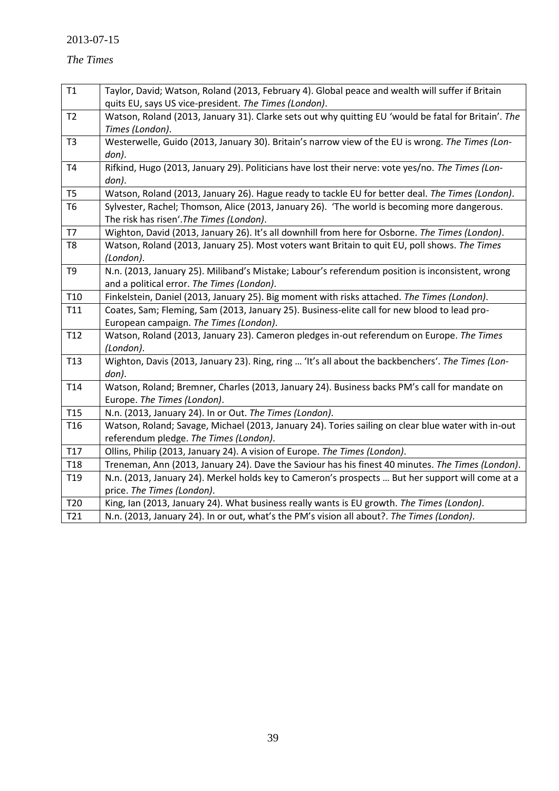# *The Times*

| T1              | Taylor, David; Watson, Roland (2013, February 4). Global peace and wealth will suffer if Britain     |
|-----------------|------------------------------------------------------------------------------------------------------|
|                 | quits EU, says US vice-president. The Times (London).                                                |
| T <sub>2</sub>  | Watson, Roland (2013, January 31). Clarke sets out why quitting EU 'would be fatal for Britain'. The |
|                 | Times (London).                                                                                      |
| T <sub>3</sub>  | Westerwelle, Guido (2013, January 30). Britain's narrow view of the EU is wrong. The Times (Lon-     |
|                 | don).                                                                                                |
| T4              | Rifkind, Hugo (2013, January 29). Politicians have lost their nerve: vote yes/no. The Times (Lon-    |
|                 | don).                                                                                                |
| T <sub>5</sub>  | Watson, Roland (2013, January 26). Hague ready to tackle EU for better deal. The Times (London).     |
| <b>T6</b>       | Sylvester, Rachel; Thomson, Alice (2013, January 26). 'The world is becoming more dangerous.         |
|                 | The risk has risen'. The Times (London).                                                             |
| T7              | Wighton, David (2013, January 26). It's all downhill from here for Osborne. The Times (London).      |
| T <sub>8</sub>  | Watson, Roland (2013, January 25). Most voters want Britain to quit EU, poll shows. The Times        |
|                 | (London).                                                                                            |
| T <sub>9</sub>  | N.n. (2013, January 25). Miliband's Mistake; Labour's referendum position is inconsistent, wrong     |
|                 | and a political error. The Times (London).                                                           |
| T <sub>10</sub> | Finkelstein, Daniel (2013, January 25). Big moment with risks attached. The Times (London).          |
| T11             | Coates, Sam; Fleming, Sam (2013, January 25). Business-elite call for new blood to lead pro-         |
|                 | European campaign. The Times (London).                                                               |
| T12             | Watson, Roland (2013, January 23). Cameron pledges in-out referendum on Europe. The Times            |
|                 | (London).                                                                                            |
| T <sub>13</sub> | Wighton, Davis (2013, January 23). Ring, ring  'It's all about the backbenchers'. The Times (Lon-    |
|                 | don).                                                                                                |
| T14             | Watson, Roland; Bremner, Charles (2013, January 24). Business backs PM's call for mandate on         |
|                 | Europe. The Times (London).                                                                          |
| T <sub>15</sub> | N.n. (2013, January 24). In or Out. The Times (London).                                              |
| T <sub>16</sub> | Watson, Roland; Savage, Michael (2013, January 24). Tories sailing on clear blue water with in-out   |
|                 | referendum pledge. The Times (London).                                                               |
| T17             | Ollins, Philip (2013, January 24). A vision of Europe. The Times (London).                           |
| T <sub>18</sub> | Treneman, Ann (2013, January 24). Dave the Saviour has his finest 40 minutes. The Times (London).    |
| T <sub>19</sub> | N.n. (2013, January 24). Merkel holds key to Cameron's prospects  But her support will come at a     |
|                 | price. The Times (London).                                                                           |
| T <sub>20</sub> | King, Ian (2013, January 24). What business really wants is EU growth. The Times (London).           |
| T21             | N.n. (2013, January 24). In or out, what's the PM's vision all about?. The Times (London).           |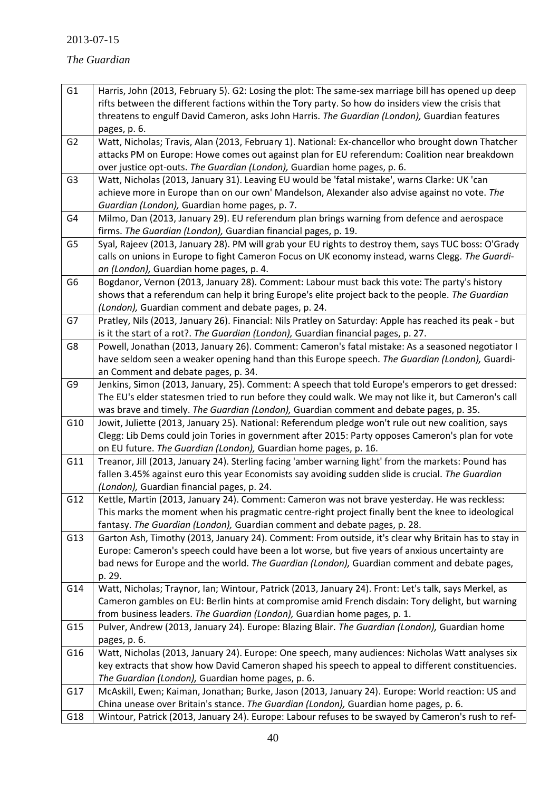# *The Guardian*

<span id="page-40-0"></span>

| G <sub>1</sub> | Harris, John (2013, February 5). G2: Losing the plot: The same-sex marriage bill has opened up deep                                                                                     |
|----------------|-----------------------------------------------------------------------------------------------------------------------------------------------------------------------------------------|
|                | rifts between the different factions within the Tory party. So how do insiders view the crisis that                                                                                     |
|                | threatens to engulf David Cameron, asks John Harris. The Guardian (London), Guardian features                                                                                           |
|                | pages, p. 6.                                                                                                                                                                            |
| G <sub>2</sub> | Watt, Nicholas; Travis, Alan (2013, February 1). National: Ex-chancellor who brought down Thatcher                                                                                      |
|                | attacks PM on Europe: Howe comes out against plan for EU referendum: Coalition near breakdown                                                                                           |
|                | over justice opt-outs. The Guardian (London), Guardian home pages, p. 6.                                                                                                                |
| G <sub>3</sub> | Watt, Nicholas (2013, January 31). Leaving EU would be 'fatal mistake', warns Clarke: UK 'can                                                                                           |
|                | achieve more in Europe than on our own' Mandelson, Alexander also advise against no vote. The                                                                                           |
|                | Guardian (London), Guardian home pages, p. 7.                                                                                                                                           |
| G4             | Milmo, Dan (2013, January 29). EU referendum plan brings warning from defence and aerospace                                                                                             |
|                | firms. The Guardian (London), Guardian financial pages, p. 19.                                                                                                                          |
| G <sub>5</sub> | Syal, Rajeev (2013, January 28). PM will grab your EU rights to destroy them, says TUC boss: O'Grady                                                                                    |
|                | calls on unions in Europe to fight Cameron Focus on UK economy instead, warns Clegg. The Guardi-                                                                                        |
|                | an (London), Guardian home pages, p. 4.                                                                                                                                                 |
| G <sub>6</sub> | Bogdanor, Vernon (2013, January 28). Comment: Labour must back this vote: The party's history                                                                                           |
|                | shows that a referendum can help it bring Europe's elite project back to the people. The Guardian                                                                                       |
|                | (London), Guardian comment and debate pages, p. 24.                                                                                                                                     |
| G7             | Pratley, Nils (2013, January 26). Financial: Nils Pratley on Saturday: Apple has reached its peak - but                                                                                 |
|                | is it the start of a rot?. The Guardian (London), Guardian financial pages, p. 27.<br>Powell, Jonathan (2013, January 26). Comment: Cameron's fatal mistake: As a seasoned negotiator I |
| G8             | have seldom seen a weaker opening hand than this Europe speech. The Guardian (London), Guardi-                                                                                          |
|                | an Comment and debate pages, p. 34.                                                                                                                                                     |
| G9             | Jenkins, Simon (2013, January, 25). Comment: A speech that told Europe's emperors to get dressed:                                                                                       |
|                | The EU's elder statesmen tried to run before they could walk. We may not like it, but Cameron's call                                                                                    |
|                | was brave and timely. The Guardian (London), Guardian comment and debate pages, p. 35.                                                                                                  |
| G10            | Jowit, Juliette (2013, January 25). National: Referendum pledge won't rule out new coalition, says                                                                                      |
|                | Clegg: Lib Dems could join Tories in government after 2015: Party opposes Cameron's plan for vote                                                                                       |
|                | on EU future. The Guardian (London), Guardian home pages, p. 16.                                                                                                                        |
| G11            | Treanor, Jill (2013, January 24). Sterling facing 'amber warning light' from the markets: Pound has                                                                                     |
|                | fallen 3.45% against euro this year Economists say avoiding sudden slide is crucial. The Guardian                                                                                       |
|                | (London), Guardian financial pages, p. 24.                                                                                                                                              |
| G12            | Kettle, Martin (2013, January 24). Comment: Cameron was not brave yesterday. He was reckless:                                                                                           |
|                | This marks the moment when his pragmatic centre-right project finally bent the knee to ideological                                                                                      |
|                | fantasy. The Guardian (London), Guardian comment and debate pages, p. 28.                                                                                                               |
| G13            | Garton Ash, Timothy (2013, January 24). Comment: From outside, it's clear why Britain has to stay in                                                                                    |
|                | Europe: Cameron's speech could have been a lot worse, but five years of anxious uncertainty are                                                                                         |
|                | bad news for Europe and the world. The Guardian (London), Guardian comment and debate pages,                                                                                            |
|                | p. 29.                                                                                                                                                                                  |
| G14            | Watt, Nicholas; Traynor, Ian; Wintour, Patrick (2013, January 24). Front: Let's talk, says Merkel, as                                                                                   |
|                | Cameron gambles on EU: Berlin hints at compromise amid French disdain: Tory delight, but warning                                                                                        |
|                | from business leaders. The Guardian (London), Guardian home pages, p. 1.                                                                                                                |
| G15            | Pulver, Andrew (2013, January 24). Europe: Blazing Blair. The Guardian (London), Guardian home                                                                                          |
|                | pages, p. 6.                                                                                                                                                                            |
| G16            | Watt, Nicholas (2013, January 24). Europe: One speech, many audiences: Nicholas Watt analyses six                                                                                       |
|                | key extracts that show how David Cameron shaped his speech to appeal to different constituencies.                                                                                       |
|                | The Guardian (London), Guardian home pages, p. 6.                                                                                                                                       |
| G17            | McAskill, Ewen; Kaiman, Jonathan; Burke, Jason (2013, January 24). Europe: World reaction: US and                                                                                       |
|                | China unease over Britain's stance. The Guardian (London), Guardian home pages, p. 6.                                                                                                   |
| G18            | Wintour, Patrick (2013, January 24). Europe: Labour refuses to be swayed by Cameron's rush to ref-                                                                                      |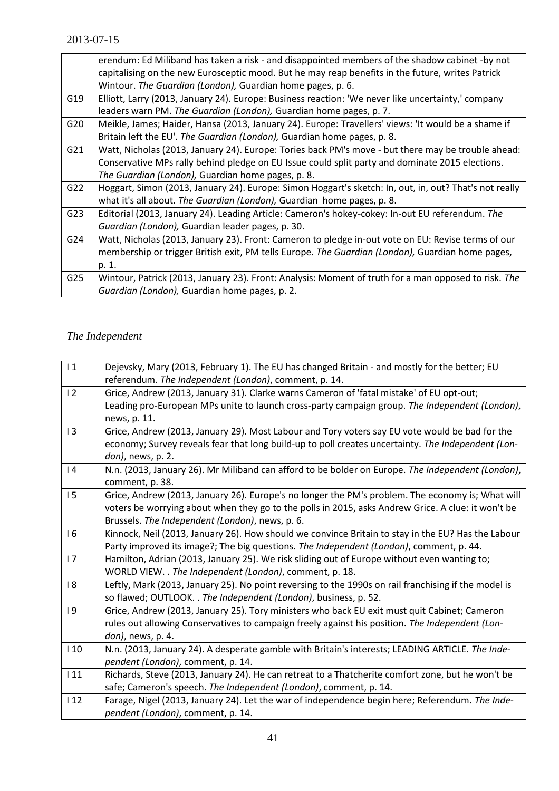| erendum: Ed Miliband has taken a risk - and disappointed members of the shadow cabinet -by not         |
|--------------------------------------------------------------------------------------------------------|
| capitalising on the new Eurosceptic mood. But he may reap benefits in the future, writes Patrick       |
| Wintour. The Guardian (London), Guardian home pages, p. 6.                                             |
| Elliott, Larry (2013, January 24). Europe: Business reaction: 'We never like uncertainty,' company     |
| leaders warn PM. The Guardian (London), Guardian home pages, p. 7.                                     |
| Meikle, James; Haider, Hansa (2013, January 24). Europe: Travellers' views: 'It would be a shame if    |
| Britain left the EU'. The Guardian (London), Guardian home pages, p. 8.                                |
| Watt, Nicholas (2013, January 24). Europe: Tories back PM's move - but there may be trouble ahead:     |
| Conservative MPs rally behind pledge on EU Issue could split party and dominate 2015 elections.        |
| The Guardian (London), Guardian home pages, p. 8.                                                      |
| Hoggart, Simon (2013, January 24). Europe: Simon Hoggart's sketch: In, out, in, out? That's not really |
| what it's all about. The Guardian (London), Guardian home pages, p. 8.                                 |
| Editorial (2013, January 24). Leading Article: Cameron's hokey-cokey: In-out EU referendum. The        |
| Guardian (London), Guardian leader pages, p. 30.                                                       |
| Watt, Nicholas (2013, January 23). Front: Cameron to pledge in-out vote on EU: Revise terms of our     |
| membership or trigger British exit, PM tells Europe. The Guardian (London), Guardian home pages,       |
| p. 1.                                                                                                  |
| Wintour, Patrick (2013, January 23). Front: Analysis: Moment of truth for a man opposed to risk. The   |
| Guardian (London), Guardian home pages, p. 2.                                                          |
|                                                                                                        |

# *The Independent*

| 1   | Dejevsky, Mary (2013, February 1). The EU has changed Britain - and mostly for the better; EU<br>referendum. The Independent (London), comment, p. 14. |
|-----|--------------------------------------------------------------------------------------------------------------------------------------------------------|
| 12  | Grice, Andrew (2013, January 31). Clarke warns Cameron of 'fatal mistake' of EU opt-out;                                                               |
|     | Leading pro-European MPs unite to launch cross-party campaign group. The Independent (London),                                                         |
|     | news, p. 11.                                                                                                                                           |
| 13  | Grice, Andrew (2013, January 29). Most Labour and Tory voters say EU vote would be bad for the                                                         |
|     | economy; Survey reveals fear that long build-up to poll creates uncertainty. The Independent (Lon-                                                     |
|     | don), news, p. 2.                                                                                                                                      |
| 4   | N.n. (2013, January 26). Mr Miliband can afford to be bolder on Europe. The Independent (London),                                                      |
|     | comment, p. 38.                                                                                                                                        |
| 15  | Grice, Andrew (2013, January 26). Europe's no longer the PM's problem. The economy is; What will                                                       |
|     | voters be worrying about when they go to the polls in 2015, asks Andrew Grice. A clue: it won't be                                                     |
|     | Brussels. The Independent (London), news, p. 6.                                                                                                        |
| 16  | Kinnock, Neil (2013, January 26). How should we convince Britain to stay in the EU? Has the Labour                                                     |
|     | Party improved its image?; The big questions. The Independent (London), comment, p. 44.                                                                |
| 17  | Hamilton, Adrian (2013, January 25). We risk sliding out of Europe without even wanting to;                                                            |
|     | WORLD VIEW. . The Independent (London), comment, p. 18.                                                                                                |
| 18  | Leftly, Mark (2013, January 25). No point reversing to the 1990s on rail franchising if the model is                                                   |
|     | so flawed; OUTLOOK. . The Independent (London), business, p. 52.                                                                                       |
| 19  | Grice, Andrew (2013, January 25). Tory ministers who back EU exit must quit Cabinet; Cameron                                                           |
|     | rules out allowing Conservatives to campaign freely against his position. The Independent (Lon-                                                        |
|     | don), news, p. 4.                                                                                                                                      |
| 110 | N.n. (2013, January 24). A desperate gamble with Britain's interests; LEADING ARTICLE. The Inde-                                                       |
|     | pendent (London), comment, p. 14.                                                                                                                      |
| 111 | Richards, Steve (2013, January 24). He can retreat to a Thatcherite comfort zone, but he won't be                                                      |
|     | safe; Cameron's speech. The Independent (London), comment, p. 14.                                                                                      |
| 112 | Farage, Nigel (2013, January 24). Let the war of independence begin here; Referendum. The Inde-                                                        |
|     | pendent (London), comment, p. 14.                                                                                                                      |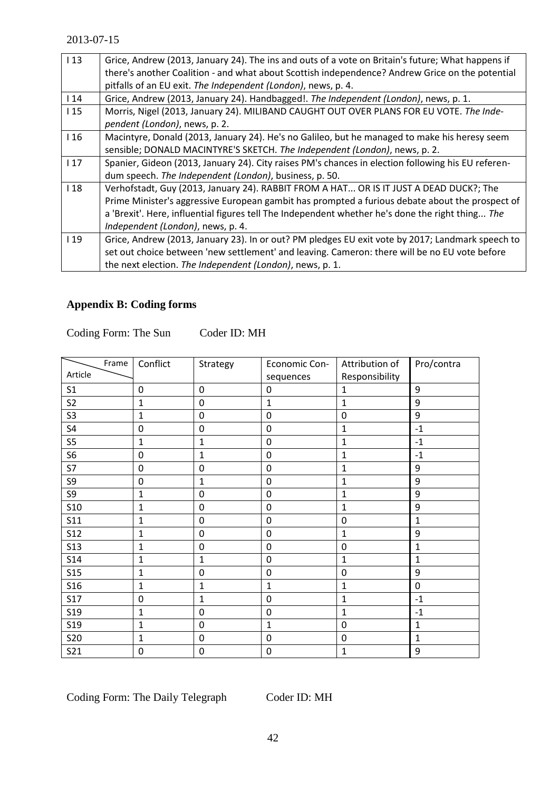| 113 | Grice, Andrew (2013, January 24). The ins and outs of a vote on Britain's future; What happens if  |
|-----|----------------------------------------------------------------------------------------------------|
|     | there's another Coalition - and what about Scottish independence? Andrew Grice on the potential    |
|     | pitfalls of an EU exit. The Independent (London), news, p. 4.                                      |
| 114 | Grice, Andrew (2013, January 24). Handbagged!. The Independent (London), news, p. 1.               |
| 115 | Morris, Nigel (2013, January 24). MILIBAND CAUGHT OUT OVER PLANS FOR EU VOTE. The Inde-            |
|     | pendent (London), news, p. 2.                                                                      |
| 116 | Macintyre, Donald (2013, January 24). He's no Galileo, but he managed to make his heresy seem      |
|     | sensible; DONALD MACINTYRE'S SKETCH. The Independent (London), news, p. 2.                         |
| 117 | Spanier, Gideon (2013, January 24). City raises PM's chances in election following his EU referen- |
|     | dum speech. The Independent (London), business, p. 50.                                             |
| 118 | Verhofstadt, Guy (2013, January 24). RABBIT FROM A HAT OR IS IT JUST A DEAD DUCK?; The             |
|     | Prime Minister's aggressive European gambit has prompted a furious debate about the prospect of    |
|     | a 'Brexit'. Here, influential figures tell The Independent whether he's done the right thing The   |
|     | Independent (London), news, p. 4.                                                                  |
| 119 | Grice, Andrew (2013, January 23). In or out? PM pledges EU exit vote by 2017; Landmark speech to   |
|     | set out choice between 'new settlement' and leaving. Cameron: there will be no EU vote before      |
|     | the next election. The Independent (London), news, p. 1.                                           |

# **Appendix B: Coding forms**

Coding Form: The Sun Coder ID: MH

| Frame           | Conflict         | Strategy         | <b>Economic Con-</b> | Attribution of   | Pro/contra       |
|-----------------|------------------|------------------|----------------------|------------------|------------------|
| Article         |                  |                  | sequences            | Responsibility   |                  |
| S <sub>1</sub>  | $\boldsymbol{0}$ | $\boldsymbol{0}$ | 0                    | $\mathbf{1}$     | 9                |
| S <sub>2</sub>  | $\mathbf{1}$     | 0                | $\mathbf{1}$         | 1                | 9                |
| S <sub>3</sub>  | $\mathbf 1$      | $\mathbf 0$      | 0                    | $\mathbf 0$      | 9                |
| S <sub>4</sub>  | $\mathbf 0$      | 0                | 0                    | $\mathbf{1}$     | $-1$             |
| $S5$            | $\mathbf{1}$     | $\mathbf{1}$     | 0                    | $\mathbf{1}$     | $\textbf{-1}$    |
| S <sub>6</sub>  | 0                | $\mathbf{1}$     | 0                    | $\mathbf{1}$     | $-1$             |
| S7              | $\boldsymbol{0}$ | 0                | 0                    | $\mathbf 1$      | 9                |
| S9              | $\mathbf 0$      | $\mathbf{1}$     | 0                    | $\mathbf{1}$     | 9                |
| S9              | $\mathbf 1$      | 0                | 0                    | $\mathbf{1}$     | 9                |
| <b>S10</b>      | $\mathbf{1}$     | $\boldsymbol{0}$ | 0                    | $\mathbf{1}$     | $\boldsymbol{9}$ |
| S11             | $\mathbf{1}$     | 0                | 0                    | 0                | $\mathbf 1$      |
| <b>S12</b>      | $\mathbf 1$      | $\mathbf 0$      | 0                    | 1                | 9                |
| <b>S13</b>      | $\mathbf{1}$     | $\mathbf 0$      | $\mathbf 0$          | $\mathbf 0$      | $\mathbf{1}$     |
| <b>S14</b>      | $\mathbf{1}$     | $\mathbf{1}$     | $\mathbf 0$          | $\mathbf 1$      | $\mathbf{1}$     |
| S <sub>15</sub> | $\mathbf{1}$     | 0                | 0                    | 0                | 9                |
| <b>S16</b>      | 1                | $\mathbf{1}$     | $\mathbf{1}$         | 1                | $\mathbf 0$      |
| <b>S17</b>      | $\mathbf 0$      | $\mathbf{1}$     | $\mathbf 0$          | $\mathbf{1}$     | $\textbf{-1}$    |
| S <sub>19</sub> | $\mathbf 1$      | 0                | 0                    | $\mathbf{1}$     | $\textbf{-1}$    |
| S <sub>19</sub> | $\mathbf{1}$     | 0                | $\mathbf{1}$         | $\mathbf 0$      | $\mathbf 1$      |
| <b>S20</b>      | $\mathbf 1$      | 0                | 0                    | $\boldsymbol{0}$ | $\mathbf{1}$     |
| <b>S21</b>      | 0                | 0                | $\boldsymbol{0}$     | $\mathbf 1$      | $\boldsymbol{9}$ |

Coding Form: The Daily Telegraph Coder ID: MH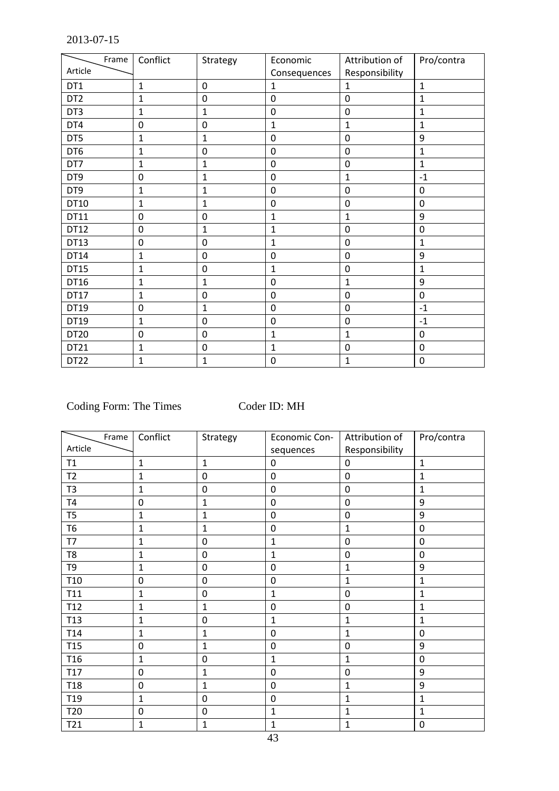| Frame            | Conflict     | Strategy       | Economic     | Attribution of | Pro/contra     |
|------------------|--------------|----------------|--------------|----------------|----------------|
| Article          |              |                | Consequences | Responsibility |                |
| DT1              | $\mathbf{1}$ | 0              | 1            | $\mathbf{1}$   | $\mathbf 1$    |
| DT <sub>2</sub>  | 1            | 0              | 0            | $\mathbf 0$    | 1              |
| DT3              | $\mathbf{1}$ | $\mathbf{1}$   | $\mathbf 0$  | $\mathbf 0$    | $\mathbf{1}$   |
| DT4              | 0            | 0              | $\mathbf 1$  | $\mathbf{1}$   | 1              |
| DT5              | 1            | $\mathbf{1}$   | 0            | $\mathbf 0$    | 9              |
| DT6              | $\mathbf{1}$ | $\mathbf 0$    | $\mathbf 0$  | $\mathbf 0$    | $\mathbf{1}$   |
| DT7              | $\mathbf{1}$ | $\mathbf{1}$   | $\mathbf 0$  | $\mathbf 0$    | $\mathbf 1$    |
| DT9              | $\mathbf 0$  | $\mathbf{1}$   | $\mathbf 0$  | $\mathbf{1}$   | $-1$           |
| DT9              | $\mathbf{1}$ | $\mathbf{1}$   | $\mathbf 0$  | $\mathbf 0$    | $\mathbf 0$    |
| DT10             | $\mathbf{1}$ | $\mathbf{1}$   | $\mathbf 0$  | $\mathbf 0$    | $\mathbf 0$    |
| DT11             | $\mathbf 0$  | $\overline{0}$ | 1            | $\mathbf{1}$   | 9              |
| DT12             | $\mathbf 0$  | $\mathbf{1}$   | $\mathbf{1}$ | $\mathbf 0$    | $\overline{0}$ |
| DT13             | 0            | 0              | 1            | $\mathbf 0$    | $\mathbf{1}$   |
| DT14             | $\mathbf{1}$ | $\overline{0}$ | $\mathbf 0$  | $\overline{0}$ | 9              |
| DT15             | $\mathbf 1$  | 0              | 1            | 0              | $\mathbf{1}$   |
| DT16             | 1            | $\mathbf{1}$   | 0            | $\mathbf{1}$   | 9              |
| DT17             | $\mathbf{1}$ | 0              | $\mathbf 0$  | $\mathbf 0$    | $\mathbf 0$    |
| DT19             | 0            | 1              | $\mathbf 0$  | $\mathbf 0$    | $-1$           |
| DT19             | $\mathbf{1}$ | $\mathbf 0$    | $\mathbf 0$  | $\mathbf 0$    | $-1$           |
| DT20             | $\mathbf 0$  | $\mathbf 0$    | 1            | $\mathbf{1}$   | $\mathbf 0$    |
| DT21             | $\mathbf{1}$ | $\mathbf 0$    | $\mathbf{1}$ | $\mathbf 0$    | $\mathbf 0$    |
| DT <sub>22</sub> | $\mathbf{1}$ | $\mathbf{1}$   | 0            | $\mathbf{1}$   | $\mathbf 0$    |

Coding Form: The Times Coder ID: MH

| Frame           | Conflict     | Strategy       | Economic Con-    | Attribution of | Pro/contra   |
|-----------------|--------------|----------------|------------------|----------------|--------------|
| Article         |              |                | sequences        | Responsibility |              |
| T1              | $\mathbf{1}$ | $\mathbf{1}$   | $\mathbf 0$      | $\mathbf 0$    | $\mathbf{1}$ |
| T <sub>2</sub>  | $\mathbf{1}$ | $\mathbf 0$    | $\mathbf 0$      | $\mathbf 0$    | $\mathbf{1}$ |
| T <sub>3</sub>  | $\mathbf 1$  | $\mathbf 0$    | $\boldsymbol{0}$ | $\mathbf 0$    | $\mathbf{1}$ |
| T4              | $\mathbf 0$  | $\mathbf{1}$   | $\mathbf 0$      | $\mathbf 0$    | 9            |
| T <sub>5</sub>  | $\mathbf{1}$ | $\mathbf{1}$   | $\mathbf 0$      | $\mathbf 0$    | 9            |
| <b>T6</b>       | $\mathbf{1}$ | $\mathbf{1}$   | $\mathbf 0$      | $\mathbf{1}$   | $\mathbf 0$  |
| T7              | $\mathbf{1}$ | $\overline{0}$ | 1                | $\mathbf 0$    | $\mathbf 0$  |
| T8              | 1            | $\mathbf 0$    | 1                | $\mathbf 0$    | 0            |
| T <sub>9</sub>  | $\mathbf{1}$ | $\overline{0}$ | $\mathbf 0$      | $\mathbf{1}$   | 9            |
| T <sub>10</sub> | $\mathbf 0$  | $\mathbf 0$    | $\mathbf 0$      | $\mathbf{1}$   | $\mathbf 1$  |
| T11             | $\mathbf{1}$ | $\mathbf 0$    | $\mathbf{1}$     | $\mathbf 0$    | $\mathbf{1}$ |
| T12             | $\mathbf{1}$ | $\mathbf{1}$   | $\boldsymbol{0}$ | $\mathbf 0$    | $\mathbf 1$  |
| T13             | $\mathbf{1}$ | $\mathbf 0$    | $\mathbf{1}$     | $\mathbf{1}$   | $\mathbf 1$  |
| T14             | $\mathbf{1}$ | $\mathbf 1$    | $\mathbf 0$      | $\mathbf{1}$   | $\mathbf 0$  |
| T <sub>15</sub> | $\pmb{0}$    | $\mathbf{1}$   | $\pmb{0}$        | $\mathbf 0$    | 9            |
| T <sub>16</sub> | $\mathbf 1$  | $\mathbf 0$    | 1                | $\mathbf{1}$   | $\mathbf 0$  |
| T17             | $\pmb{0}$    | $\mathbf 1$    | $\mathbf 0$      | $\mathbf 0$    | 9            |
| <b>T18</b>      | $\mathbf 0$  | $\mathbf{1}$   | $\mathbf 0$      | $\mathbf{1}$   | 9            |
| T <sub>19</sub> | $\mathbf 1$  | $\mathbf 0$    | $\pmb{0}$        | $\mathbf{1}$   | $\mathbf{1}$ |
| T <sub>20</sub> | $\pmb{0}$    | $\mathbf 0$    | $\mathbf{1}$     | $\overline{1}$ | $\mathbf{1}$ |
| T21             | 1            | $\mathbf{1}$   | 1                | $\mathbf{1}$   | $\mathbf 0$  |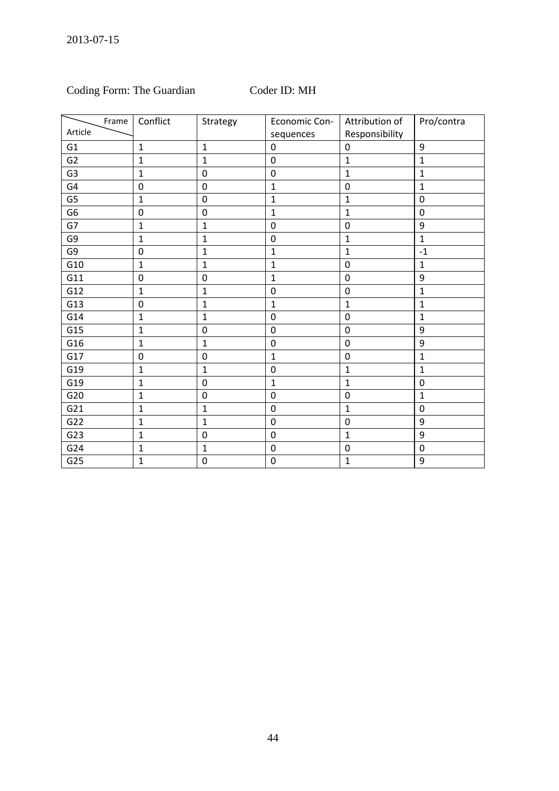# Coding Form: The Guardian Coder ID: MH

<span id="page-44-2"></span><span id="page-44-1"></span><span id="page-44-0"></span>

| Frame          | Conflict         | Strategy         | Economic Con-    | Attribution of   | Pro/contra   |
|----------------|------------------|------------------|------------------|------------------|--------------|
| Article        |                  |                  | sequences        | Responsibility   |              |
| G <sub>1</sub> | $\mathbf 1$      | $\mathbf{1}$     | $\mathbf 0$      | $\mathbf 0$      | 9            |
| G <sub>2</sub> | $\mathbf{1}$     | $\mathbf 1$      | $\mathbf 0$      | $\mathbf{1}$     | $\mathbf{1}$ |
| G <sub>3</sub> | $\mathbf{1}$     | $\boldsymbol{0}$ | $\mathbf 0$      | $\mathbf{1}$     | $\mathbf 1$  |
| G4             | $\pmb{0}$        | $\mathbf 0$      | $\mathbf{1}$     | $\mathbf 0$      | $\mathbf{1}$ |
| G <sub>5</sub> | $\mathbf{1}$     | $\mathbf 0$      | $\mathbf 1$      | $\mathbf{1}$     | $\mathbf 0$  |
| G <sub>6</sub> | $\boldsymbol{0}$ | $\mathbf 0$      | $\mathbf{1}$     | $\mathbf{1}$     | $\mathbf 0$  |
| G7             | $\mathbf{1}$     | $\mathbf 1$      | $\pmb{0}$        | $\mathbf 0$      | 9            |
| G9             | $\mathbf 1$      | $\mathbf 1$      | $\boldsymbol{0}$ | $\mathbf{1}$     | $\mathbf{1}$ |
| G9             | $\pmb{0}$        | $\mathbf{1}$     | $\mathbf 1$      | $\mathbf{1}$     | $-1$         |
| G10            | $\mathbf{1}$     | $\mathbf 1$      | $\mathbf{1}$     | $\mathbf 0$      | $\mathbf 1$  |
| G11            | $\pmb{0}$        | $\mathbf 0$      | $\mathbf{1}$     | $\mathbf 0$      | 9            |
| G12            | $\mathbf{1}$     | $\mathbf 1$      | $\boldsymbol{0}$ | $\mathbf 0$      | $\mathbf{1}$ |
| G13            | $\pmb{0}$        | $\mathbf 1$      | $\mathbf 1$      | $\mathbf{1}$     | $\mathbf{1}$ |
| G14            | $\mathbf{1}$     | $\mathbf 1$      | $\pmb{0}$        | $\mathbf 0$      | $\mathbf{1}$ |
| G15            | $\mathbf 1$      | $\boldsymbol{0}$ | $\pmb{0}$        | $\mathbf 0$      | 9            |
| G16            | $\mathbf{1}$     | $\mathbf{1}$     | $\boldsymbol{0}$ | $\mathbf 0$      | 9            |
| G17            | $\pmb{0}$        | $\mathbf 0$      | $\mathbf{1}$     | $\mathbf 0$      | $\mathbf{1}$ |
| G19            | $\mathbf{1}$     | $\mathbf 1$      | $\boldsymbol{0}$ | $\mathbf 1$      | $\mathbf{1}$ |
| G19            | $\mathbf 1$      | $\mathbf 0$      | $\mathbf{1}$     | $\mathbf{1}$     | $\mathbf 0$  |
| G20            | $\mathbf{1}$     | $\mathbf 0$      | $\mathbf 0$      | $\mathbf 0$      | $\mathbf{1}$ |
| G21            | $\mathbf{1}$     | $\mathbf{1}$     | $\mathbf 0$      | $\mathbf{1}$     | $\mathbf 0$  |
| G22            | $\mathbf{1}$     | $\mathbf{1}$     | $\mathbf 0$      | $\mathbf 0$      | 9            |
| G23            | $\mathbf{1}$     | $\mathbf 0$      | $\pmb{0}$        | $\mathbf{1}$     | 9            |
| G24            | $\mathbf 1$      | $\mathbf 1$      | $\pmb{0}$        | $\boldsymbol{0}$ | $\mathbf 0$  |
| G25            | $\mathbf{1}$     | $\mathbf 0$      | $\mathbf 0$      | $\mathbf{1}$     | 9            |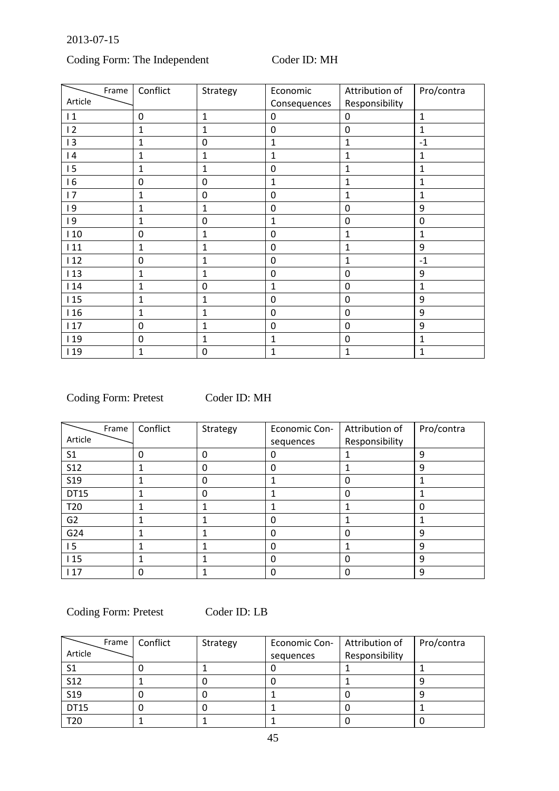# Coding Form: The Independent Coder ID: MH

<span id="page-45-0"></span>

| Frame   | Conflict         | Strategy         | Economic     | Attribution of | Pro/contra   |
|---------|------------------|------------------|--------------|----------------|--------------|
| Article |                  |                  | Consequences | Responsibility |              |
| 1       | $\mathbf 0$      | $\overline{1}$   | 0            | 0              | $\mathbf 1$  |
| 12      | 1                | 1                | $\mathbf 0$  | $\mathbf 0$    | $\mathbf{1}$ |
| 13      | $\mathbf{1}$     | 0                | $\mathbf{1}$ | $\mathbf{1}$   | $-1$         |
| 4       | 1                | 1                | 1            | $\mathbf{1}$   | $\mathbf{1}$ |
| 15      | $\mathbf{1}$     | $\mathbf 1$      | $\mathbf 0$  | $\mathbf{1}$   | $\mathbf 1$  |
| 16      | $\mathbf 0$      | 0                | 1            | $\mathbf{1}$   | $\mathbf{1}$ |
| 17      | $\mathbf{1}$     | $\boldsymbol{0}$ | $\mathbf 0$  | $\mathbf{1}$   | $\mathbf{1}$ |
| 19      | 1                | 1                | $\mathbf 0$  | $\mathbf 0$    | 9            |
| 9       | 1                | $\mathbf 0$      | 1            | $\mathbf 0$    | $\mathbf 0$  |
| 110     | 0                | $\mathbf 1$      | $\mathbf 0$  | $\mathbf{1}$   | $\mathbf{1}$ |
| 111     | 1                | 1                | $\mathbf 0$  | $\mathbf{1}$   | 9            |
| 112     | $\boldsymbol{0}$ | 1                | $\mathbf 0$  | $\mathbf{1}$   | $-1$         |
| 113     | $\mathbf 1$      | 1                | $\mathbf 0$  | $\mathbf 0$    | 9            |
| 114     | $\mathbf{1}$     | $\mathbf 0$      | $\mathbf{1}$ | $\mathbf 0$    | $\mathbf{1}$ |
| 115     | 1                | 1                | $\mathbf 0$  | $\mathbf 0$    | 9            |
| 116     | $\overline{1}$   | 1                | $\mathbf 0$  | $\mathbf 0$    | 9            |
| 117     | $\boldsymbol{0}$ | 1                | $\mathbf 0$  | $\mathbf 0$    | 9            |
| 119     | $\mathbf 0$      | 1                | 1            | $\mathbf 0$    | $\mathbf{1}$ |
| 119     | $\mathbf{1}$     | 0                | 1            | $\mathbf{1}$   | $\mathbf{1}$ |

Coding Form: Pretest Coder ID: MH

| Frame           | Conflict | Strategy | <b>Economic Con-</b> | Attribution of | Pro/contra |
|-----------------|----------|----------|----------------------|----------------|------------|
| Article         |          |          | sequences            | Responsibility |            |
| S <sub>1</sub>  | 0        | 0        | 0                    |                | 9          |
| <b>S12</b>      |          | 0        | $\Omega$             |                | 9          |
| S <sub>19</sub> |          | 0        |                      | 0              |            |
| DT15            |          | 0        |                      | 0              |            |
| T20             |          |          |                      |                | $\Omega$   |
| G <sub>2</sub>  |          |          | 0                    |                |            |
| G24             |          |          | 0                    | 0              | 9          |
| 15              |          |          | 0                    |                | 9          |
| 115             |          |          | 0                    | 0              | 9          |
| 117             | 0        |          | 0                    | 0              | 9          |

<span id="page-45-1"></span>Coding Form: Pretest Coder ID: LB

| Frame           | Conflict | Strategy | <b>Economic Con-</b> | Attribution of | Pro/contra |
|-----------------|----------|----------|----------------------|----------------|------------|
| Article         |          |          | sequences            | Responsibility |            |
| S1              |          |          |                      |                |            |
| <b>S12</b>      |          |          |                      |                |            |
| S <sub>19</sub> |          |          |                      |                |            |
| <b>DT15</b>     |          |          |                      |                |            |
| T <sub>20</sub> |          |          |                      |                |            |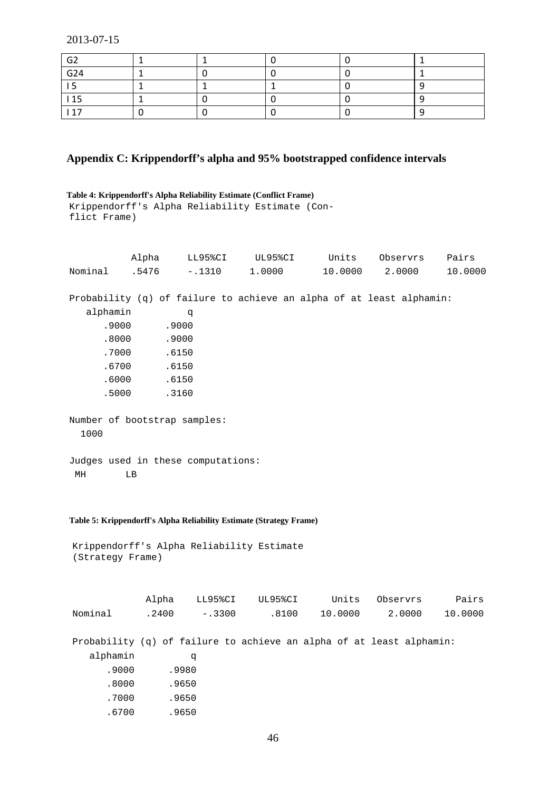| G <sub>2</sub> |  |  |  |
|----------------|--|--|--|
| G24            |  |  |  |
|                |  |  |  |
| 115            |  |  |  |
| . 17           |  |  |  |

# **Appendix C: Krippendorff's alpha and 95% bootstrapped confidence intervals**

```
Table 4: Krippendorff's Alpha Reliability Estimate (Conflict Frame)
Krippendorff's Alpha Reliability Estimate (Con-
flict Frame)
```
<span id="page-46-0"></span>

|                                                                      | Alpha | LL95%CI  |          | UL95%CI | Units   | Observrs | Pairs   |
|----------------------------------------------------------------------|-------|----------|----------|---------|---------|----------|---------|
| Nominal                                                              | .5476 | $-.1310$ |          | 1.0000  | 10.0000 | 2.0000   | 10.0000 |
|                                                                      |       |          |          |         |         |          |         |
| Probability (q) of failure to achieve an alpha of at least alphamin: |       |          |          |         |         |          |         |
| alphamin                                                             |       | đ        |          |         |         |          |         |
| .9000                                                                |       | .9000    |          |         |         |          |         |
| .8000                                                                |       | .9000    |          |         |         |          |         |
| .7000                                                                |       | .6150    |          |         |         |          |         |
| .6700                                                                |       | .6150    |          |         |         |          |         |
| .6000                                                                |       | .6150    |          |         |         |          |         |
| .5000                                                                |       | .3160    |          |         |         |          |         |
|                                                                      |       |          |          |         |         |          |         |
| Number of bootstrap samples:                                         |       |          |          |         |         |          |         |
| 1000                                                                 |       |          |          |         |         |          |         |
|                                                                      |       |          |          |         |         |          |         |
| Judges used in these computations:                                   |       |          |          |         |         |          |         |
| МH                                                                   | LB    |          |          |         |         |          |         |
|                                                                      |       |          |          |         |         |          |         |
|                                                                      |       |          |          |         |         |          |         |
|                                                                      |       |          |          |         |         |          |         |
| Table 5: Krippendorff's Alpha Reliability Estimate (Strategy Frame)  |       |          |          |         |         |          |         |
|                                                                      |       |          |          |         |         |          |         |
| Krippendorff's Alpha Reliability Estimate<br>(Strategy Frame)        |       |          |          |         |         |          |         |
|                                                                      |       |          |          |         |         |          |         |
|                                                                      |       |          |          |         |         |          |         |
|                                                                      | Alpha |          | LL95%CI  | UL95%CI | Units   | Observrs | Pairs   |
|                                                                      |       |          |          |         |         |          |         |
| Nominal                                                              | .2400 |          | $-.3300$ | .8100   | 10.0000 | 2.0000   | 10.0000 |
|                                                                      |       |          |          |         |         |          |         |
| Probability (q) of failure to achieve an alpha of at least alphamin: |       |          |          |         |         |          |         |
| alphamin                                                             |       | đ        |          |         |         |          |         |
| .9000                                                                |       | .9980    |          |         |         |          |         |
| .8000                                                                |       | .9650    |          |         |         |          |         |
| .7000                                                                |       | .9650    |          |         |         |          |         |

.6700 .9650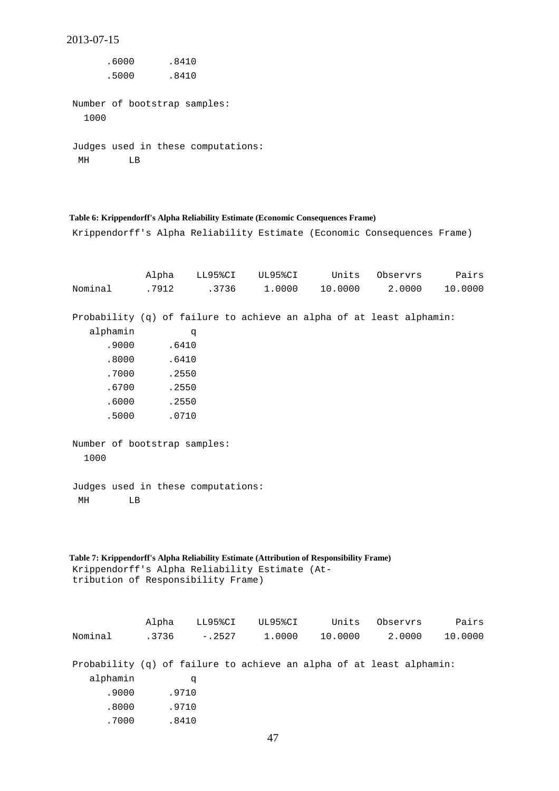```
2013-07-15
      .6000 .8410
      .5000 .8410
Number of bootstrap samples:
  1000
Judges used in these computations:
 MH LB
```
### <span id="page-47-2"></span>**Table 6: Krippendorff's Alpha Reliability Estimate (Economic Consequences Frame)**

Krippendorff's Alpha Reliability Estimate (Economic Consequences Frame)

<span id="page-47-5"></span><span id="page-47-4"></span><span id="page-47-3"></span>

|                                                                                                                                                                                                                                                                            | Alpha                   | LL95%CI  | UL95%CI | Units                                                                | Observrs | Pairs   |
|----------------------------------------------------------------------------------------------------------------------------------------------------------------------------------------------------------------------------------------------------------------------------|-------------------------|----------|---------|----------------------------------------------------------------------|----------|---------|
| Nominal                                                                                                                                                                                                                                                                    | .7912                   | .3736    | 1.0000  | 10.0000                                                              | 2.0000   | 10.0000 |
|                                                                                                                                                                                                                                                                            |                         |          |         |                                                                      |          |         |
|                                                                                                                                                                                                                                                                            |                         |          |         | Probability (q) of failure to achieve an alpha of at least alphamin: |          |         |
| alphamin                                                                                                                                                                                                                                                                   |                         | q        |         |                                                                      |          |         |
| .9000                                                                                                                                                                                                                                                                      | .6410                   |          |         |                                                                      |          |         |
| .8000                                                                                                                                                                                                                                                                      | .6410                   |          |         |                                                                      |          |         |
| .7000                                                                                                                                                                                                                                                                      | .2550                   |          |         |                                                                      |          |         |
| .6700                                                                                                                                                                                                                                                                      | .2550                   |          |         |                                                                      |          |         |
| .6000                                                                                                                                                                                                                                                                      | .2550                   |          |         |                                                                      |          |         |
| .5000                                                                                                                                                                                                                                                                      | .0710                   |          |         |                                                                      |          |         |
| Number of bootstrap samples:<br>1000<br>Judges used in these computations:<br>MH<br>LB<br>Table 7: Krippendorff's Alpha Reliability Estimate (Attribution of Responsibility Frame)<br>Krippendorff's Alpha Reliability Estimate (At-<br>tribution of Responsibility Frame) |                         |          |         |                                                                      |          |         |
|                                                                                                                                                                                                                                                                            |                         |          |         |                                                                      |          |         |
|                                                                                                                                                                                                                                                                            | Alpha                   | LL95%CI  | UL95%CI | Units                                                                | Observrs | Pairs   |
| Nominal                                                                                                                                                                                                                                                                    | .3736                   | $-.2527$ | 1.0000  | 10.0000                                                              | 2.0000   | 10.0000 |
| alphamin<br>.9000<br>.8000<br>.7000                                                                                                                                                                                                                                        | .9710<br>.9710<br>.8410 | q        |         | Probability (q) of failure to achieve an alpha of at least alphamin: |          |         |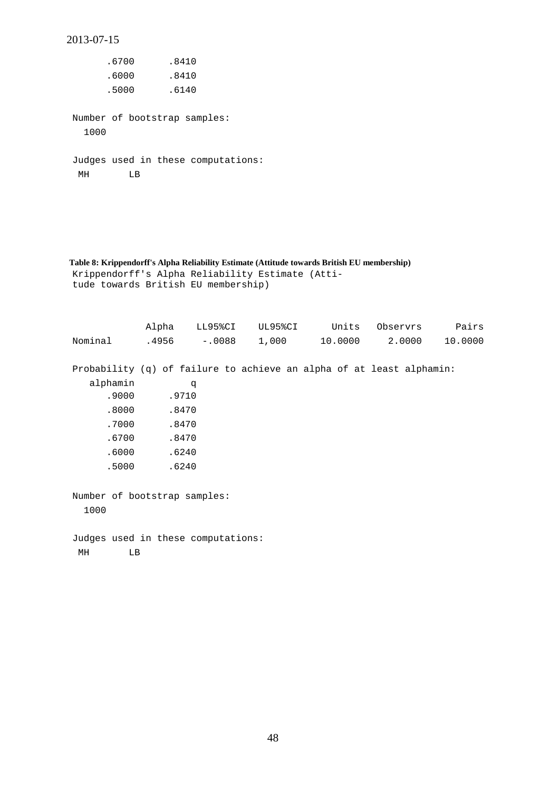<span id="page-48-0"></span>.6700 .8410 .6000 .8410 .5000 .6140 Number of bootstrap samples: 1000 Judges used in these computations: MH LB

2013-07-15

<span id="page-48-1"></span>**Table 8: Krippendorff's Alpha Reliability Estimate (Attitude towards British EU membership)** Krippendorff's Alpha Reliability Estimate (Attitude towards British EU membership)

<span id="page-48-4"></span><span id="page-48-3"></span><span id="page-48-2"></span>

|                                    | Alpha | LL95%CI         | UL95%CI | Units                                                                | Observrs | Pairs   |
|------------------------------------|-------|-----------------|---------|----------------------------------------------------------------------|----------|---------|
| Nominal                            |       | $.4956 - .0088$ |         | $1,000$ $10.0000$                                                    | 2.0000   | 10.0000 |
|                                    |       |                 |         |                                                                      |          |         |
|                                    |       |                 |         | Probability (q) of failure to achieve an alpha of at least alphamin: |          |         |
| alphamin                           |       | q               |         |                                                                      |          |         |
| .9000                              |       | .9710           |         |                                                                      |          |         |
| .8000                              |       | .8470           |         |                                                                      |          |         |
| .7000                              |       | .8470           |         |                                                                      |          |         |
| .6700                              |       | .8470           |         |                                                                      |          |         |
| .6000                              |       | .6240           |         |                                                                      |          |         |
| .5000                              |       | .6240           |         |                                                                      |          |         |
|                                    |       |                 |         |                                                                      |          |         |
| Number of bootstrap samples:       |       |                 |         |                                                                      |          |         |
| 1000                               |       |                 |         |                                                                      |          |         |
|                                    |       |                 |         |                                                                      |          |         |
| Judges used in these computations: |       |                 |         |                                                                      |          |         |
| MH<br>LB                           |       |                 |         |                                                                      |          |         |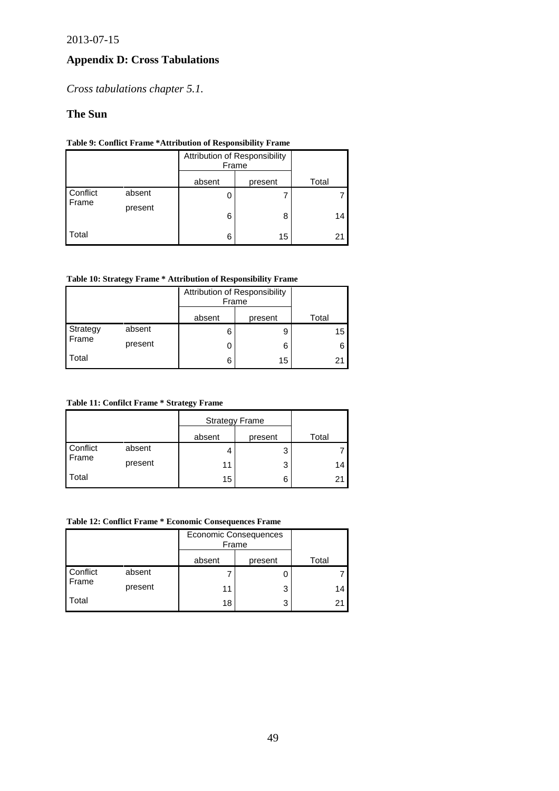# <span id="page-49-0"></span>**Appendix D: Cross Tabulations**

*Cross tabulations chapter 5.1.*

# **The Sun**

# **Table 9: Conflict Frame \*Attribution of Responsibility Frame**

<span id="page-49-1"></span>

|          |         | Attribution of Responsibility<br>Frame |         |       |
|----------|---------|----------------------------------------|---------|-------|
|          |         | absent                                 | present | Total |
| Conflict | absent  |                                        |         |       |
| Frame    | present | 6                                      | 8       | 14    |
| Total    |         | 6                                      | 15      | 21    |

# **Table 10: Strategy Frame \* Attribution of Responsibility Frame**

<span id="page-49-2"></span>

|          |         | Attribution of Responsibility<br>Frame |         |       |
|----------|---------|----------------------------------------|---------|-------|
|          |         | absent                                 | present | Total |
| Strategy | absent  | հ                                      | 9       | 15    |
| Frame    | present |                                        | 6       |       |
| Total    |         | հ                                      | 15      | 21    |

#### **Table 11: Confilct Frame \* Strategy Frame**

<span id="page-49-3"></span>

|                   |         | <b>Strategy Frame</b> |         |       |
|-------------------|---------|-----------------------|---------|-------|
|                   |         | absent                | present | Total |
| Conflict<br>Frame | absent  |                       | 3       |       |
|                   | present | 11                    | 3       | 14    |
| Total             |         | 15                    | 6       | 21    |

#### **Table 12: Conflict Frame \* Economic Consequences Frame**

<span id="page-49-4"></span>

|          |         | <b>Economic Consequences</b><br>Frame |         |       |
|----------|---------|---------------------------------------|---------|-------|
|          |         | absent                                | present | Total |
| Conflict | absent  |                                       |         |       |
| Frame    | present | 11                                    | 3       | 14    |
| Total    |         | 18                                    | 3       | 21    |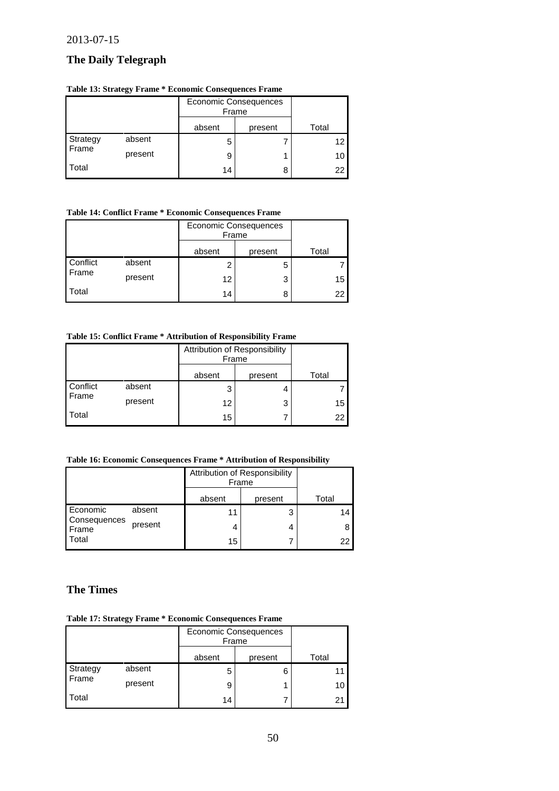# <span id="page-50-0"></span>**The Daily Telegraph**

# **Table 13: Strategy Frame \* Economic Consequences Frame**

|                   |         | Economic Consequences<br>Frame |         |       |
|-------------------|---------|--------------------------------|---------|-------|
|                   |         | absent                         | present | Total |
| Strategy<br>Frame | absent  | 5                              |         | 12    |
|                   | present | 9                              |         | 10    |
| Total             |         | 14                             | 8       | 22    |

### <span id="page-50-1"></span>**Table 14: Conflict Frame \* Economic Consequences Frame**

|                   |         | Economic Consequences<br>Frame |         |       |
|-------------------|---------|--------------------------------|---------|-------|
|                   |         | absent                         | present | Total |
| Conflict<br>Frame | absent  | າ                              | 5       |       |
|                   | present | 12                             | 3       | 15    |
| Total             |         | 14                             | 8       | 22    |

# <span id="page-50-2"></span>**Table 15: Conflict Frame \* Attribution of Responsibility Frame**

|                   |         | Attribution of Responsibility<br>Frame |         |       |
|-------------------|---------|----------------------------------------|---------|-------|
|                   |         | absent                                 | present | Total |
| Conflict<br>Frame | absent  | 3                                      |         |       |
|                   | present | 12                                     | 3       | 15    |
| Total             |         | 15                                     |         | 22    |

# <span id="page-50-3"></span>**Table 16: Economic Consequences Frame \* Attribution of Responsibility**

|                       |         | Attribution of Responsibility<br>Frame |         |       |
|-----------------------|---------|----------------------------------------|---------|-------|
|                       |         | absent                                 | present | Total |
| Economic              | absent  | 11                                     | 3       | 14    |
| Consequences<br>Frame | present | 4                                      |         | 8     |
| Total                 |         | 15                                     |         | 22    |

# <span id="page-50-4"></span>**The Times**

### **Table 17: Strategy Frame \* Economic Consequences Frame**

|                   |         | <b>Economic Consequences</b><br>Frame |         |       |
|-------------------|---------|---------------------------------------|---------|-------|
|                   |         | absent                                | present | Total |
| Strategy<br>Frame | absent  |                                       | 6       |       |
|                   | present | 9                                     |         | 10    |
| Total             |         | 14                                    |         | 21    |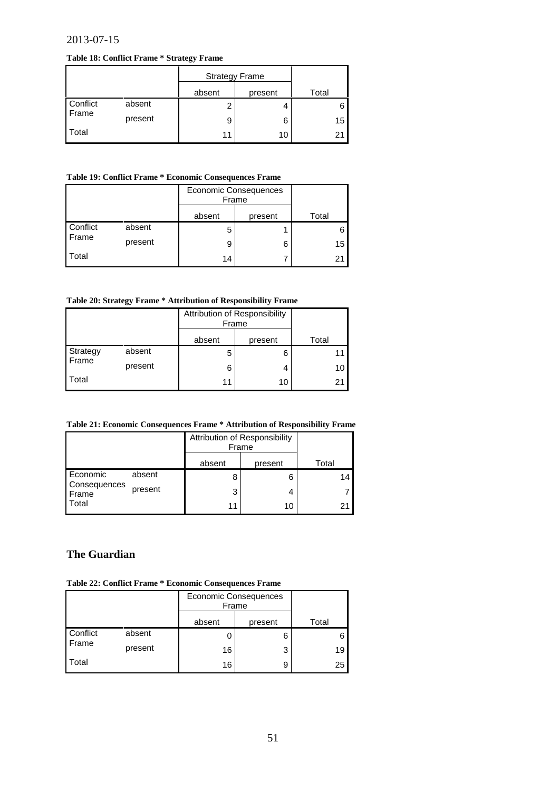#### <span id="page-51-1"></span>**Table 18: Conflict Frame \* Strategy Frame**

|          |         | <b>Strategy Frame</b> |         |       |
|----------|---------|-----------------------|---------|-------|
|          |         | absent                | present | Total |
| Conflict | absent  |                       |         |       |
| Frame    | present | 9                     | 6       | 15    |
| Total    |         | 11                    | 10      | 21    |

#### <span id="page-51-2"></span>**Table 19: Conflict Frame \* Economic Consequences Frame**

|          |         | <b>Economic Consequences</b><br>Frame |         |       |
|----------|---------|---------------------------------------|---------|-------|
|          |         | absent                                | present | Total |
| Conflict | absent  | h                                     |         |       |
| Frame    | present |                                       | 6       | 15    |
| Total    |         | 14                                    |         | 21    |

#### <span id="page-51-3"></span>**Table 20: Strategy Frame \* Attribution of Responsibility Frame**

|          |         |        | Attribution of Responsibility<br>Frame |       |
|----------|---------|--------|----------------------------------------|-------|
|          |         | absent | present                                | Total |
| Strategy | absent  |        | 6                                      | 11    |
| Frame    | present | 6      | 4                                      | 10    |
| Total    |         | 11     | 10                                     | 21    |

<span id="page-51-0"></span>**Table 21: Economic Consequences Frame \* Attribution of Responsibility Frame**

<span id="page-51-4"></span>

|                       |         | Attribution of Responsibility<br>Frame |         |       |
|-----------------------|---------|----------------------------------------|---------|-------|
|                       |         | absent                                 | present | Total |
| Economic              | absent  | 8                                      | 6       | 14    |
| Consequences<br>Frame | present | 3                                      | 4       |       |
| Total                 |         |                                        | 10      | 21    |

# **The Guardian**

**Table 22: Conflict Frame \* Economic Consequences Frame**

<span id="page-51-5"></span>

|                   |         |        | <b>Economic Consequences</b><br>Frame |       |
|-------------------|---------|--------|---------------------------------------|-------|
|                   |         | absent | present                               | Total |
| Conflict<br>Frame | absent  |        | 6                                     | 6     |
|                   | present | 16     | 3                                     | 19    |
| Total             |         | 16     | 9                                     | 25    |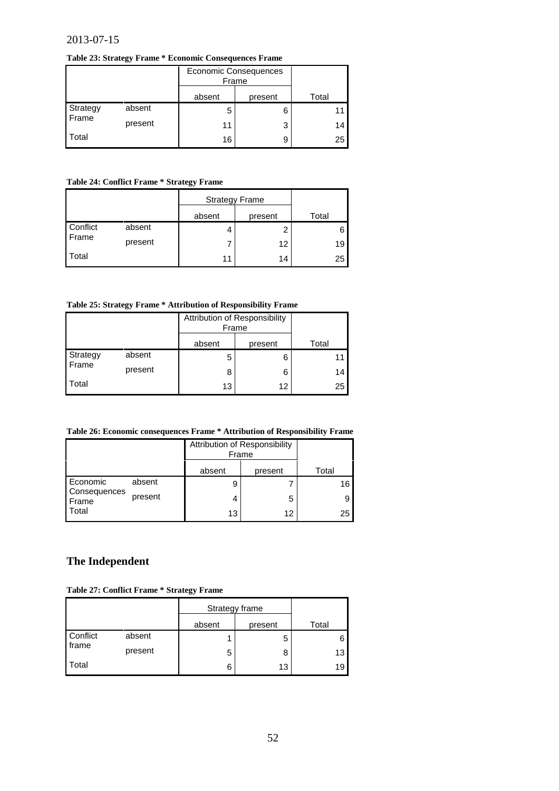#### **Table 23: Strategy Frame \* Economic Consequences Frame**

<span id="page-52-0"></span>

|          |         | <b>Economic Consequences</b><br>Frame |         |       |
|----------|---------|---------------------------------------|---------|-------|
|          |         | absent                                | present | Total |
| Strategy | absent  |                                       | 6       |       |
| Frame    | present | 11                                    | 3       | 14    |
| Total    |         | 16                                    | 9       | 25    |

#### **Table 24: Conflict Frame \* Strategy Frame**

<span id="page-52-1"></span>

|          |         | <b>Strategy Frame</b> |         |       |
|----------|---------|-----------------------|---------|-------|
|          |         | absent                | present | Total |
| Conflict | absent  |                       | 2       |       |
| Frame    | present |                       | 12      | 19    |
| Total    |         | 11                    | 14      | 25    |

# **Table 25: Strategy Frame \* Attribution of Responsibility Frame**

|                   |         | Attribution of Responsibility<br>Frame |         |       |
|-------------------|---------|----------------------------------------|---------|-------|
|                   |         | absent                                 | present | Total |
| Strategy<br>Frame | absent  | 5                                      | 6       |       |
|                   | present | 8                                      | 6       | 14    |
| Total             |         | 13                                     | 12      | 25    |

#### <span id="page-52-2"></span>**Table 26: Economic consequences Frame \* Attribution of Responsibility Frame**

|                       |         | Attribution of Responsibility<br>Frame |         |       |
|-----------------------|---------|----------------------------------------|---------|-------|
|                       |         | absent                                 | present | Total |
| Economic              | absent  | 9                                      |         | 16    |
| Consequences<br>Frame | present | 4                                      | 5       |       |
| Total                 |         | 13                                     | 12      | 25    |

# <span id="page-52-3"></span>**The Independent**

#### **Table 27: Conflict Frame \* Strategy Frame**

|                   |         | Strategy frame |         |       |
|-------------------|---------|----------------|---------|-------|
|                   |         | absent         | present | Total |
| Conflict<br>frame | absent  |                | 5       |       |
|                   | present | 5              | 8       | 13    |
| Total             |         | 6              | 13      | 19    |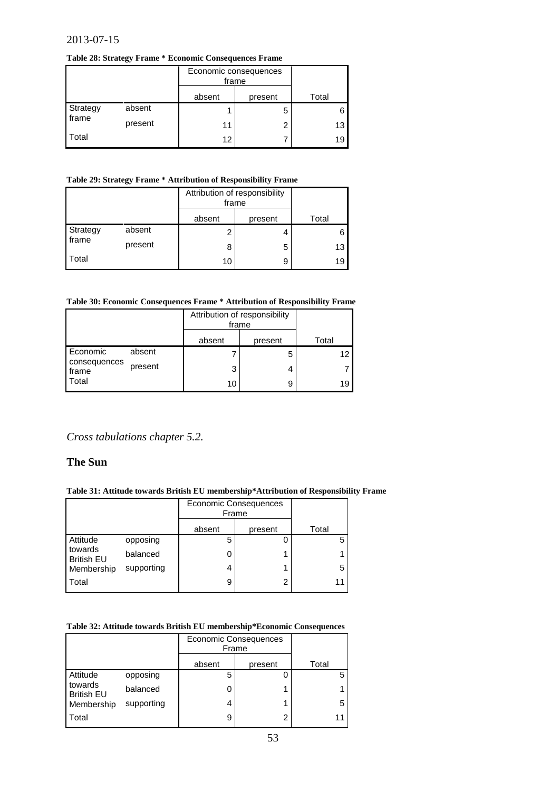#### <span id="page-53-0"></span>**Table 28: Strategy Frame \* Economic Consequences Frame**

|          |         | Economic consequences<br>frame |         |       |
|----------|---------|--------------------------------|---------|-------|
|          |         | absent                         | present | Total |
| Strategy | absent  |                                | 5       |       |
| frame    | present | 11                             | 2       | 13    |
| Total    |         | 12                             |         | 19    |

# **Table 29: Strategy Frame \* Attribution of Responsibility Frame**

<span id="page-53-1"></span>

|          |         | Attribution of responsibility<br>frame |         |       |
|----------|---------|----------------------------------------|---------|-------|
|          |         | absent                                 | present | Total |
| Strategy | absent  | ົ                                      | 4       |       |
| frame    | present | 8                                      | 5       | 13    |
| Total    |         | 10                                     | 9       | 19    |

#### **Table 30: Economic Consequences Frame \* Attribution of Responsibility Frame**

<span id="page-53-2"></span>

|                                   |         | Attribution of responsibility<br>frame |         |       |
|-----------------------------------|---------|----------------------------------------|---------|-------|
|                                   |         | absent                                 | present | Total |
| Economic<br>consequences<br>frame | absent  |                                        | 5       | 12    |
|                                   | present | 3                                      | 4       |       |
| Total                             |         | 10                                     | 9       | 19    |

# *Cross tabulations chapter 5.2.*

# **The Sun**

#### <span id="page-53-3"></span>**Table 31: Attitude towards British EU membership\*Attribution of Responsibility Frame**

|                              |            | <b>Economic Consequences</b><br>Frame |         |       |
|------------------------------|------------|---------------------------------------|---------|-------|
|                              |            | absent                                | present | Total |
| Attitude                     | opposing   | 5                                     |         | 5     |
| towards<br><b>British EU</b> | balanced   |                                       |         |       |
| Membership                   | supporting |                                       |         | 5     |
| <b>Total</b>                 |            | 9                                     | 2       | 11    |

#### <span id="page-53-4"></span>**Table 32: Attitude towards British EU membership\*Economic Consequences**

|                              |            | <b>Economic Consequences</b><br>Frame |         |       |
|------------------------------|------------|---------------------------------------|---------|-------|
|                              |            | absent                                | present | Total |
| Attitude                     | opposing   | 5                                     |         | 5.    |
| towards<br><b>British EU</b> | balanced   |                                       |         |       |
| Membership                   | supporting | 4                                     |         | 5     |
| Total                        |            | 9                                     | 2       | 11    |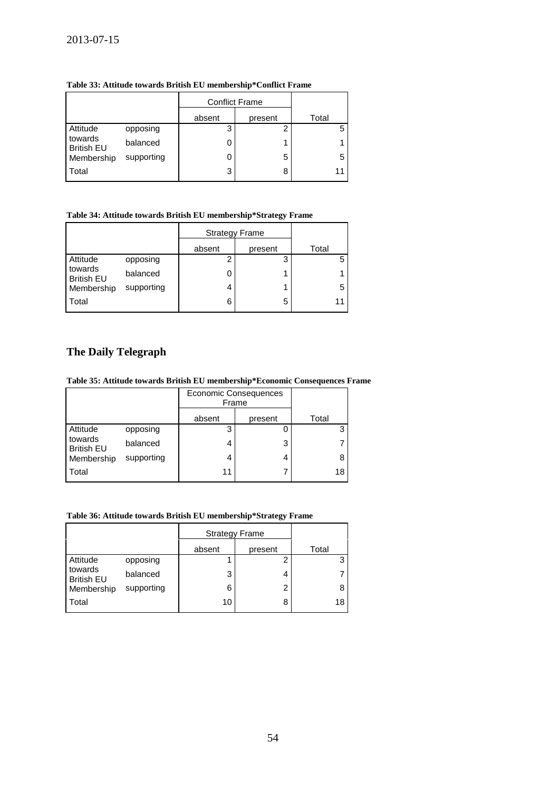<span id="page-54-0"></span>**Table 33: Attitude towards British EU membership\*Conflict Frame**

|                              |            | <b>Conflict Frame</b> |         |       |
|------------------------------|------------|-----------------------|---------|-------|
|                              |            | absent                | present | Total |
| Attitude                     | opposing   | 3                     | 2       |       |
| towards<br><b>British EU</b> | balanced   |                       | 1       |       |
| Membership                   | supporting |                       | 5       |       |
| Total                        |            | 3                     | 8       | 11    |
|                              |            |                       |         |       |

# <span id="page-54-1"></span>**Table 34: Attitude towards British EU membership\*Strategy Frame**

|                              |            | <b>Strategy Frame</b> |         |       |
|------------------------------|------------|-----------------------|---------|-------|
|                              |            | absent                | present | Total |
| Attitude                     | opposing   |                       | 3       | 5     |
| towards<br><b>British EU</b> | balanced   |                       |         |       |
| Membership                   | supporting |                       |         | 5     |
| Total                        |            | 6                     | 5       | 11    |

# <span id="page-54-2"></span>**The Daily Telegraph**

# **Table 35: Attitude towards British EU membership\*Economic Consequences Frame**

|                              |            | <b>Economic Consequences</b><br>Frame |         |       |
|------------------------------|------------|---------------------------------------|---------|-------|
|                              |            | absent                                | present | Total |
| Attitude                     | opposing   | 3                                     |         | 3     |
| towards<br><b>British EU</b> | balanced   |                                       | 3       |       |
| Membership                   | supporting |                                       | 4       | 8     |
| Total                        |            | 11                                    |         | 18    |

#### <span id="page-54-3"></span>**Table 36: Attitude towards British EU membership\*Strategy Frame**

|                              |            | <b>Strategy Frame</b> |         |       |
|------------------------------|------------|-----------------------|---------|-------|
|                              |            | absent                | present | Total |
| Attitude                     | opposing   |                       | 2       | 3     |
| towards<br><b>British EU</b> | balanced   | 3                     | 4       |       |
| Membership                   | supporting | 6                     | 2       | 8     |
| Total                        |            | 10                    | 8       | 18    |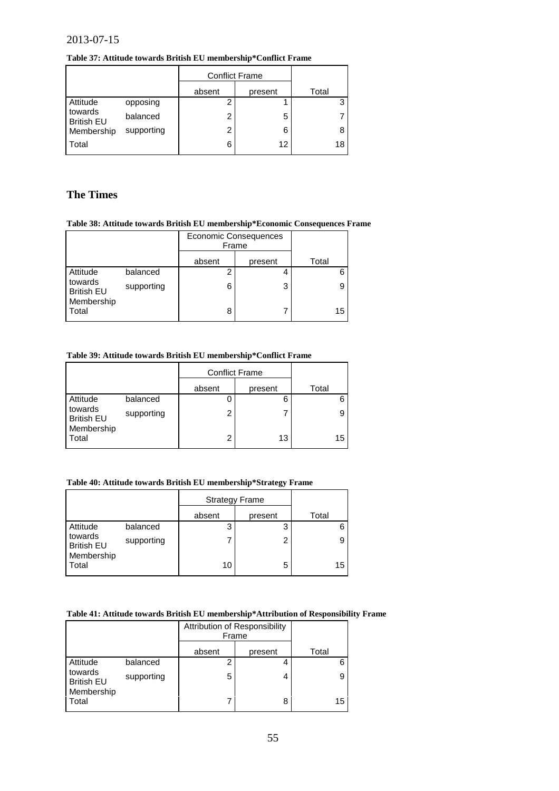**Table 37: Attitude towards British EU membership\*Conflict Frame**

<span id="page-55-0"></span>

|                              |            | <b>Conflict Frame</b> |         |       |
|------------------------------|------------|-----------------------|---------|-------|
|                              |            | absent                | present | Total |
| Attitude                     | opposing   |                       |         |       |
| towards<br><b>British EU</b> | balanced   | 2                     | 5       |       |
| Membership                   | supporting | 2                     | 6       |       |
| <b>Total</b>                 |            | 6                     | 12      | 18    |

# **The Times**

# <span id="page-55-1"></span>**Table 38: Attitude towards British EU membership\*Economic Consequences Frame**

|                              |            | <b>Economic Consequences</b><br>Frame |         |       |
|------------------------------|------------|---------------------------------------|---------|-------|
|                              |            | absent                                | present | Total |
| Attitude                     | balanced   |                                       | 4       |       |
| towards<br><b>British EU</b> | supporting | 6                                     | 3       |       |
| Membership<br>Total          |            | 8                                     |         | 15    |

# <span id="page-55-2"></span>**Table 39: Attitude towards British EU membership\*Conflict Frame**

|                              |            | <b>Conflict Frame</b> |         |       |
|------------------------------|------------|-----------------------|---------|-------|
|                              |            | absent                | present | Total |
| Attitude                     | balanced   |                       | 6       | 6     |
| towards<br><b>British EU</b> | supporting | 2                     |         | 9     |
| Membership<br>Total          |            | 2                     | 13      | 15    |

#### <span id="page-55-3"></span>**Table 40: Attitude towards British EU membership\*Strategy Frame**

|                              |            | <b>Strategy Frame</b> |         |       |
|------------------------------|------------|-----------------------|---------|-------|
|                              |            | absent                | present | Total |
| Attitude                     | balanced   | 3                     | 3       | 6     |
| towards<br><b>British EU</b> | supporting |                       | 2       | 9     |
| Membership<br>Total          |            | 10                    | 5       | 15    |

#### **Table 41: Attitude towards British EU membership\*Attribution of Responsibility Frame**

|                              |            | Attribution of Responsibility<br>Frame |         |       |
|------------------------------|------------|----------------------------------------|---------|-------|
|                              |            | absent                                 | present | Total |
| Attitude                     | balanced   | 2                                      |         | 6     |
| towards<br><b>British EU</b> | supporting | 5                                      | 4       | 9     |
| Membership<br>Total          |            |                                        | 8       | 15    |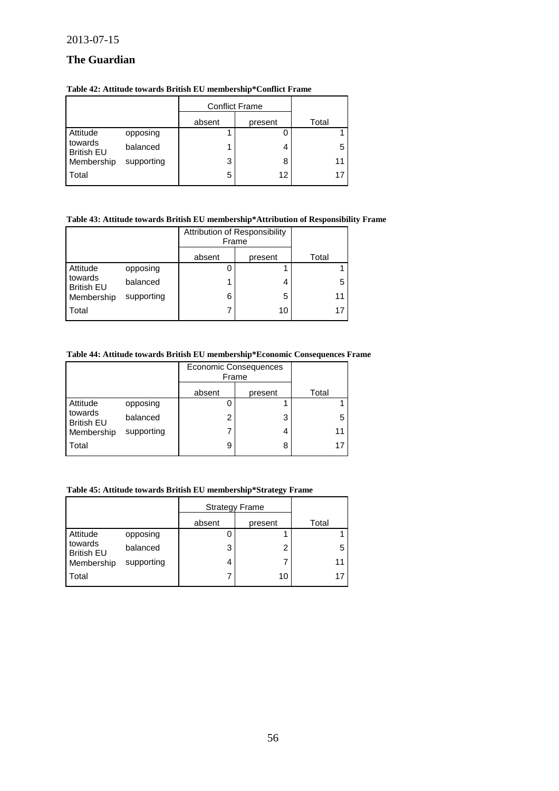# **The Guardian**

#### **Table 42: Attitude towards British EU membership\*Conflict Frame**

|                              |            | <b>Conflict Frame</b> |         |       |
|------------------------------|------------|-----------------------|---------|-------|
|                              |            | absent                | present | Total |
| Attitude                     | opposing   |                       |         |       |
| towards<br><b>British EU</b> | balanced   |                       | 4       | 5     |
| Membership                   | supporting | 3                     | 8       | 11    |
| Total                        |            | 5                     | 12      | 17    |

### **Table 43: Attitude towards British EU membership\*Attribution of Responsibility Frame**

|                              |            | Attribution of Responsibility<br>Frame |         |       |
|------------------------------|------------|----------------------------------------|---------|-------|
|                              |            | absent                                 | present | Total |
| Attitude                     | opposing   |                                        |         |       |
| towards<br><b>British EU</b> | balanced   |                                        | 4       | 5     |
| Membership                   | supporting | 6                                      | 5       | 11    |
| Total                        |            |                                        | 10      |       |

### **Table 44: Attitude towards British EU membership\*Economic Consequences Frame**

|                              |            | <b>Economic Consequences</b><br>Frame |         |       |
|------------------------------|------------|---------------------------------------|---------|-------|
|                              |            | absent                                | present | Total |
| Attitude                     | opposing   |                                       |         |       |
| towards<br><b>British EU</b> | balanced   | າ                                     | 3       | 5     |
| Membership                   | supporting |                                       | 4       | 11    |
| Total                        |            | 9                                     | 8       |       |

# **Table 45: Attitude towards British EU membership\*Strategy Frame**

|                              |            | <b>Strategy Frame</b> |         |       |
|------------------------------|------------|-----------------------|---------|-------|
|                              |            | absent                | present | Total |
| Attitude                     | opposing   |                       |         |       |
| towards<br><b>British EU</b> | balanced   | 3                     | 2       | 5     |
| Membership                   | supporting | 4                     |         | 11    |
| Total                        |            |                       | 10      | 17    |